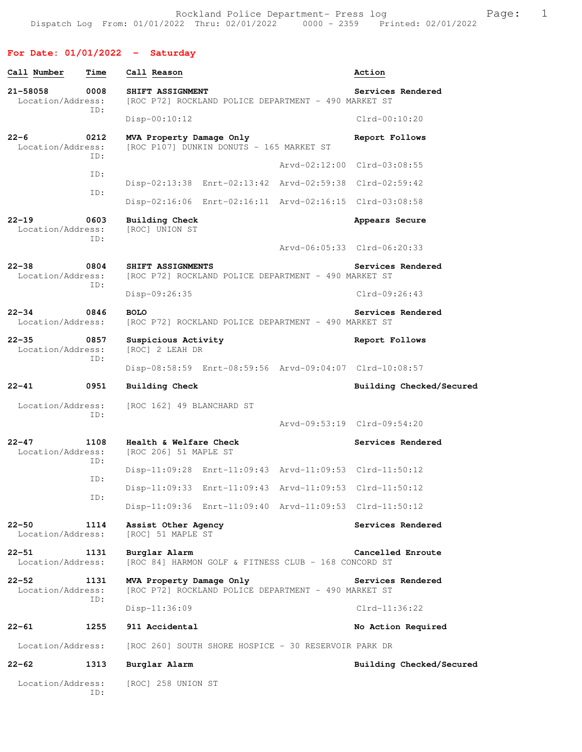Rockland Police Department- Press log entitled and Page: 1 Dispatch Log From: 01/01/2022 Thru: 02/01/2022 0000 - 2359 Printed: 02/01/2022

# **For Date: 01/01/2022 - Saturday**

| Call Number                    | Time        | Call Reason                                                                      | Action                      |
|--------------------------------|-------------|----------------------------------------------------------------------------------|-----------------------------|
| 21-58058<br>Location/Address:  | 0008<br>ID: | SHIFT ASSIGNMENT<br>[ROC P72] ROCKLAND POLICE DEPARTMENT - 490 MARKET ST         | Services Rendered           |
|                                |             | $Disp-00:10:12$                                                                  | $Clrd-00:10:20$             |
| $22 - 6$<br>Location/Address:  | 0212<br>ID: | MVA Property Damage Only<br>[ROC P107] DUNKIN DONUTS - 165 MARKET ST             | Report Follows              |
|                                |             |                                                                                  | Arvd-02:12:00 Clrd-03:08:55 |
|                                | ID:         | Disp-02:13:38 Enrt-02:13:42 Arvd-02:59:38 Clrd-02:59:42                          |                             |
|                                | ID:         | Disp-02:16:06 Enrt-02:16:11 Arvd-02:16:15 Clrd-03:08:58                          |                             |
| $22 - 19$<br>Location/Address: | 0603<br>ID: | Building Check<br>[ROC] UNION ST                                                 | Appears Secure              |
|                                |             |                                                                                  | Arvd-06:05:33 Clrd-06:20:33 |
| $22 - 38$<br>Location/Address: | 0804<br>ID: | SHIFT ASSIGNMENTS<br>[ROC P72] ROCKLAND POLICE DEPARTMENT - 490 MARKET ST        | Services Rendered           |
|                                |             | Disp-09:26:35                                                                    | $C1rd-09:26:43$             |
| $22 - 34$<br>Location/Address: | 0846        | <b>BOLO</b><br>[ROC P72] ROCKLAND POLICE DEPARTMENT - 490 MARKET ST              | Services Rendered           |
| $22 - 35$<br>Location/Address: | 0857<br>ID: | Suspicious Activity<br>[ROC] 2 LEAH DR                                           | Report Follows              |
|                                |             | Disp-08:58:59 Enrt-08:59:56 Arvd-09:04:07 Clrd-10:08:57                          |                             |
|                                |             |                                                                                  |                             |
| $22 - 41$                      | 0951        | <b>Building Check</b>                                                            | Building Checked/Secured    |
| Location/Address:              | ID:         | [ROC 162] 49 BLANCHARD ST                                                        |                             |
|                                |             |                                                                                  | Arvd-09:53:19 Clrd-09:54:20 |
| $22 - 47$<br>Location/Address: | 1108<br>ID: | Health & Welfare Check<br>[ROC 206] 51 MAPLE ST                                  | Services Rendered           |
|                                | ID:         | Disp-11:09:28 Enrt-11:09:43 Arvd-11:09:53 Clrd-11:50:12                          |                             |
|                                | ID:         | Disp-11:09:33 Enrt-11:09:43 Arvd-11:09:53 Clrd-11:50:12                          |                             |
|                                |             | Disp-11:09:36 Enrt-11:09:40 Arvd-11:09:53 Clrd-11:50:12                          |                             |
| $22 - 50$<br>Location/Address: | 1114        | Assist Other Agency<br>[ROC] 51 MAPLE ST                                         | Services Rendered           |
| $22 - 51$<br>Location/Address: | 1131        | Burglar Alarm<br>[ROC 84] HARMON GOLF & FITNESS CLUB - 168 CONCORD ST            | Cancelled Enroute           |
| $22 - 52$<br>Location/Address: | 1131<br>ID: | MVA Property Damage Only<br>[ROC P72] ROCKLAND POLICE DEPARTMENT - 490 MARKET ST | Services Rendered           |
|                                |             | Disp-11:36:09                                                                    | $Clrd-11:36:22$             |
| $22 - 61$                      | 1255        | 911 Accidental                                                                   | No Action Required          |
| Location/Address:              |             | [ROC 260] SOUTH SHORE HOSPICE - 30 RESERVOIR PARK DR                             |                             |
| $22 - 62$                      | 1313        | Burglar Alarm                                                                    | Building Checked/Secured    |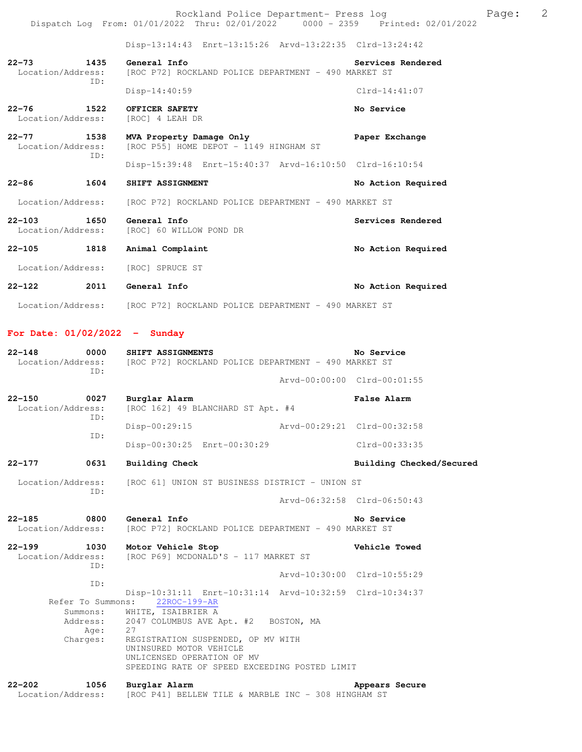Disp-13:14:43 Enrt-13:15:26 Arvd-13:22:35 Clrd-13:24:42

| $22 - 73$ | 1435<br>Location/Address:<br>ID: | General Info<br>[ROC P72] ROCKLAND POLICE DEPARTMENT - 490 MARKET ST | Services Rendered |
|-----------|----------------------------------|----------------------------------------------------------------------|-------------------|
|           |                                  | $Disp-14:40:59$                                                      | $Clrd-14:41:07$   |
| $22 - 76$ | 1522<br>Location/Address:        | OFFICER SAFETY<br>[ROC] 4 LEAH DR                                    | No Service        |
| $22 - 77$ | 1538                             | MVA Property Damage Only                                             | Paper Exchange    |

Location/Address: [ROC P55] HOME DEPOT - 1149 HINGHAM ST ID: Disp-15:39:48 Enrt-15:40:37 Arvd-16:10:50 Clrd-16:10:54 **22-86 1604 SHIFT ASSIGNMENT No Action Required** 

Location/Address: [ROC P72] ROCKLAND POLICE DEPARTMENT - 490 MARKET ST

**22-103 1650 General Info Services Rendered**  [ROC] 60 WILLOW POND DR 22-105 1818 Animal Complaint **1818** Animal Complaint

Location/Address: [ROC] SPRUCE ST

**22-122 2011 General Info No Action Required**  Location/Address: [ROC P72] ROCKLAND POLICE DEPARTMENT - 490 MARKET ST

#### **For Date: 01/02/2022 - Sunday**

| 0000<br>$22 - 148$<br>ID:               | SHIFT ASSIGNMENTS<br>Location/Address: [ROC P72] ROCKLAND POLICE DEPARTMENT - 490 MARKET ST                                                                                                                                                                                                                                     | No Service                  |
|-----------------------------------------|---------------------------------------------------------------------------------------------------------------------------------------------------------------------------------------------------------------------------------------------------------------------------------------------------------------------------------|-----------------------------|
|                                         |                                                                                                                                                                                                                                                                                                                                 | Arvd-00:00:00 Clrd-00:01:55 |
| $22 - 150$<br>0027<br>Location/Address: | Burglar Alarm<br>[ROC 162] 49 BLANCHARD ST Apt. #4                                                                                                                                                                                                                                                                              | False Alarm                 |
| ID:<br>ID:                              | Disp-00:29:15                                                                                                                                                                                                                                                                                                                   | Arvd-00:29:21 Clrd-00:32:58 |
|                                         | Disp-00:30:25 Enrt-00:30:29                                                                                                                                                                                                                                                                                                     | $Clrd-00:33:35$             |
| 0631<br>$22 - 177$                      | <b>Building Check</b>                                                                                                                                                                                                                                                                                                           | Building Checked/Secured    |
|                                         | Location/Address: [ROC 61] UNION ST BUSINESS DISTRICT - UNION ST                                                                                                                                                                                                                                                                |                             |
| TD:                                     |                                                                                                                                                                                                                                                                                                                                 | Arvd-06:32:58 Clrd-06:50:43 |
| 22-185 0800<br>Location/Address:        | General Info<br>[ROC P72] ROCKLAND POLICE DEPARTMENT - 490 MARKET ST                                                                                                                                                                                                                                                            | No Service                  |
| 22-199 1030<br>Location/Address:<br>ID: | Motor Vehicle Stop<br>[ROC P69] MCDONALD'S - 117 MARKET ST                                                                                                                                                                                                                                                                      | Vehicle Towed               |
| ID:                                     |                                                                                                                                                                                                                                                                                                                                 | Arvd-10:30:00 Clrd-10:55:29 |
| Age:<br>Charges:                        | Disp-10:31:11 Enrt-10:31:14 Arvd-10:32:59 Clrd-10:34:37<br>Refer To Summons: 22ROC-199-AR<br>Summons: WHITE, ISAIBRIER A<br>Address: 2047 COLUMBUS AVE Apt. #2 BOSTON, MA<br>27<br>REGISTRATION SUSPENDED, OP MV WITH<br>UNINSURED MOTOR VEHICLE<br>UNLICENSED OPERATION OF MV<br>SPEEDING RATE OF SPEED EXCEEDING POSTED LIMIT |                             |
| $22 - 202$<br>1056<br>Location/Address: | Burglar Alarm<br>[ROC P41] BELLEW TILE & MARBLE INC - 308 HINGHAM ST                                                                                                                                                                                                                                                            | Appears Secure              |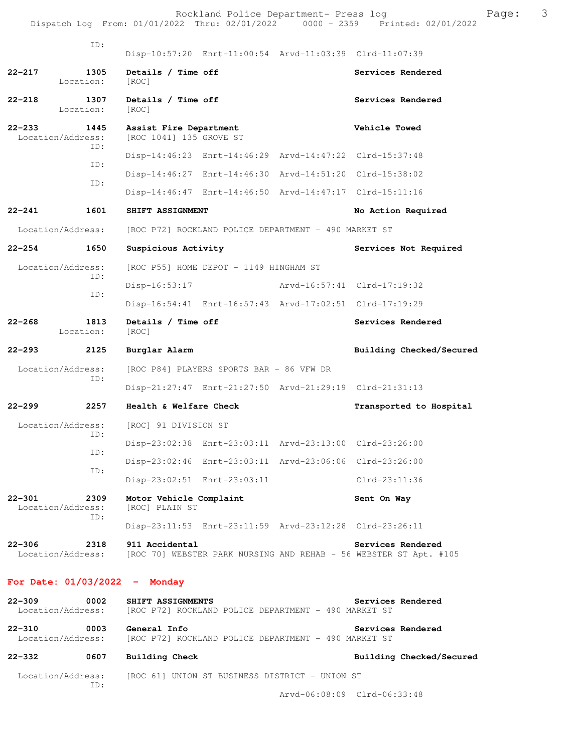|            | ID:                              | Disp-10:57:20 Enrt-11:00:54 Arvd-11:03:39 Clrd-11:07:39 |                                                      |                                                                                        |
|------------|----------------------------------|---------------------------------------------------------|------------------------------------------------------|----------------------------------------------------------------------------------------|
| $22 - 217$ | 1305<br>Location:                | Details / Time off<br>[ROC]                             |                                                      | Services Rendered                                                                      |
| $22 - 218$ | 1307<br>Location:                | Details / Time off<br>[ROC]                             |                                                      | Services Rendered                                                                      |
| $22 - 233$ | 1445<br>Location/Address:<br>ID: | Assist Fire Department<br>[ROC 1041] 135 GROVE ST       |                                                      | Vehicle Towed                                                                          |
|            | TD:                              | Disp-14:46:23 Enrt-14:46:29 Arvd-14:47:22 Clrd-15:37:48 |                                                      |                                                                                        |
|            |                                  | Disp-14:46:27 Enrt-14:46:30 Arvd-14:51:20 Clrd-15:38:02 |                                                      |                                                                                        |
|            | ID:                              | Disp-14:46:47 Enrt-14:46:50 Arvd-14:47:17 Clrd-15:11:16 |                                                      |                                                                                        |
| $22 - 241$ | 1601                             | SHIFT ASSIGNMENT                                        |                                                      | No Action Required                                                                     |
|            | Location/Address:                |                                                         | [ROC P72] ROCKLAND POLICE DEPARTMENT - 490 MARKET ST |                                                                                        |
| $22 - 254$ | 1650                             | Suspicious Activity                                     |                                                      | Services Not Required                                                                  |
|            | Location/Address:                | [ROC P55] HOME DEPOT - 1149 HINGHAM ST                  |                                                      |                                                                                        |
|            | ID:                              | Disp-16:53:17                                           | Arvd-16:57:41 Clrd-17:19:32                          |                                                                                        |
|            | ID:                              | Disp-16:54:41 Enrt-16:57:43 Arvd-17:02:51 Clrd-17:19:29 |                                                      |                                                                                        |
| $22 - 268$ | 1813<br>Location:                | Details / Time off<br>[ROC]                             |                                                      | Services Rendered                                                                      |
| $22 - 293$ | 2125                             | Burglar Alarm                                           |                                                      | Building Checked/Secured                                                               |
|            | Location/Address:                | [ROC P84] PLAYERS SPORTS BAR - 86 VFW DR                |                                                      |                                                                                        |
|            | ID:                              | Disp-21:27:47 Enrt-21:27:50 Arvd-21:29:19 Clrd-21:31:13 |                                                      |                                                                                        |
| $22 - 299$ | 2257                             | Health & Welfare Check                                  |                                                      | Transported to Hospital                                                                |
|            | Location/Address:                | [ROC] 91 DIVISION ST                                    |                                                      |                                                                                        |
|            | ID:                              | Disp-23:02:38 Enrt-23:03:11 Arvd-23:13:00 Clrd-23:26:00 |                                                      |                                                                                        |
|            | ID:                              | Disp-23:02:46 Enrt-23:03:11 Arvd-23:06:06 Clrd-23:26:00 |                                                      |                                                                                        |
|            | ID:                              | Disp-23:02:51 Enrt-23:03:11                             |                                                      | $Clrd-23:11:36$                                                                        |
| $22 - 301$ | 2309<br>Location/Address:<br>ID: | Motor Vehicle Complaint<br>[ROC] PLAIN ST               |                                                      | Sent On Way                                                                            |
|            |                                  | Disp-23:11:53 Enrt-23:11:59 Arvd-23:12:28 Clrd-23:26:11 |                                                      |                                                                                        |
| $22 - 306$ | 2318<br>Location/Address:        | 911 Accidental                                          |                                                      | Services Rendered<br>[ROC 70] WEBSTER PARK NURSING AND REHAB - 56 WEBSTER ST Apt. #105 |

## **For Date: 01/03/2022 - Monday**

| $22 - 309$<br>Location/Address: | 0002 | Services Rendered<br>SHIFT ASSIGNMENTS<br>[ROC P72] ROCKLAND POLICE DEPARTMENT - 490 MARKET ST |
|---------------------------------|------|------------------------------------------------------------------------------------------------|
| $22 - 310$<br>Location/Address: | 0003 | General Info<br>Services Rendered<br>[ROC P72] ROCKLAND POLICE DEPARTMENT - 490 MARKET ST      |
| $22 - 332$                      | 0607 | Building Checked/Secured<br>Building Check                                                     |
| Location/Address:               | TD:  | [ROC 61] UNION ST BUSINESS DISTRICT - UNION ST                                                 |

Arvd-06:08:09 Clrd-06:33:48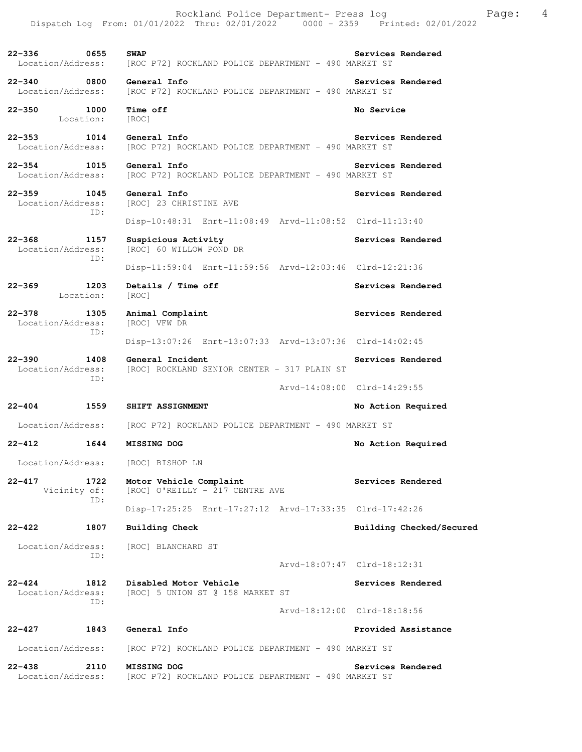**22-336 0655 SWAP Services Rendered**  Location/Address: [ROC P72] ROCKLAND POLICE DEPARTMENT - 490 MARKET ST **22-340 0800 General Info Services Rendered**  Location/Address: [ROC P72] ROCKLAND POLICE DEPARTMENT - 490 MARKET ST **22-350 1000 Time off No Service**  Location: [ROC] **22-353 1014 General Info Services Rendered**  Location/Address: [ROC P72] ROCKLAND POLICE DEPARTMENT - 490 MARKET ST **22-354 1015 General Info Services Rendered**  Location/Address: [ROC P72] ROCKLAND POLICE DEPARTMENT - 490 MARKET ST **22-359 1045 General Info Services Rendered Location/Address:** [ROC] 23 CHRISTINE AVE [ROC] 23 CHRISTINE AVE ID: Disp-10:48:31 Enrt-11:08:49 Arvd-11:08:52 Clrd-11:13:40 **22-368 1157 Suspicious Activity Services Rendered**  Location/Address: [ROC] 60 WILLOW POND DR ID: Disp-11:59:04 Enrt-11:59:56 Arvd-12:03:46 Clrd-12:21:36 22-369 1203 Details / Time off **Services Rendered**  Location: [ROC] **22-378 1305 Animal Complaint Services Rendered**  Location/Address: [ROC] VFW DR ID: Disp-13:07:26 Enrt-13:07:33 Arvd-13:07:36 Clrd-14:02:45 **22-390 1408 General Incident Services Rendered**  Location/Address: [ROC] ROCKLAND SENIOR CENTER - 317 PLAIN ST ID: Arvd-14:08:00 Clrd-14:29:55 **22-404 1559 SHIFT ASSIGNMENT No Action Required**  Location/Address: [ROC P72] ROCKLAND POLICE DEPARTMENT - 490 MARKET ST **22-412 1644 MISSING DOG No Action Required**  Location/Address: [ROC] BISHOP LN **22-417 1722 Motor Vehicle Complaint Services Rendered**  Vicinity of: [ROC] O'REILLY - 217 CENTRE AVE ID: Disp-17:25:25 Enrt-17:27:12 Arvd-17:33:35 Clrd-17:42:26 **22-422 1807 Building Check Building Checked/Secured**  Location/Address: [ROC] BLANCHARD ST ID: Arvd-18:07:47 Clrd-18:12:31 **22-424 1812 Disabled Motor Vehicle Services Rendered**  Location/Address: [ROC] 5 UNION ST @ 158 MARKET ST ID: Arvd-18:12:00 Clrd-18:18:56 **22-427 1843 General Info Provided Assistance**  Location/Address: [ROC P72] ROCKLAND POLICE DEPARTMENT - 490 MARKET ST **22-438 2110 MISSING DOG Services Rendered**  Location/Address: [ROC P72] ROCKLAND POLICE DEPARTMENT - 490 MARKET ST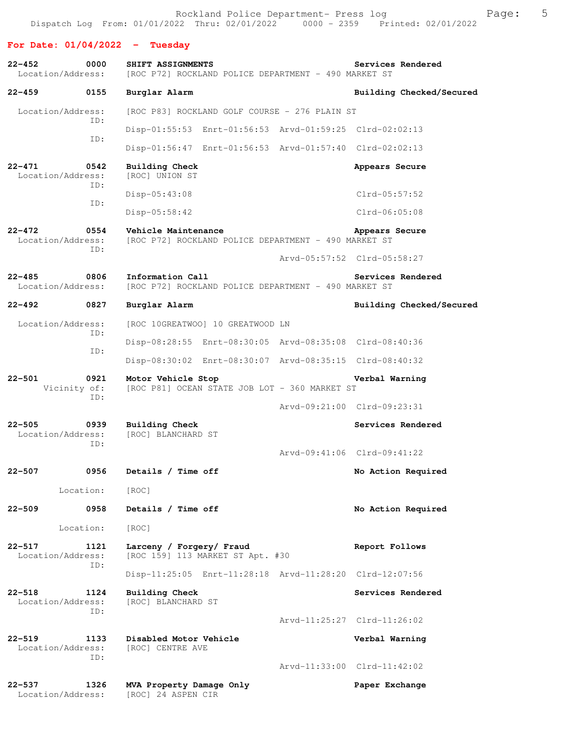**For Date: 01/04/2022 - Tuesday**

**22-452 0000 SHIFT ASSIGNMENTS Services Rendered Location/Address:** [ROC P72] ROCKLAND POLICE DEPARTMENT - 490 MARKET ST [ROC P72] ROCKLAND POLICE DEPARTMENT - 490 MARKET ST **22-459 0155 Burglar Alarm Building Checked/Secured**  Location/Address: [ROC P83] ROCKLAND GOLF COURSE - 276 PLAIN ST ID: Disp-01:55:53 Enrt-01:56:53 Arvd-01:59:25 Clrd-02:02:13 ID: Disp-01:56:47 Enrt-01:56:53 Arvd-01:57:40 Clrd-02:02:13 **22-471 0542 Building Check Appears Secure**  Location/Address: [ROC] UNION ST ID: Disp-05:43:08 Clrd-05:57:52 ID: Disp-05:58:42 Clrd-06:05:08 **22-472 0554 Vehicle Maintenance Appears Secure**  Location/Address: [ROC P72] ROCKLAND POLICE DEPARTMENT - 490 MARKET ST ID: Arvd-05:57:52 Clrd-05:58:27 **22-485 0806 Information Call Services Rendered** Location/Address: [ROC P72] ROCKLAND POLICE DEPARTMENT - 490 MARKET ST [ROC P72] ROCKLAND POLICE DEPARTMENT - 490 MARKET ST **22-492 0827 Burglar Alarm Building Checked/Secured**  Location/Address: [ROC 10GREATWOO] 10 GREATWOOD LN ID: Disp-08:28:55 Enrt-08:30:05 Arvd-08:35:08 Clrd-08:40:36 ID: Disp-08:30:02 Enrt-08:30:07 Arvd-08:35:15 Clrd-08:40:32 **22-501 0921 Motor Vehicle Stop Verbal Warning**  Vicinity of: [ROC P81] OCEAN STATE JOB LOT - 360 MARKET ST ID: Arvd-09:21:00 Clrd-09:23:31 **22-505 0939 Building Check Services Rendered**  Location/Address: [ROC] BLANCHARD ST ID: Arvd-09:41:06 Clrd-09:41:22 **22-507 0956 Details / Time off No Action Required**  Location: [ROC] **22-509 0958 Details / Time off No Action Required**  Location: [ROC] **22-517 1121 Larceny / Forgery/ Fraud Report Follows**  Location/Address: [ROC 159] 113 MARKET ST Apt. #30 ID: Disp-11:25:05 Enrt-11:28:18 Arvd-11:28:20 Clrd-12:07:56 **22-518 1124 Building Check Services Rendered**  Location/Address: [ROC] BLANCHARD ST ID: Arvd-11:25:27 Clrd-11:26:02 **22-519 1133 Disabled Motor Vehicle Verbal Warning**  Location/Address: ID: Arvd-11:33:00 Clrd-11:42:02 **22-537 1326 MVA Property Damage Only Paper Exchange**  Location/Address: [ROC] 24 ASPEN CIR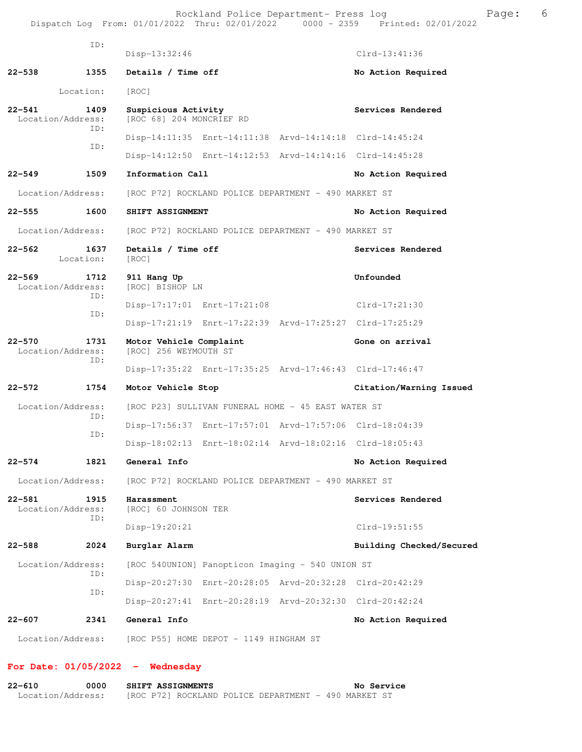Rockland Police Department- Press log entitled and Page: 6 Dispatch Log From: 01/01/2022 Thru: 02/01/2022 0000 - 2359 Printed: 02/01/2022

|        | ID:                              | $Disp-13:32:46$                                                        | $Clrd-13:41:36$          |
|--------|----------------------------------|------------------------------------------------------------------------|--------------------------|
| 22-538 | 1355                             | Details / Time off                                                     | No Action Required       |
|        | Location:                        | [ROC]                                                                  |                          |
| 22-541 | 1409<br>Location/Address:        | Suspicious Activity<br>[ROC 68] 204 MONCRIEF RD                        | Services Rendered        |
|        | ID:<br>ID:                       | Disp-14:11:35 Enrt-14:11:38 Arvd-14:14:18 Clrd-14:45:24                |                          |
|        |                                  | Disp-14:12:50 Enrt-14:12:53 Arvd-14:14:16 Clrd-14:45:28                |                          |
| 22–549 | 1509                             | Information Call                                                       | No Action Required       |
|        | Location/Address:                | [ROC P72] ROCKLAND POLICE DEPARTMENT - 490 MARKET ST                   |                          |
| 22–555 | 1600                             | SHIFT ASSIGNMENT                                                       | No Action Required       |
|        | Location/Address:                | [ROC P72] ROCKLAND POLICE DEPARTMENT - 490 MARKET ST                   |                          |
| 22–562 | 1637<br>Location:                | Details / Time off<br>[ROC]                                            | Services Rendered        |
| 22–569 | 1712<br>Location/Address:        | 911 Hang Up<br>[ROC] BISHOP LN                                         | Unfounded                |
|        | TD:<br>ID:                       | Disp-17:17:01 Enrt-17:21:08                                            | Clrd-17:21:30            |
|        |                                  | Disp-17:21:19 Enrt-17:22:39 Arvd-17:25:27 Clrd-17:25:29                |                          |
| 22-570 | 1731<br>Location/Address:<br>ID: | Motor Vehicle Complaint<br>[ROC] 256 WEYMOUTH ST                       | Gone on arrival          |
|        |                                  | Disp-17:35:22 Enrt-17:35:25 Arvd-17:46:43 Clrd-17:46:47                |                          |
| 22–572 | 1754                             | Motor Vehicle Stop                                                     | Citation/Warning Issued  |
|        | Location/Address:<br>ID:         | [ROC P23] SULLIVAN FUNERAL HOME - 45 EAST WATER ST                     |                          |
|        | ID:                              | Disp-17:56:37 Enrt-17:57:01 Arvd-17:57:06 Clrd-18:04:39                |                          |
|        |                                  | Disp-18:02:13 Enrt-18:02:14 Arvd-18:02:16 Clrd-18:05:43                |                          |
| 22-574 | 1821                             | General Info                                                           | No Action Required       |
|        |                                  | Location/Address: [ROC P72] ROCKLAND POLICE DEPARTMENT - 490 MARKET ST |                          |
| 22-581 | 1915<br>Location/Address:<br>ID: | Harassment<br>[ROC] 60 JOHNSON TER                                     | Services Rendered        |
|        |                                  | Disp-19:20:21                                                          | Clrd-19:51:55            |
| 22–588 | 2024                             | Burglar Alarm                                                          | Building Checked/Secured |
|        | Location/Address:<br>ID:         | [ROC 540UNION] Panopticon Imaging - 540 UNION ST                       |                          |
|        | ID:                              | Disp-20:27:30 Enrt-20:28:05 Arvd-20:32:28 Clrd-20:42:29                |                          |
|        |                                  | Disp-20:27:41 Enrt-20:28:19 Arvd-20:32:30 Clrd-20:42:24                |                          |
| 22-607 | 2341                             | General Info                                                           | No Action Required       |
|        | Location/Address:                | [ROC P55] HOME DEPOT - 1149 HINGHAM ST                                 |                          |

# **For Date: 01/05/2022 - Wednesday**

| 22-610            | 0000 |  | <b>SHIFT ASSIGNMENTS</b> |                                                      |  | No Service |  |
|-------------------|------|--|--------------------------|------------------------------------------------------|--|------------|--|
| Location/Address: |      |  |                          | [ROC P72] ROCKLAND POLICE DEPARTMENT - 490 MARKET ST |  |            |  |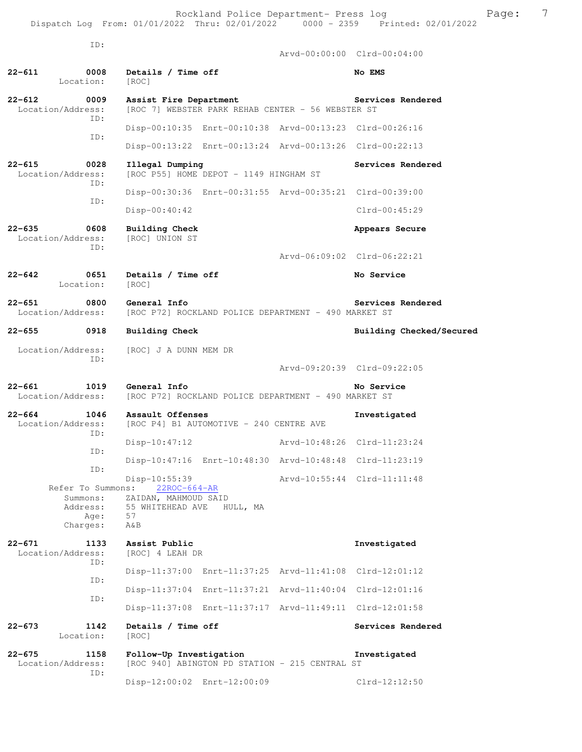|                                 | ID:                                                           |                                                                                          |                                         |                                                         |                             |
|---------------------------------|---------------------------------------------------------------|------------------------------------------------------------------------------------------|-----------------------------------------|---------------------------------------------------------|-----------------------------|
|                                 |                                                               |                                                                                          |                                         |                                                         | Arvd-00:00:00 Clrd-00:04:00 |
| 22-611                          | 0008<br>Location:                                             | Details / Time off<br>[ROC]                                                              |                                         |                                                         | No EMS                      |
| $22 - 612$<br>Location/Address: | 0009<br>ID:                                                   | Assist Fire Department                                                                   |                                         | [ROC 7] WEBSTER PARK REHAB CENTER - 56 WEBSTER ST       | Services Rendered           |
|                                 |                                                               |                                                                                          |                                         | Disp-00:10:35 Enrt-00:10:38 Arvd-00:13:23 Clrd-00:26:16 |                             |
|                                 | ID:                                                           |                                                                                          |                                         | Disp-00:13:22 Enrt-00:13:24 Arvd-00:13:26 Clrd-00:22:13 |                             |
| $22 - 615$<br>Location/Address: | 0028                                                          | Illegal Dumping                                                                          | [ROC P55] HOME DEPOT - 1149 HINGHAM ST  |                                                         | Services Rendered           |
|                                 | ID:                                                           |                                                                                          |                                         | Disp-00:30:36 Enrt-00:31:55 Arvd-00:35:21 Clrd-00:39:00 |                             |
|                                 | ID:                                                           | Disp-00:40:42                                                                            |                                         |                                                         | $Clrd-00:45:29$             |
| $22 - 635$<br>Location/Address: | 0608<br>TD:                                                   | <b>Building Check</b><br>[ROC] UNION ST                                                  |                                         |                                                         | Appears Secure              |
|                                 |                                                               |                                                                                          |                                         |                                                         | Arvd-06:09:02 Clrd-06:22:21 |
| $22 - 642$                      | 0651<br>Location:                                             | Details / Time off<br>[ROC]                                                              |                                         |                                                         | No Service                  |
| $22 - 651$<br>Location/Address: | 0800                                                          | General Info                                                                             |                                         | [ROC P72] ROCKLAND POLICE DEPARTMENT - 490 MARKET ST    | Services Rendered           |
| $22 - 655$                      | 0918                                                          | <b>Building Check</b>                                                                    |                                         |                                                         | Building Checked/Secured    |
| Location/Address:               | ID:                                                           | [ROC] J A DUNN MEM DR                                                                    |                                         |                                                         |                             |
|                                 |                                                               |                                                                                          |                                         |                                                         | Arvd-09:20:39 Clrd-09:22:05 |
| $22 - 661$<br>Location/Address: | 1019                                                          | General Info                                                                             |                                         | [ROC P72] ROCKLAND POLICE DEPARTMENT - 490 MARKET ST    | No Service                  |
| $22 - 664$<br>Location/Address: | 1046<br>ID:                                                   | Assault Offenses                                                                         | [ROC P4] B1 AUTOMOTIVE - 240 CENTRE AVE |                                                         | Investigated                |
|                                 | ID:                                                           | $Disp-10:47:12$                                                                          |                                         | Arvd-10:48:26 Clrd-11:23:24                             |                             |
|                                 | ID:                                                           |                                                                                          |                                         | Disp-10:47:16 Enrt-10:48:30 Arvd-10:48:48 Clrd-11:23:19 |                             |
|                                 | Refer To Summons:<br>Summons:<br>Address:<br>Age:<br>Charges: | Disp-10:55:39<br>$22ROC-664-AR$<br>ZAIDAN, MAHMOUD SAID<br>55 WHITEHEAD AVE<br>57<br>A&B | HULL, MA                                |                                                         | Arvd-10:55:44 Clrd-11:11:48 |
| $22 - 671$<br>Location/Address: | 1133<br>ID:                                                   | Assist Public<br>[ROC] 4 LEAH DR                                                         |                                         |                                                         | Investigated                |
|                                 | ID:                                                           | $Disp-11:37:00$                                                                          |                                         | Enrt-11:37:25 Arvd-11:41:08 Clrd-12:01:12               |                             |
|                                 |                                                               |                                                                                          |                                         | Disp-11:37:04 Enrt-11:37:21 Arvd-11:40:04 Clrd-12:01:16 |                             |
|                                 | ID:                                                           |                                                                                          |                                         | Disp-11:37:08 Enrt-11:37:17 Arvd-11:49:11 Clrd-12:01:58 |                             |
| 22-673                          | 1142<br>Location:                                             | Details / Time off<br>[ROC]                                                              |                                         |                                                         | Services Rendered           |
| $22 - 675$<br>Location/Address: | 1158                                                          | Follow-Up Investigation                                                                  |                                         | [ROC 940] ABINGTON PD STATION - 215 CENTRAL ST          | Investigated                |
|                                 | ID:                                                           | Disp-12:00:02 Enrt-12:00:09                                                              |                                         |                                                         | Clrd-12:12:50               |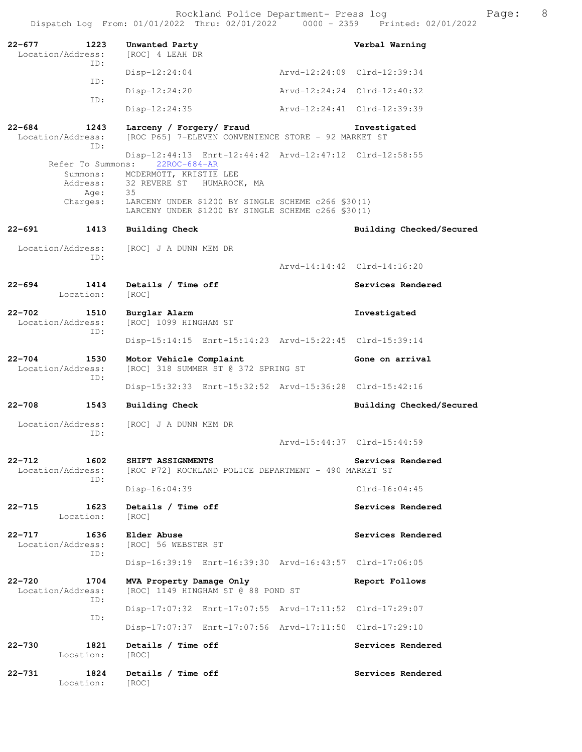| $22 - 677$ | 1223<br>Location/Address:        | Unwanted Party<br>[ROC] 4 LEAH DR                                                                              |                             | Verbal Warning           |
|------------|----------------------------------|----------------------------------------------------------------------------------------------------------------|-----------------------------|--------------------------|
|            | TD:                              | $Disp-12:24:04$                                                                                                | Arvd-12:24:09 Clrd-12:39:34 |                          |
|            | TD:                              | $Disp-12:24:20$                                                                                                | Arvd-12:24:24 Clrd-12:40:32 |                          |
|            | ID:                              | $Disp-12:24:35$                                                                                                | Arvd-12:24:41 Clrd-12:39:39 |                          |
| $22 - 684$ | 1243<br>Location/Address:<br>ID: | Larceny / Forgery/ Fraud<br>[ROC P65] 7-ELEVEN CONVENIENCE STORE - 92 MARKET ST                                |                             | Investigated             |
|            | Refer To Summons:                | Disp-12:44:13 Enrt-12:44:42 Arvd-12:47:12 Clrd-12:58:55<br>$22ROC - 684 - AR$                                  |                             |                          |
|            |                                  | Summons: MCDERMOTT, KRISTIE LEE<br>Address: 32 REVERE ST HUMAROCK, MA                                          |                             |                          |
|            | Age:<br>Charges:                 | 35<br>LARCENY UNDER \$1200 BY SINGLE SCHEME c266 \$30(1)<br>LARCENY UNDER \$1200 BY SINGLE SCHEME c266 \$30(1) |                             |                          |
| $22 - 691$ | 1413                             | <b>Building Check</b>                                                                                          |                             | Building Checked/Secured |
|            | Location/Address:                | [ROC] J A DUNN MEM DR                                                                                          |                             |                          |
|            | ID:                              |                                                                                                                | Arvd-14:14:42 Clrd-14:16:20 |                          |
| $22 - 694$ | 1414<br>Location:                | Details / Time off<br>[ROC]                                                                                    |                             | Services Rendered        |
| $22 - 702$ | 1510<br>Location/Address:<br>ID: | Burglar Alarm<br>[ROC] 1099 HINGHAM ST                                                                         |                             | Investigated             |
|            |                                  | Disp-15:14:15 Enrt-15:14:23 Arvd-15:22:45 Clrd-15:39:14                                                        |                             |                          |
| $22 - 704$ | 1530<br>Location/Address:<br>ID: | Motor Vehicle Complaint<br>[ROC] 318 SUMMER ST @ 372 SPRING ST                                                 |                             | Gone on arrival          |
|            |                                  | Disp-15:32:33 Enrt-15:32:52 Arvd-15:36:28 Clrd-15:42:16                                                        |                             |                          |
| $22 - 708$ | 1543                             | <b>Building Check</b>                                                                                          |                             | Building Checked/Secured |
|            | Location/Address:<br>ID:         | [ROC] J A DUNN MEM DR                                                                                          |                             |                          |
|            |                                  |                                                                                                                | Arvd-15:44:37 Clrd-15:44:59 |                          |
| $22 - 712$ | 1602<br>Location/Address:<br>ID: | SHIFT ASSIGNMENTS<br>[ROC P72] ROCKLAND POLICE DEPARTMENT - 490 MARKET ST                                      |                             | Services Rendered        |
|            |                                  | $Disp-16:04:39$                                                                                                |                             | $Clrd-16:04:45$          |
| 22-715     | 1623<br>Location:                | Details / Time off<br>[ROC]                                                                                    |                             | Services Rendered        |
| $22 - 717$ | 1636<br>Location/Address:<br>ID: | Elder Abuse<br>[ROC] 56 WEBSTER ST                                                                             |                             | Services Rendered        |
|            |                                  | Disp-16:39:19 Enrt-16:39:30 Arvd-16:43:57 Clrd-17:06:05                                                        |                             |                          |
| $22 - 720$ | 1704<br>Location/Address:<br>ID: | MVA Property Damage Only<br>[ROC] 1149 HINGHAM ST @ 88 POND ST                                                 |                             | Report Follows           |
|            | ID:                              | Disp-17:07:32 Enrt-17:07:55 Arvd-17:11:52 Clrd-17:29:07                                                        |                             |                          |
|            |                                  | Disp-17:07:37 Enrt-17:07:56 Arvd-17:11:50 Clrd-17:29:10                                                        |                             |                          |
| $22 - 730$ | 1821<br>Location:                | Details / Time off<br>[ROC]                                                                                    |                             | Services Rendered        |
| $22 - 731$ | 1824<br>Location:                | Details / Time off<br>[ROC]                                                                                    |                             | Services Rendered        |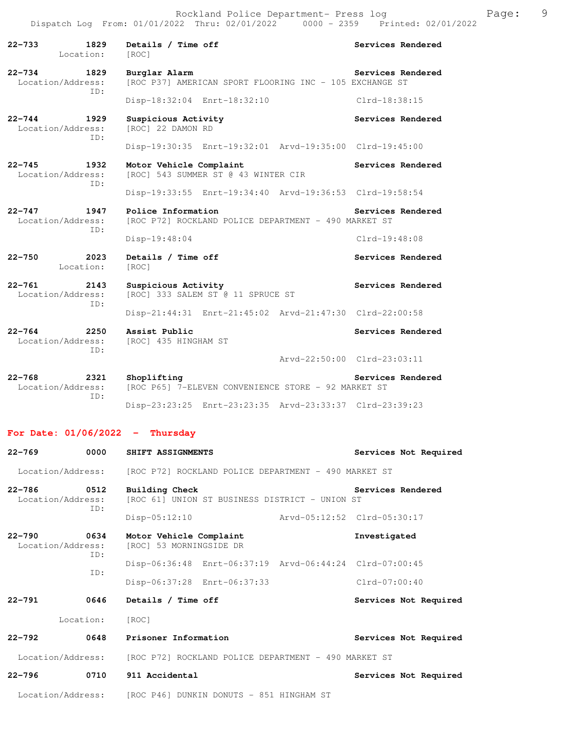| $22 - 733$<br>1829<br>Location:                | Details / Time off<br>[ROC]                                                | Services Rendered           |
|------------------------------------------------|----------------------------------------------------------------------------|-----------------------------|
| $22 - 734$<br>1829<br>Location/Address:<br>TD: | Burglar Alarm<br>[ROC P37] AMERICAN SPORT FLOORING INC - 105 EXCHANGE ST   | Services Rendered           |
|                                                | Disp-18:32:04 Enrt-18:32:10                                                | $Clrd-18:38:15$             |
| $22 - 744$<br>1929<br>Location/Address:<br>TD: | Suspicious Activity<br>[ROC] 22 DAMON RD                                   | Services Rendered           |
|                                                | Disp-19:30:35 Enrt-19:32:01 Arvd-19:35:00 Clrd-19:45:00                    |                             |
| $22 - 745$<br>1932<br>Location/Address:<br>TD: | Motor Vehicle Complaint<br>[ROC] 543 SUMMER ST @ 43 WINTER CIR             | Services Rendered           |
|                                                | Disp-19:33:55 Enrt-19:34:40 Arvd-19:36:53 Clrd-19:58:54                    |                             |
| $22 - 747$<br>1947<br>Location/Address:        | Police Information<br>[ROC P72] ROCKLAND POLICE DEPARTMENT - 490 MARKET ST | Services Rendered           |
| ID:                                            | Disp-19:48:04                                                              | Clrd-19:48:08               |
| 2023<br>$22 - 750$<br>Location:                | Details / Time off<br>[ROC]                                                | Services Rendered           |
| $22 - 761$<br>2143<br>Location/Address:<br>ID: | Suspicious Activity<br>[ROC] 333 SALEM ST @ 11 SPRUCE ST                   | Services Rendered           |
|                                                | Disp-21:44:31 Enrt-21:45:02 Arvd-21:47:30 Clrd-22:00:58                    |                             |
| $22 - 764$<br>2250<br>Location/Address:<br>ID: | Assist Public<br>[ROC] 435 HINGHAM ST                                      | Services Rendered           |
|                                                |                                                                            | Arvd-22:50:00 Clrd-23:03:11 |
| $22 - 768$<br>2321<br>Location/Address:<br>TD: | Shoplifting<br>[ROC P65] 7-ELEVEN CONVENIENCE STORE - 92 MARKET ST         | Services Rendered           |
|                                                | Disp-23:23:25 Enrt-23:23:35 Arvd-23:33:37 Clrd-23:39:23                    |                             |
| For Date: $01/06/2022 -$                       | Thursday                                                                   |                             |

| $22 - 769$                      | 0000         | SHIFT ASSIGNMENTS                                                      | Services Not Required       |
|---------------------------------|--------------|------------------------------------------------------------------------|-----------------------------|
|                                 |              | Location/Address: [ROC P72] ROCKLAND POLICE DEPARTMENT - 490 MARKET ST |                             |
| $22 - 786$<br>Location/Address: | 0.512<br>TD: | Building Check<br>[ROC 61] UNION ST BUSINESS DISTRICT - UNION ST       | Services Rendered           |
|                                 |              | Disp-05:12:10                                                          | Arvd-05:12:52 Clrd-05:30:17 |
| $22 - 790$<br>Location/Address: | 0634<br>ID:  | Motor Vehicle Complaint<br>[ROC] 53 MORNINGSIDE DR                     | Investigated                |
|                                 | TD:          | Disp-06:36:48 Enrt-06:37:19 Arvd-06:44:24 Clrd-07:00:45                |                             |
|                                 |              | Disp-06:37:28 Enrt-06:37:33                                            | $Clrd-07:00:40$             |
| $22 - 791$                      | 0646         | Details / Time off                                                     | Services Not Required       |
|                                 | Location:    | [ROC]                                                                  |                             |
| $22 - 792$                      | 0648         | Prisoner Information                                                   | Services Not Required       |
|                                 |              | Location/Address: [ROC P72] ROCKLAND POLICE DEPARTMENT - 490 MARKET ST |                             |
| $22 - 796$                      | 0710         | 911 Accidental                                                         | Services Not Required       |
|                                 |              | Location/Address: [ROC P46] DUNKIN DONUTS - 851 HINGHAM ST             |                             |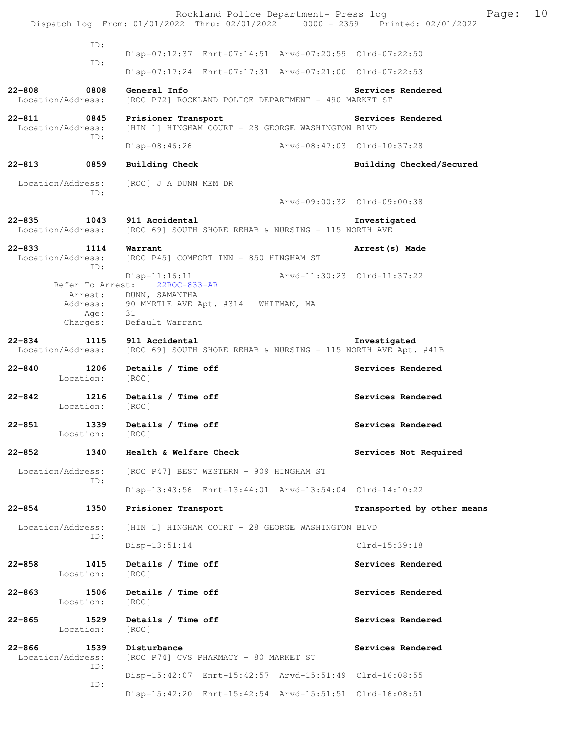|                                 |                              | Rockland Police Department- Press log<br>Dispatch Log From: 01/01/2022 Thru: 02/01/2022 0000 - 2359 Printed: 02/01/2022                    | Page:                       | 10 |
|---------------------------------|------------------------------|--------------------------------------------------------------------------------------------------------------------------------------------|-----------------------------|----|
|                                 | ID:                          |                                                                                                                                            |                             |    |
|                                 | ID:                          | Disp-07:12:37 Enrt-07:14:51 Arvd-07:20:59 Clrd-07:22:50                                                                                    |                             |    |
|                                 |                              | Disp-07:17:24 Enrt-07:17:31 Arvd-07:21:00 Clrd-07:22:53                                                                                    |                             |    |
| $22 - 808$<br>Location/Address: | 0808                         | General Info<br>[ROC P72] ROCKLAND POLICE DEPARTMENT - 490 MARKET ST                                                                       | Services Rendered           |    |
| $22 - 811$<br>Location/Address: | 0845<br>ID:                  | Prisioner Transport<br>[HIN 1] HINGHAM COURT - 28 GEORGE WASHINGTON BLVD                                                                   | Services Rendered           |    |
|                                 |                              | Disp-08:46:26                                                                                                                              | Arvd-08:47:03 Clrd-10:37:28 |    |
| 22-813                          | 0859                         | Building Check                                                                                                                             | Building Checked/Secured    |    |
| Location/Address:               | ID:                          | [ROC] J A DUNN MEM DR                                                                                                                      | Arvd-09:00:32 Clrd-09:00:38 |    |
| $22 - 835$<br>Location/Address: | 1043                         | 911 Accidental<br>[ROC 69] SOUTH SHORE REHAB & NURSING - 115 NORTH AVE                                                                     | Investigated                |    |
| $22 - 833$<br>Location/Address: | 1114<br>ID:                  | Warrant<br>[ROC P45] COMFORT INN - 850 HINGHAM ST                                                                                          | Arrest (s) Made             |    |
|                                 | Address:<br>Age:<br>Charges: | $Disp-11:16:11$<br>Refer To Arrest: 22ROC-833-AR<br>Arrest: DUNN, SAMANTHA<br>90 MYRTLE AVE Apt. #314 WHITMAN, MA<br>31<br>Default Warrant | Arvd-11:30:23 Clrd-11:37:22 |    |
|                                 |                              |                                                                                                                                            |                             |    |
|                                 |                              |                                                                                                                                            |                             |    |
| $22 - 834$<br>Location/Address: | 1115                         | 911 Accidental<br>[ROC 69] SOUTH SHORE REHAB & NURSING - 115 NORTH AVE Apt. #41B                                                           | Investigated                |    |
| $22 - 840$                      | 1206<br>Location:            | Details / Time off<br>[ROC]                                                                                                                | Services Rendered           |    |
| $22 - 842$                      | 1216<br>Location:            | Details / Time off<br>[ROC]                                                                                                                | Services Rendered           |    |
| $22 - 851$                      | 1339<br>Location: [ROC]      | Details / Time off                                                                                                                         | Services Rendered           |    |
| 22-852                          | 1340                         | Health & Welfare Check                                                                                                                     | Services Not Required       |    |
| Location/Address:               |                              | [ROC P47] BEST WESTERN - 909 HINGHAM ST                                                                                                    |                             |    |
|                                 | ID:                          | Disp-13:43:56 Enrt-13:44:01 Arvd-13:54:04 Clrd-14:10:22                                                                                    |                             |    |
| $22 - 854$                      | 1350                         | Prisioner Transport                                                                                                                        | Transported by other means  |    |
| Location/Address:               |                              | [HIN 1] HINGHAM COURT - 28 GEORGE WASHINGTON BLVD                                                                                          |                             |    |
|                                 | ID:                          | $Disp-13:51:14$                                                                                                                            | Clrd-15:39:18               |    |
| $22 - 858$                      | 1415<br>Location:            | Details / Time off<br>[ROC]                                                                                                                | Services Rendered           |    |
| 22-863                          | 1506<br>Location:            | Details / Time off<br>[ROC]                                                                                                                | Services Rendered           |    |
| $22 - 865$                      | 1529<br>Location:            | Details / Time off<br>[ROC]                                                                                                                | Services Rendered           |    |
| $22 - 866$<br>Location/Address: | 1539                         | Disturbance<br>[ROC P74] CVS PHARMACY - 80 MARKET ST                                                                                       | Services Rendered           |    |
|                                 | ID:<br>ID:                   | Disp-15:42:07 Enrt-15:42:57 Arvd-15:51:49 Clrd-16:08:55                                                                                    |                             |    |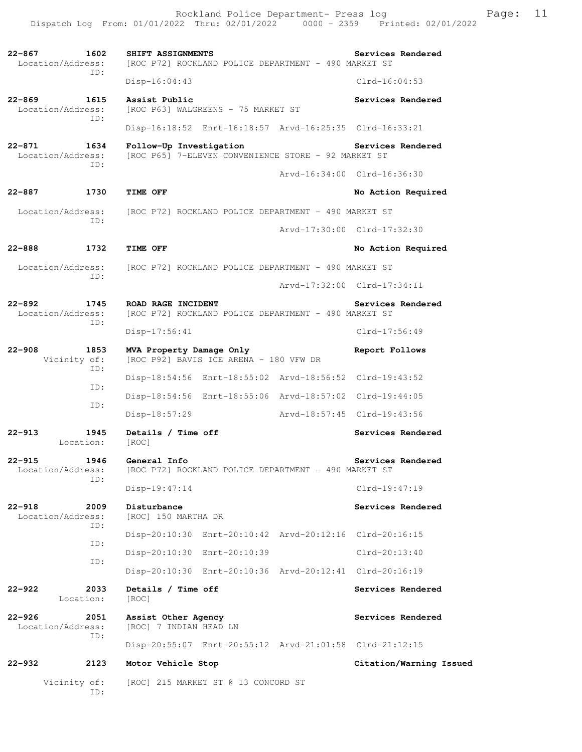Rockland Police Department- Press log Frank Page: 11 Dispatch Log From: 01/01/2022 Thru: 02/01/2022 0000 - 2359 Printed: 02/01/2022

**22-867 1602 SHIFT ASSIGNMENTS Services Rendered**  Location/Address: [ROC P72] ROCKLAND POLICE DEPARTMENT - 490 MARKET ST ID: Disp-16:04:43 Clrd-16:04:53 **22-869 1615 Assist Public Services Rendered**  Location/Address: [ROC P63] WALGREENS - 75 MARKET ST ID: Disp-16:18:52 Enrt-16:18:57 Arvd-16:25:35 Clrd-16:33:21 **22-871 1634 Follow-Up Investigation Services Rendered**  Location/Address: [ROC P65] 7-ELEVEN CONVENIENCE STORE - 92 MARKET ST ID: Arvd-16:34:00 Clrd-16:36:30 **22-887 1730 TIME OFF No Action Required**  Location/Address: [ROC P72] ROCKLAND POLICE DEPARTMENT - 490 MARKET ST ID: Arvd-17:30:00 Clrd-17:32:30 **22-888 1732 TIME OFF No Action Required**  Location/Address: [ROC P72] ROCKLAND POLICE DEPARTMENT - 490 MARKET ST ID: Arvd-17:32:00 Clrd-17:34:11 **22-892 1745 ROAD RAGE INCIDENT Services Rendered**  Location/Address: [ROC P72] ROCKLAND POLICE DEPARTMENT - 490 MARKET ST ID: Disp-17:56:41 Clrd-17:56:49 **22-908 1853 MVA Property Damage Only Report Follows**  Vicinity of: [ROC P92] BAVIS ICE ARENA - 180 VFW DR ID: Disp-18:54:56 Enrt-18:55:02 Arvd-18:56:52 Clrd-19:43:52 ID: Disp-18:54:56 Enrt-18:55:06 Arvd-18:57:02 Clrd-19:44:05 ID: Disp-18:57:29 Arvd-18:57:45 Clrd-19:43:56 **22-913 1945 Details / Time off Services Rendered**  Location: [ROC] **22-915 1946 General Info Services Rendered**  Location/Address: [ROC P72] ROCKLAND POLICE DEPARTMENT - 490 MARKET ST ID: Disp-19:47:14 Clrd-19:47:19 **22-918 2009 Disturbance Services Rendered**  Location/Address: [ROC] 150 MARTHA DR ID: Disp-20:10:30 Enrt-20:10:42 Arvd-20:12:16 Clrd-20:16:15 ID: Disp-20:10:30 Enrt-20:10:39 Clrd-20:13:40 ID: Disp-20:10:30 Enrt-20:10:36 Arvd-20:12:41 Clrd-20:16:19 **22-922 2033 Details / Time off Services Rendered**  Location: [ROC] **22-926 2051 Assist Other Agency Services Rendered**  Location/Address: [ROC] 7 INDIAN HEAD LN ID: Disp-20:55:07 Enrt-20:55:12 Arvd-21:01:58 Clrd-21:12:15 **22-932 2123 Motor Vehicle Stop Citation/Warning Issued**  Vicinity of: [ROC] 215 MARKET ST @ 13 CONCORD ST ID: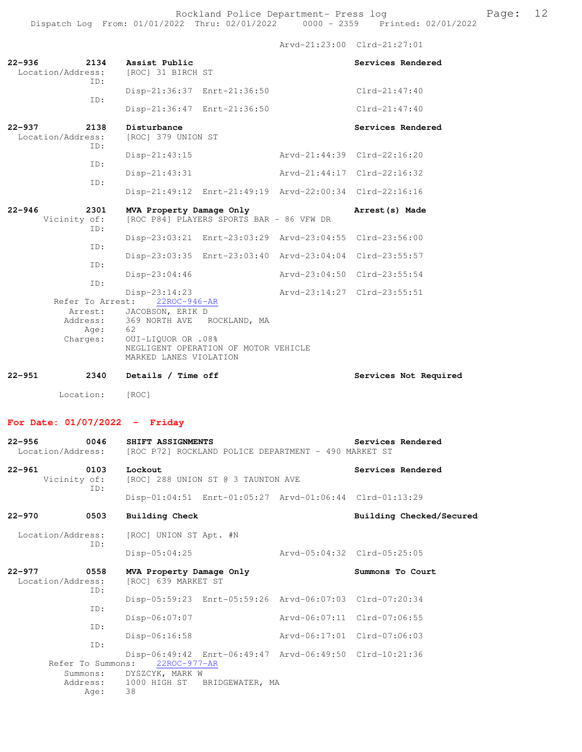Arvd-21:23:00 Clrd-21:27:01 **22-936 2134 Assist Public Services Rendered**  [ROC] 31 BIRCH ST ID: Disp-21:36:37 Enrt-21:36:50 Clrd-21:47:40 ID: Disp-21:36:47 Enrt-21:36:50 Clrd-21:47:40 **22-937** 2138 Disturbance **2138** Disturbance **Services** Rendered Location/Address: [ROC] 379 UNION ST ID: Disp-21:43:15 Arvd-21:44:39 Clrd-22:16:20 ID: Disp-21:43:31 Arvd-21:44:17 Clrd-22:16:32 ID: Disp-21:49:12 Enrt-21:49:19 Arvd-22:00:34 Clrd-22:16:16 **22-946 2301 MVA Property Damage Only Arrest(s) Made**  [ROC P84] PLAYERS SPORTS BAR - 86 VFW DR ID: Disp-23:03:21 Enrt-23:03:29 Arvd-23:04:55 Clrd-23:56:00 ID: Disp-23:03:35 Enrt-23:03:40 Arvd-23:04:04 Clrd-23:55:57 ID: Disp-23:04:46 Arvd-23:04:50 Clrd-23:55:54

 Disp-23:14:23 Arvd-23:14:27 Clrd-23:55:51 Refer To Arrest: 22ROC-946-AR Arrest: JACOBSON, ERIK D Address: 369 NORTH AVE ROCKLAND, MA<br>Aqe: 62 Age: Charges: OUI-LIQUOR OR .08% NEGLIGENT OPERATION OF MOTOR VEHICLE MARKED LANES VIOLATION **22-951 2340 Details / Time off Services Not Required** 

Location: [ROC]

ID:

## **For Date: 01/07/2022 - Friday**

| $22 - 956$                      | 0046              | SHIFT ASSIGNMENTS<br>Location/Address: [ROC P72] ROCKLAND POLICE DEPARTMENT - 490 MARKET ST                                                                    |                             | Services Rendered        |  |
|---------------------------------|-------------------|----------------------------------------------------------------------------------------------------------------------------------------------------------------|-----------------------------|--------------------------|--|
| $22 - 961$<br>0103              | TD:               | Lockout<br>Vicinity of: [ROC] 288 UNION ST @ 3 TAUNTON AVE                                                                                                     |                             | Services Rendered        |  |
|                                 |                   | Disp-01:04:51 Enrt-01:05:27 Arvd-01:06:44 Clrd-01:13:29                                                                                                        |                             |                          |  |
| $22 - 970$                      | 0503              | <b>Building Check</b>                                                                                                                                          |                             | Building Checked/Secured |  |
| Location/Address:               | TD:               | [ROC] UNION ST Apt. #N                                                                                                                                         |                             |                          |  |
|                                 |                   | $Disp-05:04:25$                                                                                                                                                | Arvd-05:04:32 Clrd-05:25:05 |                          |  |
| $22 - 977$<br>Location/Address: | 0558<br>ID:       | MVA Property Damage Only<br>[ROC] 639 MARKET ST                                                                                                                |                             | Summons To Court         |  |
|                                 | ID:               | Disp-05:59:23 Enrt-05:59:26 Arvd-06:07:03 Clrd-07:20:34                                                                                                        |                             |                          |  |
|                                 |                   | Disp-06:07:07                                                                                                                                                  | Aryd-06:07:11 Clrd-07:06:55 |                          |  |
|                                 | ID:               | $Disp-06:16:58$                                                                                                                                                | Arvd-06:17:01 Clrd-07:06:03 |                          |  |
|                                 | TD:<br>38<br>Age: | Disp-06:49:42 Enrt-06:49:47 Arvd-06:49:50 Clrd-10:21:36<br>Refer To Summons: 22ROC-977-AR<br>Summons: DYSZCYK, MARK W<br>Address: 1000 HIGH ST BRIDGEWATER, MA |                             |                          |  |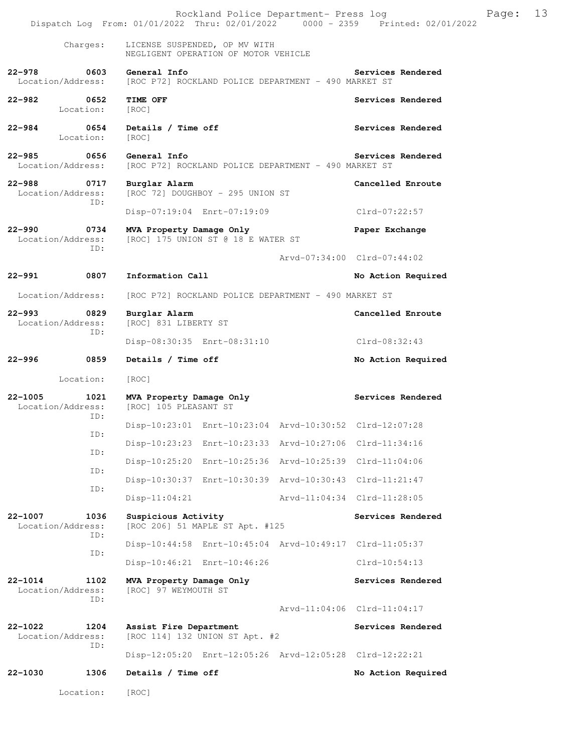|         |                                  | Dispatch Log From: 01/01/2022 Thru: 02/01/2022   0000 - 2359   Printed: 02/01/2022                 | Rockland Police Department- Press log | Page: | 13 |
|---------|----------------------------------|----------------------------------------------------------------------------------------------------|---------------------------------------|-------|----|
|         | Charges:                         | LICENSE SUSPENDED, OP MV WITH<br>NEGLIGENT OPERATION OF MOTOR VEHICLE                              |                                       |       |    |
|         |                                  | 22-978 0603 General Info<br>Location/Address: [ROC P72] ROCKLAND POLICE DEPARTMENT - 490 MARKET ST | Services Rendered                     |       |    |
|         | 22-982 0652<br>Location:         | TIME OFF<br>[ROC]                                                                                  | Services Rendered                     |       |    |
| 22-984  | 0654<br>Location:                | Details / Time off<br>[ROC]                                                                        | Services Rendered                     |       |    |
|         | Location/Address:                | 22-985 0656 General Info<br>[ROC P72] ROCKLAND POLICE DEPARTMENT - 490 MARKET ST                   | Services Rendered                     |       |    |
|         | 22-988 0717<br>Location/Address: | Burglar Alarm<br>[ROC 72] DOUGHBOY - 295 UNION ST                                                  | Cancelled Enroute                     |       |    |
|         | ID:                              | Disp-07:19:04 Enrt-07:19:09                                                                        | Clrd-07:22:57                         |       |    |
|         | 22-990 0734<br>Location/Address: | MVA Property Damage Only<br>[ROC] 175 UNION ST @ 18 E WATER ST                                     | Paper Exchange                        |       |    |
|         | ID:                              |                                                                                                    | Arvd-07:34:00 Clrd-07:44:02           |       |    |
|         | 22-991 0807                      | Information Call                                                                                   | No Action Required                    |       |    |
|         | Location/Address:                | [ROC P72] ROCKLAND POLICE DEPARTMENT - 490 MARKET ST                                               |                                       |       |    |
| 22–993  | 0829<br>Location/Address:        | Burglar Alarm<br>[ROC] 831 LIBERTY ST                                                              | Cancelled Enroute                     |       |    |
|         | ID:                              | Disp-08:30:35 Enrt-08:31:10                                                                        | Clrd-08:32:43                         |       |    |
|         | 22-996 0859                      | Details / Time off                                                                                 | No Action Required                    |       |    |
|         | Location:                        | [ROC]                                                                                              |                                       |       |    |
|         | ID:                              | 22-1005 1021 MVA Property Damage Only<br>Location/Address: [ROC] 105 PLEASANT ST                   | Services Rendered                     |       |    |
|         | ID:                              | Disp-10:23:01 Enrt-10:23:04 Arvd-10:30:52 Clrd-12:07:28                                            |                                       |       |    |
|         | ID:                              | Disp-10:23:23 Enrt-10:23:33 Arvd-10:27:06 Clrd-11:34:16                                            |                                       |       |    |
|         |                                  | Disp-10:25:20 Enrt-10:25:36 Arvd-10:25:39 Clrd-11:04:06                                            |                                       |       |    |
|         | ID:                              | Disp-10:30:37 Enrt-10:30:39 Arvd-10:30:43 Clrd-11:21:47                                            |                                       |       |    |
|         | ID:                              | $Disp-11:04:21$                                                                                    | Arvd-11:04:34 Clrd-11:28:05           |       |    |
| 22-1007 | 1036<br>Location/Address:<br>ID: | Suspicious Activity<br>[ROC 206] 51 MAPLE ST Apt. #125                                             | Services Rendered                     |       |    |
|         | ID:                              | Disp-10:44:58 Enrt-10:45:04 Arvd-10:49:17 Clrd-11:05:37                                            |                                       |       |    |
|         |                                  | Disp-10:46:21 Enrt-10:46:26                                                                        | $Clrd-10:54:13$                       |       |    |
| 22-1014 | 1102<br>Location/Address:<br>ID: | MVA Property Damage Only<br>[ROC] 97 WEYMOUTH ST                                                   | Services Rendered                     |       |    |
|         |                                  |                                                                                                    | Arvd-11:04:06 Clrd-11:04:17           |       |    |
| 22-1022 | 1204<br>Location/Address:<br>ID: | Assist Fire Department<br>[ROC 114] 132 UNION ST Apt. #2                                           | Services Rendered                     |       |    |
|         |                                  | Disp-12:05:20 Enrt-12:05:26 Arvd-12:05:28 Clrd-12:22:21                                            |                                       |       |    |
| 22-1030 | 1306                             | Details / Time off                                                                                 | No Action Required                    |       |    |
|         | Location:                        | [ROC]                                                                                              |                                       |       |    |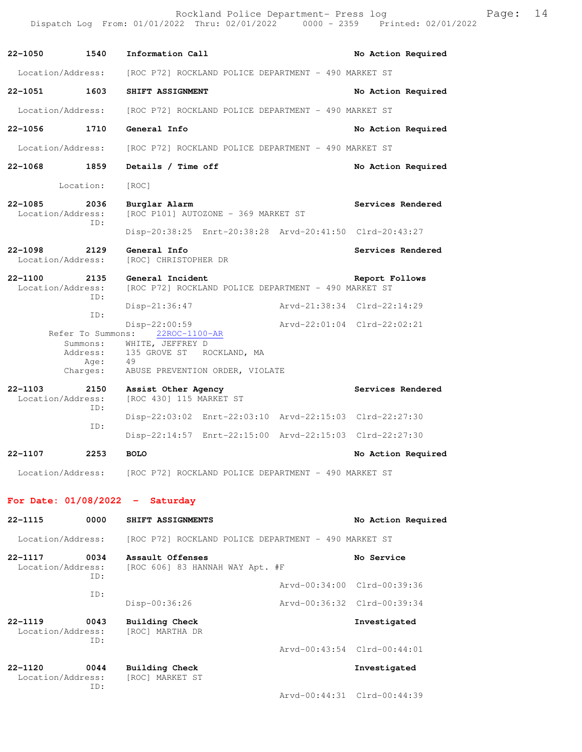Rockland Police Department- Press log Frank Page: 14 Dispatch Log From: 01/01/2022 Thru: 02/01/2022 0000 - 2359 Printed: 02/01/2022

**22-1050 1540 Information Call No Action Required**  Location/Address: [ROC P72] ROCKLAND POLICE DEPARTMENT - 490 MARKET ST **22-1051 1603 SHIFT ASSIGNMENT No Action Required**  Location/Address: [ROC P72] ROCKLAND POLICE DEPARTMENT - 490 MARKET ST **22-1056 1710 General Info No Action Required**  Location/Address: [ROC P72] ROCKLAND POLICE DEPARTMENT - 490 MARKET ST **22-1068 1859 Details / Time off No Action Required**  Location: [ROC] **22-1085 2036 Burglar Alarm Services Rendered**  Location/Address: [ROC P101] AUTOZONE - 369 MARKET ST ID: Disp-20:38:25 Enrt-20:38:28 Arvd-20:41:50 Clrd-20:43:27 **22-1098 2129 General Info Services Rendered**  Location/Address: [ROC] CHRISTOPHER DR **22-1100 2135 General Incident Report Follows**  Location/Address: [ROC P72] ROCKLAND POLICE DEPARTMENT - 490 MARKET ST ID: Disp-21:36:47 Arvd-21:38:34 Clrd-22:14:29 ID: Disp-22:00:59 <br>hrvd-22:01:04 Clrd-22:02:21<br>22ROC-1100-AR Refer To Summons: Summons: WHITE, JEFFREY D Address: 135 GROVE ST ROCKLAND, MA Age: 49<br>Charges: ABI ABUSE PREVENTION ORDER, VIOLATE **22-1103 2150 Assist Other Agency Services Rendered**  Location/Address: [ROC 430] 115 MARKET ST ID: Disp-22:03:02 Enrt-22:03:10 Arvd-22:15:03 Clrd-22:27:30 ID: Disp-22:14:57 Enrt-22:15:00 Arvd-22:15:03 Clrd-22:27:30 **22-1107 2253 BOLO No Action Required**  Location/Address: [ROC P72] ROCKLAND POLICE DEPARTMENT - 490 MARKET ST **For Date: 01/08/2022 - Saturday 22-1115 0000 SHIFT ASSIGNMENTS No Action Required**  Location/Address: [ROC P72] ROCKLAND POLICE DEPARTMENT - 490 MARKET ST

**22-1117 0034 Assault Offenses No Service**  Location/Address: [ROC 606] 83 HANNAH WAY Apt. #F ID: Arvd-00:34:00 Clrd-00:39:36 ID: Disp-00:36:26 Arvd-00:36:32 Clrd-00:39:34

**22-1119 0043 Building Check Investigated**  Location/Address: [ROC] MARTHA DR ID: Arvd-00:43:54 Clrd-00:44:01

**22-1120 0044 Building Check Investigated**  Location/Address: [ROC] MARKET ST ID:

Arvd-00:44:31 Clrd-00:44:39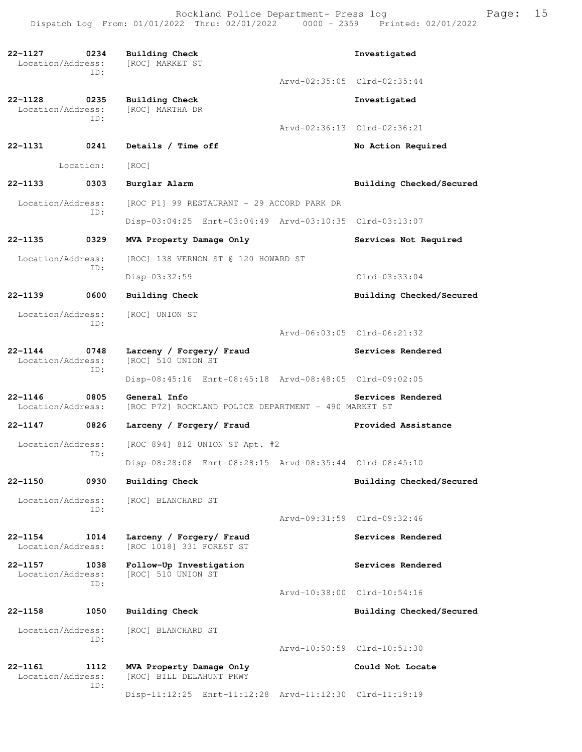Rockland Police Department- Press log Freed Page: 15 Dispatch Log From: 01/01/2022 Thru: 02/01/2022 0000 - 2359 Printed: 02/01/2022

**22-1127 0234 Building Check Investigated**  Location/Address: [ROC] MARKET ST ID: Arvd-02:35:05 Clrd-02:35:44 **22-1128 0235 Building Check 1128 1128 0235 Building Check Investigated Investigated** Location/Address: ID: Arvd-02:36:13 Clrd-02:36:21 **22-1131 0241 Details / Time off No Action Required**  Location: [ROC] **22-1133 0303 Burglar Alarm Building Checked/Secured**  Location/Address: [ROC P1] 99 RESTAURANT - 29 ACCORD PARK DR ID: Disp-03:04:25 Enrt-03:04:49 Arvd-03:10:35 Clrd-03:13:07 **22-1135 0329 MVA Property Damage Only Services Not Required**  Location/Address: [ROC] 138 VERNON ST @ 120 HOWARD ST ID: Disp-03:32:59 Clrd-03:33:04 **22-1139 0600 Building Check Building Checked/Secured**  Location/Address: [ROC] UNION ST ID: Arvd-06:03:05 Clrd-06:21:32 **22-1144 0748 Larceny / Forgery/ Fraud Services Rendered**  Location/Address: [ROC] 510 UNION ST ID: Disp-08:45:16 Enrt-08:45:18 Arvd-08:48:05 Clrd-09:02:05 **22-1146** 0805 General Info<br>Location/Address: [ROC P72] ROCKLAND POLICE DEPARTMENT - 490 MARKET ST [ROC P72] ROCKLAND POLICE DEPARTMENT - 490 MARKET ST **22-1147 0826 Larceny / Forgery/ Fraud Provided Assistance**  Location/Address: [ROC 894] 812 UNION ST Apt. #2 ID: Disp-08:28:08 Enrt-08:28:15 Arvd-08:35:44 Clrd-08:45:10 **22-1150 0930 Building Check Building Checked/Secured**  Location/Address: [ROC] BLANCHARD ST ID: Arvd-09:31:59 Clrd-09:32:46 **22-1154 1014 Larceny / Forgery/ Fraud Services Rendered**  Location/Address: [ROC 1018] 331 FOREST ST **22-1157 1038 Follow-Up Investigation Services Rendered**  [ROC] 510 UNION ST ID: Arvd-10:38:00 Clrd-10:54:16 **22-1158 1050 Building Check Building Checked/Secured**  Location/Address: [ROC] BLANCHARD ST ID: Arvd-10:50:59 Clrd-10:51:30 **22-1161 1112 MVA Property Damage Only Could Not Locate**  Location/Address: [ROC] BILL DELAHUNT PKWY ID: Disp-11:12:25 Enrt-11:12:28 Arvd-11:12:30 Clrd-11:19:19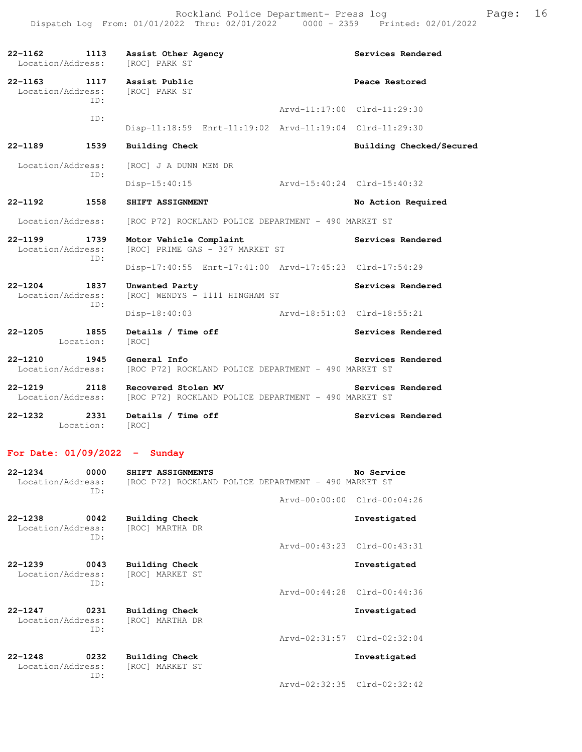| 22-1162<br>Location/Address:                    |                   | 1113 Assist Other Agency<br>[ROC] PARK ST                                   | Services Rendered           |
|-------------------------------------------------|-------------------|-----------------------------------------------------------------------------|-----------------------------|
| 22-1163 1117 Assist Public<br>Location/Address: | TD:               | [ROC] PARK ST                                                               | Peace Restored              |
|                                                 |                   |                                                                             | Arvd-11:17:00 Clrd-11:29:30 |
|                                                 | ID:               | Disp-11:18:59 Enrt-11:19:02 Arvd-11:19:04 Clrd-11:29:30                     |                             |
| 22-1189                                         | 1539              | <b>Building Check</b>                                                       | Building Checked/Secured    |
| Location/Address:                               | TD:               | [ROC] J A DUNN MEM DR                                                       |                             |
|                                                 |                   | $Disp-15:40:15$                                                             | Arvd-15:40:24 Clrd-15:40:32 |
| 22-1192                                         | 1558              | SHIFT ASSIGNMENT                                                            | No Action Required          |
| Location/Address:                               |                   | [ROC P72] ROCKLAND POLICE DEPARTMENT - 490 MARKET ST                        |                             |
| $22 - 1199$<br>Location/Address:                | 1739<br>ID:       | Motor Vehicle Complaint<br>[ROC] PRIME GAS - 327 MARKET ST                  | Services Rendered           |
|                                                 |                   | Disp-17:40:55 Enrt-17:41:00 Arvd-17:45:23 Clrd-17:54:29                     |                             |
| $22 - 1204$<br>Location/Address:                | 1837<br>TD:       | Unwanted Party<br>[ROC] WENDYS - 1111 HINGHAM ST                            | Services Rendered           |
|                                                 |                   | $Disp-18:40:03$                                                             | Arvd-18:51:03 Clrd-18:55:21 |
| $22 - 1205$                                     | 1855<br>Location: | Details / Time off<br>[ROC]                                                 | Services Rendered           |
| $22 - 1210$<br>Location/Address:                | 1945              | General Info<br>[ROC P72] ROCKLAND POLICE DEPARTMENT - 490 MARKET ST        | Services Rendered           |
| $22 - 1219$<br>Location/Address:                | 2118              | Recovered Stolen MV<br>[ROC P72] ROCKLAND POLICE DEPARTMENT - 490 MARKET ST | Services Rendered           |
| $22 - 1232$<br>Location:                        | 2331              | Details / Time off<br>[ROC]                                                 | Services Rendered           |

# **For Date: 01/09/2022 - Sunday**

| $22 - 1234$<br>Location/Address: | 0000<br>ID: | SHIFT ASSIGNMENTS<br>[ROC P72] ROCKLAND POLICE DEPARTMENT - 490 MARKET ST | No Service                  |
|----------------------------------|-------------|---------------------------------------------------------------------------|-----------------------------|
|                                  |             |                                                                           | Arvd-00:00:00 Clrd-00:04:26 |
| $22 - 1238$<br>Location/Address: | 0042<br>TD: | Building Check<br>[ROC] MARTHA DR                                         | Investigated                |
|                                  |             |                                                                           | Arvd-00:43:23 Clrd-00:43:31 |
| $22 - 1239$<br>Location/Address: | 0043<br>TD: | Building Check<br>[ROC] MARKET ST                                         | Investigated                |
|                                  |             |                                                                           | Arvd-00:44:28 Clrd-00:44:36 |
| $22 - 1247$<br>Location/Address: | 0231<br>ID: | Building Check<br>[ROC] MARTHA DR                                         | Investigated                |
|                                  |             |                                                                           | Arvd-02:31:57 Clrd-02:32:04 |
| $22 - 1248$<br>Location/Address: | 0232<br>TD: | Building Check<br>[ROC] MARKET ST                                         | Investigated                |
|                                  |             |                                                                           | Arvd-02:32:35 Clrd-02:32:42 |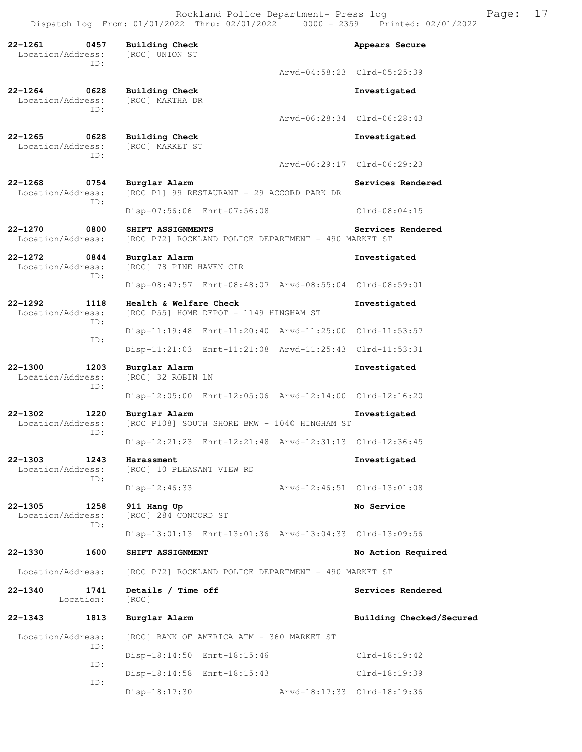Rockland Police Department- Press log Fage: 17 Dispatch Log From: 01/01/2022 Thru: 02/01/2022 0000 - 2359 Printed: 02/01/2022

**22-1261 0457 Building Check Appears Secure**  Location/Address: [ROC] UNION ST ID: Arvd-04:58:23 Clrd-05:25:39 **22-1264 0628 Building Check Investigated**  Location/Address: ID: Arvd-06:28:34 Clrd-06:28:43 **22-1265 0628 Building Check Investigated**  Location/Address: ID: Arvd-06:29:17 Clrd-06:29:23 **22-1268 0754 Burglar Alarm Services Rendered**  Location/Address: [ROC P1] 99 RESTAURANT - 29 ACCORD PARK DR ID: Disp-07:56:06 Enrt-07:56:08 Clrd-08:04:15 **22-1270 0800 SHIFT ASSIGNMENTS Services Rendered**  Location/Address: [ROC P72] ROCKLAND POLICE DEPARTMENT - 490 MARKET ST **22-1272 0844 Burglar Alarm Investigated**  [ROC] 78 PINE HAVEN CIR ID: Disp-08:47:57 Enrt-08:48:07 Arvd-08:55:04 Clrd-08:59:01 **22-1292 1118 Health & Welfare Check Investigated**  Location/Address: [ROC P55] HOME DEPOT - 1149 HINGHAM ST ID: Disp-11:19:48 Enrt-11:20:40 Arvd-11:25:00 Clrd-11:53:57 ID: Disp-11:21:03 Enrt-11:21:08 Arvd-11:25:43 Clrd-11:53:31 **22-1300 1203 Burglar Alarm Investigated**  [ROC] 32 ROBIN LN ID: Disp-12:05:00 Enrt-12:05:06 Arvd-12:14:00 Clrd-12:16:20 **22-1302 1220 Burglar Alarm Investigated**  Location/Address: [ROC P108] SOUTH SHORE BMW - 1040 HINGHAM ST ID: Disp-12:21:23 Enrt-12:21:48 Arvd-12:31:13 Clrd-12:36:45 **22-1303 1243 Harassment Investigated**  [ROC] 10 PLEASANT VIEW RD ID: Disp-12:46:33 Arvd-12:46:51 Clrd-13:01:08 **22-1305 1258 911 Hang Up No Service**  Location/Address: [ROC] 284 CONCORD ST ID: Disp-13:01:13 Enrt-13:01:36 Arvd-13:04:33 Clrd-13:09:56 **22-1330 1600 SHIFT ASSIGNMENT No Action Required**  Location/Address: [ROC P72] ROCKLAND POLICE DEPARTMENT - 490 MARKET ST **22-1340 1741 Details / Time off Services Rendered**  Location: [ROC] **22-1343 1813 Burglar Alarm Building Checked/Secured**  Location/Address: [ROC] BANK OF AMERICA ATM - 360 MARKET ST ID: Disp-18:14:50 Enrt-18:15:46 Clrd-18:19:42 ID: Disp-18:14:58 Enrt-18:15:43 Clrd-18:19:39 ID: Disp-18:17:30 Arvd-18:17:33 Clrd-18:19:36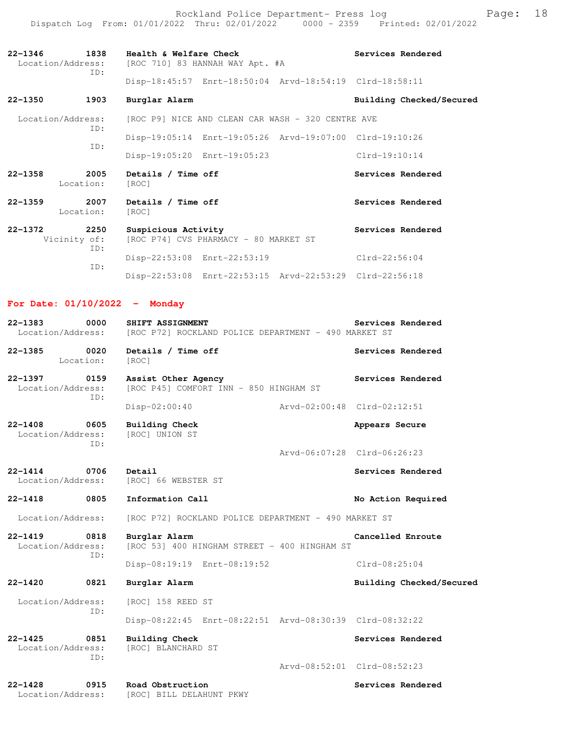Rockland Police Department- Press log entitled and Page: 18 Dispatch Log From: 01/01/2022 Thru: 02/01/2022 0000 - 2359 Printed: 02/01/2022

| 1838<br>$22 - 1346$<br>Location/Address:<br>TD: | Health & Welfare Check<br>[ROC 710] 83 HANNAH WAY Apt. #A    | Services Rendered        |
|-------------------------------------------------|--------------------------------------------------------------|--------------------------|
|                                                 | Disp-18:45:57 Enrt-18:50:04 Arvd-18:54:19 Clrd-18:58:11      |                          |
| $22 - 1350$<br>1903                             | Burglar Alarm                                                | Building Checked/Secured |
| Location/Address:                               | [ROC P9] NICE AND CLEAN CAR WASH - 320 CENTRE AVE            |                          |
| TD:                                             | Disp-19:05:14 Enrt-19:05:26 Arvd-19:07:00 Clrd-19:10:26      |                          |
| TD:                                             | Disp-19:05:20 Enrt-19:05:23                                  | $Clrd-19:10:14$          |
| $22 - 1358$<br>2005<br>Location:                | Details / Time off<br>[ROC]                                  | Services Rendered        |
| 2007<br>$22 - 1359$<br>Location:                | Details / Time off<br>[ROC]                                  | Services Rendered        |
| 2250<br>$22 - 1372$<br>Vicinity of:<br>ID:      | Suspicious Activity<br>[ROC P74] CVS PHARMACY - 80 MARKET ST | Services Rendered        |
| ID:                                             | Disp-22:53:08 Enrt-22:53:19                                  | $Clrd-22:56:04$          |

Disp-22:53:08 Enrt-22:53:15 Arvd-22:53:29 Clrd-22:56:18

### **For Date: 01/10/2022 - Monday**

| $22 - 1383$<br>0000<br>Location/Address:        | SHIFT ASSIGNMENT<br>[ROC P72] ROCKLAND POLICE DEPARTMENT - 490 MARKET ST | Services Rendered           |
|-------------------------------------------------|--------------------------------------------------------------------------|-----------------------------|
| 0020<br>$22 - 1385$<br>Location:                | Details / Time off<br>[ROC]                                              | Services Rendered           |
| 22-1397<br>0159<br>Location/Address:<br>ID:     | Assist Other Agency<br>[ROC P45] COMFORT INN - 850 HINGHAM ST            | Services Rendered           |
|                                                 | Disp-02:00:40<br>Arvd-02:00:48 Clrd-02:12:51                             |                             |
| $22 - 1408$<br>0605<br>Location/Address:<br>ID: | <b>Building Check</b><br>[ROC] UNION ST                                  | Appears Secure              |
|                                                 |                                                                          | Arvd-06:07:28 Clrd-06:26:23 |
| 0706<br>$22 - 1414$<br>Location/Address:        | Detail<br>[ROC] 66 WEBSTER ST                                            | Services Rendered           |
| $22 - 1418$<br>0805                             | Information Call                                                         | No Action Required          |
| Location/Address:                               | [ROC P72] ROCKLAND POLICE DEPARTMENT - 490 MARKET ST                     |                             |
| $22 - 1419$<br>0818<br>Location/Address:<br>ID: | Burglar Alarm<br>[ROC 53] 400 HINGHAM STREET - 400 HINGHAM ST            | Cancelled Enroute           |
|                                                 | Disp-08:19:19 Enrt-08:19:52                                              | $Clrd-08:25:04$             |
| $22 - 1420$<br>0821                             | Burglar Alarm                                                            | Building Checked/Secured    |
| Location/Address:                               | [ROC] 158 REED ST                                                        |                             |
| ID:                                             | Disp-08:22:45 Enrt-08:22:51 Arvd-08:30:39 Clrd-08:32:22                  |                             |
| $22 - 1425$<br>0851<br>Location/Address:<br>ID: | <b>Building Check</b><br>[ROC] BLANCHARD ST                              | Services Rendered           |
|                                                 |                                                                          | Arvd-08:52:01 Clrd-08:52:23 |
| $22 - 1428$<br>0915<br>Location/Address:        | Road Obstruction<br>[ROC] BILL DELAHUNT PKWY                             | Services Rendered           |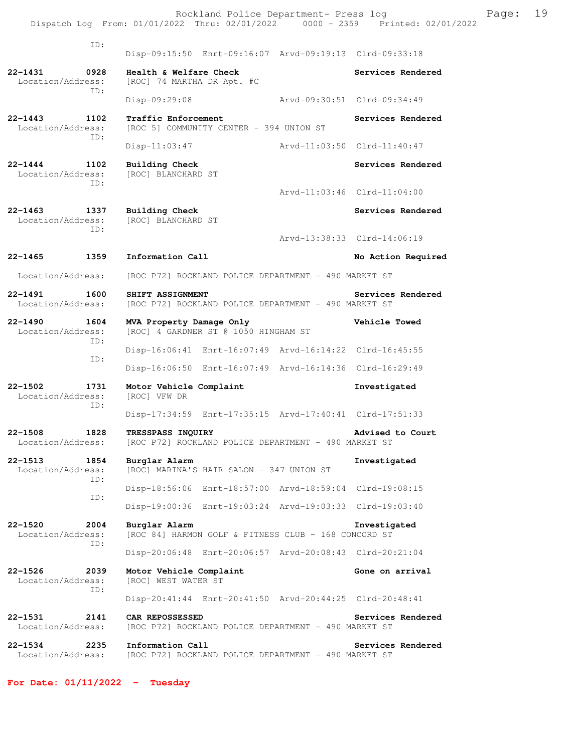ID: Disp-09:15:50 Enrt-09:16:07 Arvd-09:19:13 Clrd-09:33:18 **22-1431 0928 Health & Welfare Check Services Rendered**  Location/Address: [ROC] 74 MARTHA DR Apt. #C ID: Disp-09:29:08 Arvd-09:30:51 Clrd-09:34:49 **22-1443 1102 Traffic Enforcement Services Rendered**  Location/Address: [ROC 5] COMMUNITY CENTER - 394 UNION ST ID: Disp-11:03:47 Arvd-11:03:50 Clrd-11:40:47 **22-1444 1102 Building Check Services Rendered**  Location/Address: [ROC] BLANCHARD ST ID: Arvd-11:03:46 Clrd-11:04:00 **22-1463 1337 Building Check Services Rendered**  Location/Address: [ROC] BLANCHARD ST ID: Arvd-13:38:33 Clrd-14:06:19 **22-1465 1359 Information Call No Action Required**  Location/Address: [ROC P72] ROCKLAND POLICE DEPARTMENT - 490 MARKET ST **22-1491 1600 SHIFT ASSIGNMENT Services Rendered**  Location/Address: [ROC P72] ROCKLAND POLICE DEPARTMENT - 490 MARKET ST **22-1490 1604 MVA Property Damage Only Vehicle Towed**  Location/Address: [ROC] 4 GARDNER ST @ 1050 HINGHAM ST ID: Disp-16:06:41 Enrt-16:07:49 Arvd-16:14:22 Clrd-16:45:55 ID: Disp-16:06:50 Enrt-16:07:49 Arvd-16:14:36 Clrd-16:29:49 **22-1502 1731 Motor Vehicle Complaint Investigated**  Location/Address: [ROC] VFW DR ID: Disp-17:34:59 Enrt-17:35:15 Arvd-17:40:41 Clrd-17:51:33 **22-1508 1828 TRESSPASS INQUIRY Advised to Court**  Location/Address: [ROC P72] ROCKLAND POLICE DEPARTMENT - 490 MARKET ST **22-1513 1854 Burglar Alarm Investigated**  Location/Address: [ROC] MARINA'S HAIR SALON - 347 UNION ST ID: Disp-18:56:06 Enrt-18:57:00 Arvd-18:59:04 Clrd-19:08:15 ID: Disp-19:00:36 Enrt-19:03:24 Arvd-19:03:33 Clrd-19:03:40 **22-1520 2004 Burglar Alarm Investigated**  Location/Address: [ROC 84] HARMON GOLF & FITNESS CLUB - 168 CONCORD ST ID: Disp-20:06:48 Enrt-20:06:57 Arvd-20:08:43 Clrd-20:21:04 **22-1526 2039 Motor Vehicle Complaint Gone on arrival**  Location/Address: [ROC] WEST WATER ST ID: Disp-20:41:44 Enrt-20:41:50 Arvd-20:44:25 Clrd-20:48:41 **22-1531 2141 CAR REPOSSESSED Services Rendered**  Location/Address: [ROC P72] ROCKLAND POLICE DEPARTMENT - 490 MARKET ST **22-1534 2235 Information Call Services Rendered**  Location/Address: [ROC P72] ROCKLAND POLICE DEPARTMENT - 490 MARKET ST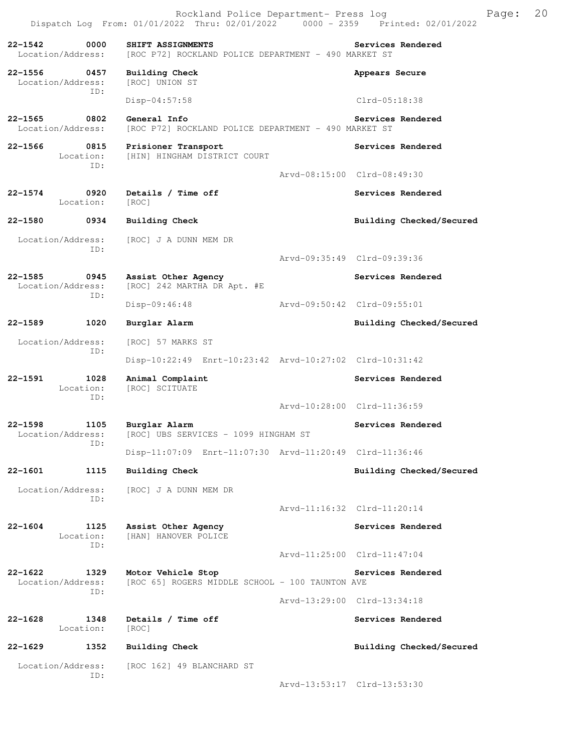**22-1542 0000 SHIFT ASSIGNMENTS Services Rendered**  Location/Address: [ROC P72] ROCKLAND POLICE DEPARTMENT - 490 MARKET ST **22-1556 0457 Building Check Appears Secure**  Location/Address: [ROC] UNION ST ID: Disp-04:57:58 Clrd-05:18:38 **22-1565 0802 General Info Services Rendered**  Location/Address: [ROC P72] ROCKLAND POLICE DEPARTMENT - 490 MARKET ST **22-1566 0815 Prisioner Transport Services Rendered**  [HIN] HINGHAM DISTRICT COURT ID: Arvd-08:15:00 Clrd-08:49:30 22-1574 0920 Details / Time off **Services Rendered**  Location: [ROC] **22-1580 0934 Building Check Building Checked/Secured**  Location/Address: [ROC] J A DUNN MEM DR ID: Arvd-09:35:49 Clrd-09:39:36 **22-1585 0945 Assist Other Agency Services Rendered**  Location/Address: [ROC] 242 MARTHA DR Apt. #E ID: Disp-09:46:48 Arvd-09:50:42 Clrd-09:55:01 **22-1589 1020 Burglar Alarm Building Checked/Secured**  Location/Address: [ROC] 57 MARKS ST ID: Disp-10:22:49 Enrt-10:23:42 Arvd-10:27:02 Clrd-10:31:42 22-1591 1028 Animal Complaint **Services Rendered**  Location: [ROC] SCITUATE ID: Arvd-10:28:00 Clrd-11:36:59 **22-1598 1105 Burglar Alarm Services Rendered**  Location/Address: [ROC] UBS SERVICES - 1099 HINGHAM ST ID: Disp-11:07:09 Enrt-11:07:30 Arvd-11:20:49 Clrd-11:36:46 **22-1601 1115 Building Check Building Checked/Secured**  Location/Address: [ROC] J A DUNN MEM DR ID: Arvd-11:16:32 Clrd-11:20:14 **22-1604 1125 Assist Other Agency Services Rendered**  Location: [HAN] HANOVER POLICE ID: Arvd-11:25:00 Clrd-11:47:04 **22-1622 1329 Motor Vehicle Stop Services Rendered**  Location/Address: [ROC 65] ROGERS MIDDLE SCHOOL - 100 TAUNTON AVE ID: Arvd-13:29:00 Clrd-13:34:18 22-1628 1348 Details / Time off **Services Rendered**  Location: [ROC] **22-1629 1352 Building Check Building Checked/Secured**  Location/Address: [ROC 162] 49 BLANCHARD ST ID: Arvd-13:53:17 Clrd-13:53:30

Dispatch Log From: 01/01/2022 Thru: 02/01/2022 0000 - 2359 Printed: 02/01/2022

Rockland Police Department- Press log Freed Page: 20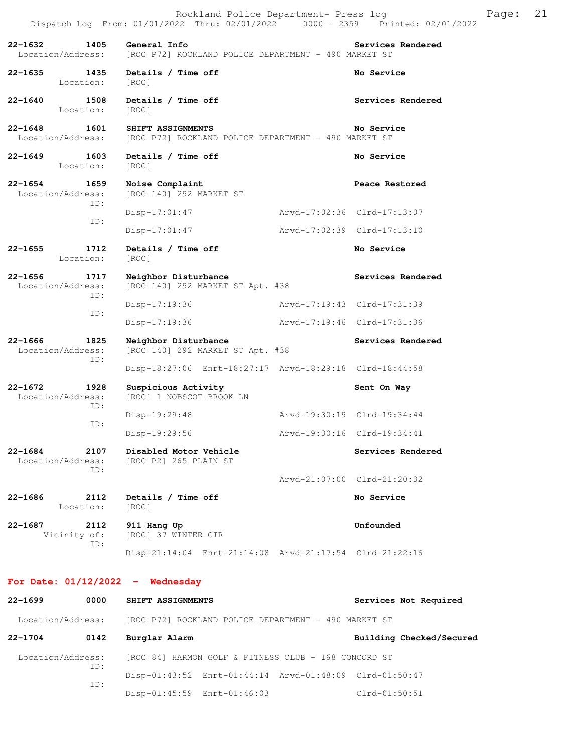Disp-17:19:36 Arvd-17:19:46 Clrd-17:31:36

Disp-18:27:06 Enrt-18:27:17 Arvd-18:29:18 Clrd-18:44:58

Disp-19:29:48 Arvd-19:30:19 Clrd-19:34:44

Arvd-21:07:00 Clrd-21:20:32

22-1640 1508 Details / Time off **Services Rendered** Location: [ROC]

**22-1648 1601 SHIFT ASSIGNMENTS No Service**  Location/Address: [ROC P72] ROCKLAND POLICE DEPARTMENT - 490 MARKET ST

**22-1649 1603 Details / Time off <b>No Service No Service No Service** Location:

**22-1654 1659 Noise Complaint Peace Restored** Location/Address: [ROC 140] 292 MARKET ST [ROC 140] 292 MARKET ST ID: Disp-17:01:47 Arvd-17:02:36 Clrd-17:13:07 ID: Disp-17:01:47 Arvd-17:02:39 Clrd-17:13:10

**22-1655 1712 Details / Time off No Service**  Location: [ROC]

**22-1656 1717 Neighbor Disturbance Services Rendered**  Location/Address: [ROC 140] 292 MARKET ST Apt. #38 ID: Disp-17:19:36 Arvd-17:19:43 Clrd-17:31:39 ID:

**22-1666 1825 Neighbor Disturbance Services Rendered**  Location/Address: [ROC 140] 292 MARKET ST Apt. #38 ID:

**22-1672 1928 Suspicious Activity Sent On Way** 

 Location/Address: [ROC] 1 NOBSCOT BROOK LN ID: ID:

 Disp-19:29:56 Arvd-19:30:16 Clrd-19:34:41 **22-1684 2107 Disabled Motor Vehicle Services Rendered**  Location/Address: [ROC P2] 265 PLAIN ST ID:

**22-1686** 2112 Details / Time off No Service **No Service** Location:

ID:

**22-1687 2112 911 Hang Up Unfounded**  Vicinity of: [ROC] 37 WINTER CIR Disp-21:14:04 Enrt-21:14:08 Arvd-21:17:54 Clrd-21:22:16

**For Date: 01/12/2022 - Wednesday**

22-1699 0000 SHIFT ASSIGNMENTS **Services Not Required**  Location/Address: [ROC P72] ROCKLAND POLICE DEPARTMENT - 490 MARKET ST **22-1704 0142 Burglar Alarm Building Checked/Secured**  Location/Address: [ROC 84] HARMON GOLF & FITNESS CLUB - 168 CONCORD ST ID: Disp-01:43:52 Enrt-01:44:14 Arvd-01:48:09 Clrd-01:50:47 ID: Disp-01:45:59 Enrt-01:46:03 Clrd-01:50:51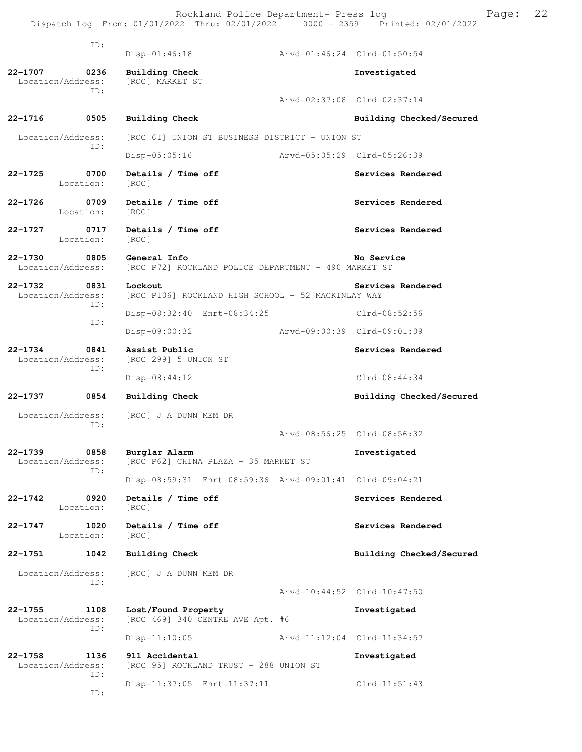Rockland Police Department- Press log entitled and Page: 22 Dispatch Log From: 01/01/2022 Thru: 02/01/2022 0000 - 2359 Printed: 02/01/2022

| ID:                                             | $Disp-01:46:18$                                                      |                             | Arvd-01:46:24 Clrd-01:50:54 |
|-------------------------------------------------|----------------------------------------------------------------------|-----------------------------|-----------------------------|
| 22-1707<br>0236<br>Location/Address:            | Building Check<br>[ROC] MARKET ST                                    |                             | Investigated                |
| ID:                                             |                                                                      |                             | Arvd-02:37:08 Clrd-02:37:14 |
| $22 - 1716$<br>0505                             | Building Check                                                       |                             | Building Checked/Secured    |
| Location/Address:<br>ID:                        | [ROC 61] UNION ST BUSINESS DISTRICT - UNION ST                       |                             |                             |
|                                                 | Disp-05:05:16                                                        | Arvd-05:05:29 Clrd-05:26:39 |                             |
| $22 - 1725$<br>0700<br>Location:                | Details / Time off<br>[ROC]                                          |                             | Services Rendered           |
| $22 - 1726$<br>0709<br>Location:                | Details / Time off<br>[ROC]                                          |                             | Services Rendered           |
| 0717<br>22-1727<br>Location:                    | Details / Time off<br>[ROC]                                          |                             | Services Rendered           |
| $22 - 1730$<br>0805<br>Location/Address:        | General Info<br>[ROC P72] ROCKLAND POLICE DEPARTMENT - 490 MARKET ST |                             | No Service                  |
| $22 - 1732$<br>0831<br>Location/Address:        | Lockout<br>[ROC P106] ROCKLAND HIGH SCHOOL - 52 MACKINLAY WAY        |                             | Services Rendered           |
| ID:                                             | Disp-08:32:40 Enrt-08:34:25                                          |                             | Clrd-08:52:56               |
| ID:                                             | Disp-09:00:32                                                        | Arvd-09:00:39 Clrd-09:01:09 |                             |
| $22 - 1734$<br>0841<br>Location/Address:<br>ID: | Assist Public<br>[ROC 299] 5 UNION ST                                |                             | Services Rendered           |
|                                                 | $Disp-08:44:12$                                                      |                             | $Clrd-08:44:34$             |
| 22-1737<br>0854                                 | <b>Building Check</b>                                                |                             | Building Checked/Secured    |
| Location/Address:<br>ID:                        | [ROC] J A DUNN MEM DR                                                |                             |                             |
|                                                 |                                                                      |                             | Arvd-08:56:25 Clrd-08:56:32 |
| $22 - 1739$<br>0858<br>Location/Address:<br>ID: | Burglar Alarm<br>[ROC P62] CHINA PLAZA - 35 MARKET ST                |                             | Investigated                |
|                                                 | Disp-08:59:31 Enrt-08:59:36 Arvd-09:01:41 Clrd-09:04:21              |                             |                             |
| $22 - 1742$<br>0920<br>Location:                | Details / Time off<br>[ROC]                                          |                             | Services Rendered           |
| $22 - 1747$<br>1020<br>Location:                | Details / Time off<br>[ROC]                                          |                             | Services Rendered           |
| 22-1751<br>1042                                 | <b>Building Check</b>                                                |                             | Building Checked/Secured    |
| Location/Address:<br>ID:                        | [ROC] J A DUNN MEM DR                                                |                             |                             |
|                                                 |                                                                      |                             | Arvd-10:44:52 Clrd-10:47:50 |
| $22 - 1755$<br>1108<br>Location/Address:<br>ID: | Lost/Found Property<br>[ROC 469] 340 CENTRE AVE Apt. #6              |                             | Investigated                |
|                                                 | $Disp-11:10:05$                                                      |                             | Arvd-11:12:04 Clrd-11:34:57 |
| $22 - 1758$<br>1136<br>Location/Address:<br>ID: | 911 Accidental<br>[ROC 95] ROCKLAND TRUST - 288 UNION ST             |                             | Investigated                |
| ID:                                             | Disp-11:37:05 Enrt-11:37:11                                          |                             | $Clrd-11:51:43$             |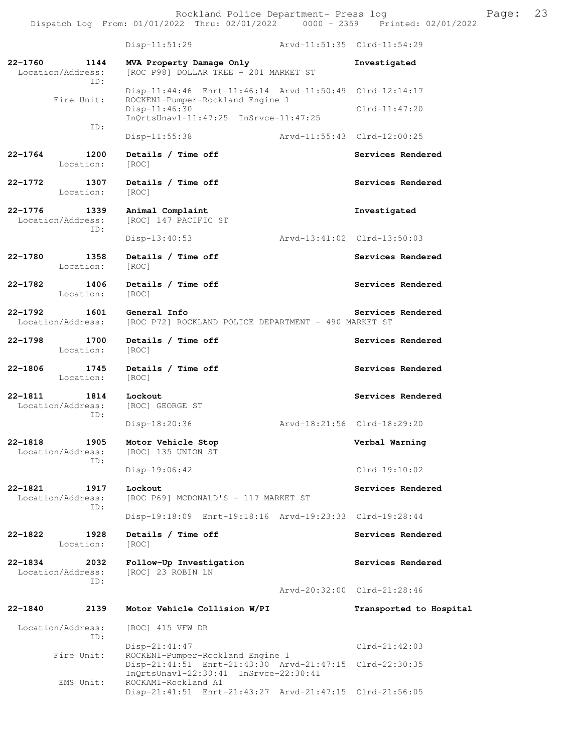Rockland Police Department- Press log Freed Page: 23

Dispatch Log From: 01/01/2022 Thru: 02/01/2022 0000 - 2359 Printed: 02/01/2022 Disp-11:51:29 Arvd-11:51:35 Clrd-11:54:29 **22-1760 1144 MVA Property Damage Only Investigated**  Location/Address: [ROC P98] DOLLAR TREE - 201 MARKET ST ID: Disp-11:44:46 Enrt-11:46:14 Arvd-11:50:49 Clrd-12:14:17 Fire Unit: ROCKEN1-Pumper-Rockland Engine 1 Disp-11:46:30 Clrd-11:47:20 InQrtsUnavl-11:47:25 InSrvce-11:47:25 ID: Disp-11:55:38 Arvd-11:55:43 Clrd-12:00:25 22-1764 1200 Details / Time off **Services Rendered** Location: [ROC] 22-1772 1307 Details / Time off **Services Rendered Services** Rendered Location: [ROC] **22-1776 1339 Animal Complaint Investigated**  Location/Address: [ROC] 147 PACIFIC ST ID: Disp-13:40:53 Arvd-13:41:02 Clrd-13:50:03 **22-1780 1358 Details / Time off Services Rendered**  Location: [ROC] 22-1782 1406 Details / Time off **Services Rendered**  Location: [ROC] **22-1792 1601 General Info Services Rendered**  Location/Address: [ROC P72] ROCKLAND POLICE DEPARTMENT - 490 MARKET ST 22-1798 1700 Details / Time off **Services Rendered**  Location: [ROC] 22-1806 1745 Details / Time off **Services Rendered** Location: [ROC] **22-1811 1814 Lockout Services Rendered**  Location/Address: [ROC] GEORGE ST ID: Disp-18:20:36 Arvd-18:21:56 Clrd-18:29:20 **22-1818 1905 Motor Vehicle Stop Verbal Warning**  Location/Address: [ROC] 135 UNION ST ID: Disp-19:06:42 Clrd-19:10:02 **22-1821 1917 Lockout Services Rendered**  Location/Address: [ROC P69] MCDONALD'S - 117 MARKET ST ID: Disp-19:18:09 Enrt-19:18:16 Arvd-19:23:33 Clrd-19:28:44 **22-1822 1928 Details / Time off Services Rendered**  Location: [ROC] **22-1834 2032 Follow-Up Investigation Services Rendered**  Location/Address: [ROC] 23 ROBIN LN ID: Arvd-20:32:00 Clrd-21:28:46 **22-1840 2139 Motor Vehicle Collision W/PI Transported to Hospital**  Location/Address: [ROC] 415 VFW DR ID: Disp-21:41:47 Clrd-21:42:03 Fire Unit: ROCKEN1-Pumper-Rockland Engine 1 Disp-21:41:51 Enrt-21:43:30 Arvd-21:47:15 Clrd-22:30:35 InQrtsUnavl-22:30:41 InSrvce-22:30:41<br>EMS Unit: ROCKAM1-Rockland A1

ROCKAM1-Rockland A1

Disp-21:41:51 Enrt-21:43:27 Arvd-21:47:15 Clrd-21:56:05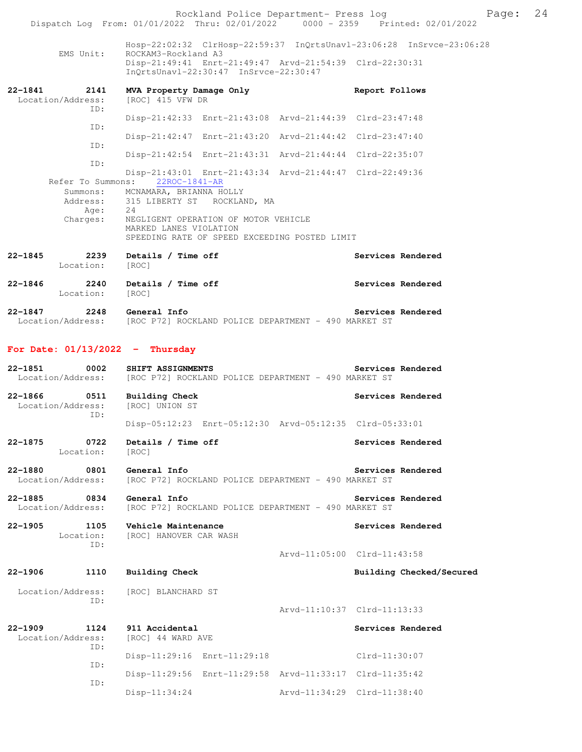|                                      | Rockland Police Department- Press log<br>Dispatch Log From: 01/01/2022 Thru: 02/01/2022 0000 - 2359 Printed: 02/01/2022 |                             |                   |                          | Page: | 24 |
|--------------------------------------|-------------------------------------------------------------------------------------------------------------------------|-----------------------------|-------------------|--------------------------|-------|----|
|                                      |                                                                                                                         |                             |                   |                          |       |    |
| EMS Unit:                            | Hosp-22:02:32 ClrHosp-22:59:37 InQrtsUnavl-23:06:28 InSrvce-23:06:28<br>ROCKAM3-Rockland A3                             |                             |                   |                          |       |    |
|                                      | Disp-21:49:41 Enrt-21:49:47 Arvd-21:54:39 Clrd-22:30:31<br>InQrtsUnavl-22:30:47 InSrvce-22:30:47                        |                             |                   |                          |       |    |
| 22-1841<br>2141                      | MVA Property Damage Only                                                                                                |                             | Report Follows    |                          |       |    |
| Location/Address:<br>ID:             | [ROC] 415 VFW DR                                                                                                        |                             |                   |                          |       |    |
| ID:                                  | Disp-21:42:33 Enrt-21:43:08 Arvd-21:44:39 Clrd-23:47:48                                                                 |                             |                   |                          |       |    |
| ID:                                  | Disp-21:42:47 Enrt-21:43:20 Arvd-21:44:42 Clrd-23:47:40                                                                 |                             |                   |                          |       |    |
| ID:                                  | Disp-21:42:54 Enrt-21:43:31 Arvd-21:44:44 Clrd-22:35:07                                                                 |                             |                   |                          |       |    |
|                                      | Disp-21:43:01 Enrt-21:43:34 Arvd-21:44:47 Clrd-22:49:36<br>Refer To Summons: 22ROC-1841-AR                              |                             |                   |                          |       |    |
|                                      | Summons: MCNAMARA, BRIANNA HOLLY                                                                                        |                             |                   |                          |       |    |
| Age: $24$                            | Address: 315 LIBERTY ST ROCKLAND, MA                                                                                    |                             |                   |                          |       |    |
| Charges:                             | NEGLIGENT OPERATION OF MOTOR VEHICLE<br>MARKED LANES VIOLATION                                                          |                             |                   |                          |       |    |
|                                      | SPEEDING RATE OF SPEED EXCEEDING POSTED LIMIT                                                                           |                             |                   |                          |       |    |
| 22-1845<br>Location:                 | 2239 Details / Time off                                                                                                 |                             | Services Rendered |                          |       |    |
|                                      | [ROC]                                                                                                                   |                             |                   |                          |       |    |
| 22-1846<br>Location:                 | 2240 Details / Time off<br>[ROC]                                                                                        |                             | Services Rendered |                          |       |    |
| 22-1847                              | 2248 General Info                                                                                                       |                             | Services Rendered |                          |       |    |
|                                      | Location/Address: [ROC P72] ROCKLAND POLICE DEPARTMENT - 490 MARKET ST                                                  |                             |                   |                          |       |    |
| For Date: $01/13/2022 -$ Thursday    |                                                                                                                         |                             |                   |                          |       |    |
| 22-1851<br>0002                      | SHIFT ASSIGNMENTS                                                                                                       |                             | Services Rendered |                          |       |    |
| Location/Address:                    | [ROC P72] ROCKLAND POLICE DEPARTMENT - 490 MARKET ST                                                                    |                             |                   |                          |       |    |
| 22-1866 0511<br>Location/Address:    | <b>Building Check</b><br>[ROC] UNION ST                                                                                 |                             | Services Rendered |                          |       |    |
| ID:                                  |                                                                                                                         |                             |                   |                          |       |    |
|                                      | Disp-05:12:23 Enrt-05:12:30 Arvd-05:12:35 Clrd-05:33:01                                                                 |                             |                   |                          |       |    |
| 22-1875<br>0722<br>Location:         | Details / Time off<br>[ROC]                                                                                             |                             | Services Rendered |                          |       |    |
| 22-1880<br>0801                      | General Info                                                                                                            |                             | Services Rendered |                          |       |    |
| Location/Address:                    | [ROC P72] ROCKLAND POLICE DEPARTMENT - 490 MARKET ST                                                                    |                             |                   |                          |       |    |
| 22-1885<br>0834<br>Location/Address: | General Info<br>[ROC P72] ROCKLAND POLICE DEPARTMENT - 490 MARKET ST                                                    |                             | Services Rendered |                          |       |    |
| 22–1905<br>1105<br>Location:         | Vehicle Maintenance<br>[ROC] HANOVER CAR WASH                                                                           |                             | Services Rendered |                          |       |    |
| ID:                                  |                                                                                                                         | Arvd-11:05:00 Clrd-11:43:58 |                   |                          |       |    |
| 22-1906<br>1110                      | <b>Building Check</b>                                                                                                   |                             |                   | Building Checked/Secured |       |    |
|                                      |                                                                                                                         |                             |                   |                          |       |    |
| Location/Address:<br>ID:             | [ROC] BLANCHARD ST                                                                                                      |                             |                   |                          |       |    |
|                                      |                                                                                                                         | Arvd-11:10:37 Clrd-11:13:33 |                   |                          |       |    |
| 22-1909<br>1124<br>Location/Address: | 911 Accidental<br>[ROC] 44 WARD AVE                                                                                     |                             | Services Rendered |                          |       |    |
| ID:                                  | Disp-11:29:16 Enrt-11:29:18                                                                                             |                             | $Clrd-11:30:07$   |                          |       |    |
| ID:                                  | Disp-11:29:56 Enrt-11:29:58 Arvd-11:33:17 Clrd-11:35:42                                                                 |                             |                   |                          |       |    |
| ID:                                  | Disp-11:34:24                                                                                                           | Arvd-11:34:29 Clrd-11:38:40 |                   |                          |       |    |
|                                      |                                                                                                                         |                             |                   |                          |       |    |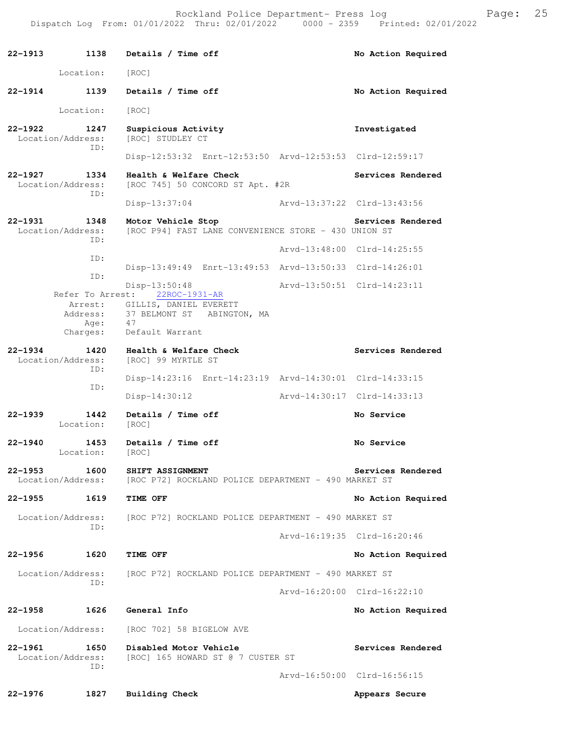**22-1913 1138 Details / Time off No Action Required**  Location: [ROC] **22-1914 1139 Details / Time off No Action Required**  Location: [ROC] **22-1922 1247 Suspicious Activity Investigated**  Location/Address: [ROC] STUDLEY CT ID: Disp-12:53:32 Enrt-12:53:50 Arvd-12:53:53 Clrd-12:59:17 22-1927 1334 Health & Welfare Check Services Rendered Location/Address: [ROC 745] 50 CONCORD ST Apt. #2R ID: Disp-13:37:04 Arvd-13:37:22 Clrd-13:43:56 **22-1931 1348 Motor Vehicle Stop Services Rendered** Location/Address: [ROC P94] FAST LANE CONVENIENCE STORE - 430 UNION ST [ROC P94] FAST LANE CONVENIENCE STORE - 430 UNION ST ID: Arvd-13:48:00 Clrd-14:25:55 ID: Disp-13:49:49 Enrt-13:49:53 Arvd-13:50:33 Clrd-14:26:01 ID: Disp-13:50:48 <br>
Brvd-13:50:51 Clrd-14:23:11<br>
22ROC-1931-AR Refer To Arrest: Arrest: GILLIS, DANIEL EVERETT<br>Address: 37 BELMONT ST ABINGTO 37 BELMONT ST ABINGTON, MA Age: 47 Charges: Default Warrant **22-1934 1420 Health & Welfare Check Services Rendered** Location/Address: [ROC] 99 MYRTLE ST Location/Address: ID: Disp-14:23:16 Enrt-14:23:19 Arvd-14:30:01 Clrd-14:33:15 ID: Disp-14:30:12 Arvd-14:30:17 Clrd-14:33:13 **22-1939 1442 Details / Time off No Service**  Location: [ROC] **22-1940 1453 Details / Time off No Service**  Location: [ROC] **22-1953** 1600 SHIFT ASSIGNMENT **Services Rendered Services Rendered Location/Address:** [ROC P72] ROCKLAND POLICE DEPARTMENT - 490 MARKET ST [ROC P72] ROCKLAND POLICE DEPARTMENT - 490 MARKET ST **22-1955 1619 TIME OFF No Action Required**  Location/Address: [ROC P72] ROCKLAND POLICE DEPARTMENT - 490 MARKET ST ID: Arvd-16:19:35 Clrd-16:20:46 **22-1956 1620 TIME OFF No Action Required**  Location/Address: [ROC P72] ROCKLAND POLICE DEPARTMENT - 490 MARKET ST ID: Arvd-16:20:00 Clrd-16:22:10 **22-1958 1626 General Info No Action Required**  Location/Address: [ROC 702] 58 BIGELOW AVE **22-1961** 1650 Disabled Motor Vehicle **Services Rendered Index Services Rendered Index Services Rendered Index Services INDEX** ST **CONTER** ST [ROC] 165 HOWARD ST @ 7 CUSTER ST ID: Arvd-16:50:00 Clrd-16:56:15 **22-1976 1827 Building Check Appears Secure**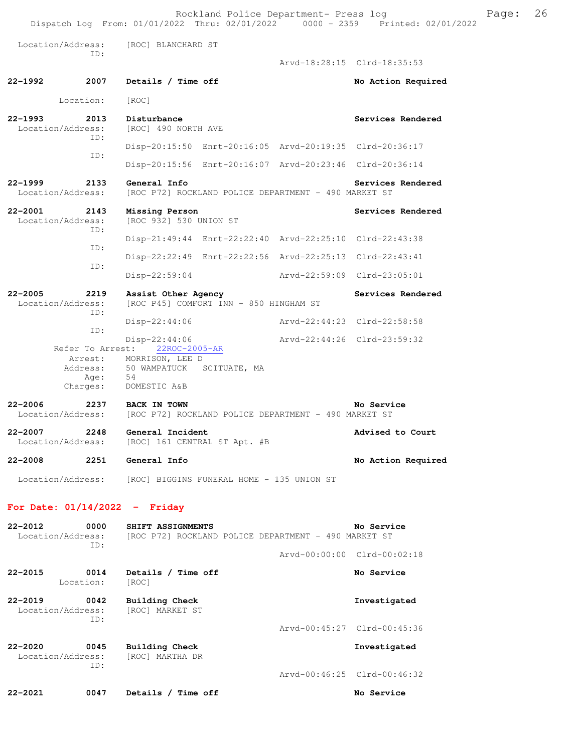Rockland Police Department- Press log Freed Page: 26 Dispatch Log From: 01/01/2022 Thru: 02/01/2022 0000 - 2359 Printed: 02/01/2022 Location/Address: [ROC] BLANCHARD ST ID: Arvd-18:28:15 Clrd-18:35:53 **22-1992 2007 Details / Time off No Action Required**  Location: [ROC] **22-1993 2013 Disturbance Services Rendered**  Location/Address: [ROC] 490 NORTH AVE ID: Disp-20:15:50 Enrt-20:16:05 Arvd-20:19:35 Clrd-20:36:17 ID: Disp-20:15:56 Enrt-20:16:07 Arvd-20:23:46 Clrd-20:36:14 **22-1999 2133 General Info Services Rendered**  Location/Address: [ROC P72] ROCKLAND POLICE DEPARTMENT - 490 MARKET ST **22-2001 2143 Missing Person Services Rendered**  Location/Address: [ROC 932] 530 UNION ST ID: Disp-21:49:44 Enrt-22:22:40 Arvd-22:25:10 Clrd-22:43:38 ID: Disp-22:22:49 Enrt-22:22:56 Arvd-22:25:13 Clrd-22:43:41 ID: Disp-22:59:04 Arvd-22:59:09 Clrd-23:05:01 **22-2005 2219 Assist Other Agency Services Rendered**  Location/Address: [ROC P45] COMFORT INN - 850 HINGHAM ST ID: Disp-22:44:06 Arvd-22:44:23 Clrd-22:58:58 ID: Disp-22:44:06 Arvd-22:44:26 Clrd-23:59:32 Refer To Arrest: 22ROC-2005-AR Arrest: MORRISON, LEE D Address: 50 WAMPATUCK SCITUATE, MA Age: 54 Charges: DOMESTIC A&B **22-2006 2237 BACK IN TOWN No Service**  Location/Address: [ROC P72] ROCKLAND POLICE DEPARTMENT - 490 MARKET ST **22-2007** 2248 General Incident **Advised to Court Advised to Court Advised to Court** [ROC] 161 CENTRAL ST Apt. #B **22-2008 2251 General Info No Action Required**  Location/Address: [ROC] BIGGINS FUNERAL HOME - 135 UNION ST **For Date: 01/14/2022 - Friday 22-2012 0000 SHIFT ASSIGNMENTS No Service**  Location/Address: [ROC P72] ROCKLAND POLICE DEPARTMENT - 490 MARKET ST ID: Arvd-00:00:00 Clrd-00:02:18 **22-2015 0014 Details / Time off No Service**  Location: [ROC] **22-2019 0042 Building Check Investigated**  Location/Address: ID:

Arvd-00:45:27 Clrd-00:45:36

**22-2020 0045 Building Check Investigated**  Location/Address: [ROC] MARTHA DR ID: Arvd-00:46:25 Clrd-00:46:32 **22-2021 0047 Details / Time off No Service**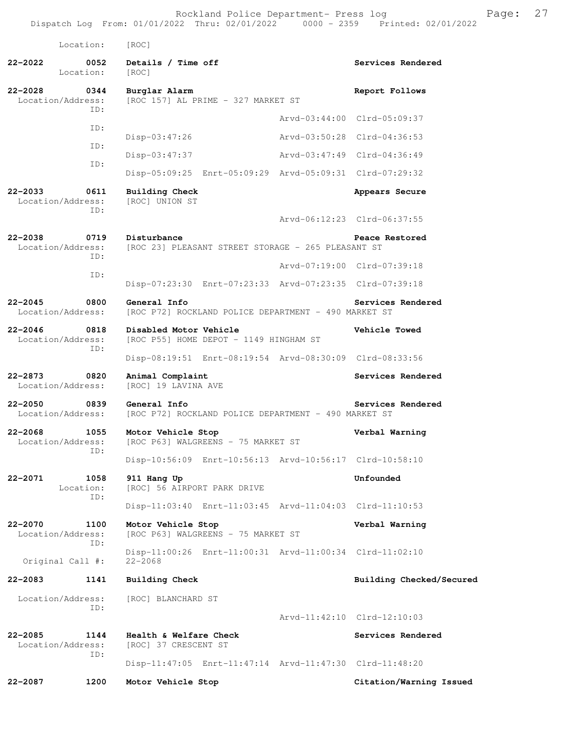| Location:                                   | [ROC]                                                                  |                             |                             |
|---------------------------------------------|------------------------------------------------------------------------|-----------------------------|-----------------------------|
| 22-2022<br>0052<br>Location:                | Details / Time off<br>[ROC]                                            |                             | Services Rendered           |
| 22-2028<br>0344<br>Location/Address:<br>TD: | Burglar Alarm<br>[ROC 157] AL PRIME - 327 MARKET ST                    |                             | Report Follows              |
|                                             |                                                                        |                             | Arvd-03:44:00 Clrd-05:09:37 |
| ID:                                         | $Disp-03:47:26$                                                        |                             | Arvd-03:50:28 Clrd-04:36:53 |
| ID:                                         | $Disp-03:47:37$                                                        | Arvd-03:47:49 Clrd-04:36:49 |                             |
| ID:                                         | Disp-05:09:25 Enrt-05:09:29 Arvd-05:09:31 Clrd-07:29:32                |                             |                             |
| 22-2033<br>0611<br>Location/Address:<br>ID: | <b>Building Check</b><br>[ROC] UNION ST                                |                             | Appears Secure              |
|                                             |                                                                        |                             | Arvd-06:12:23 Clrd-06:37:55 |
| 22-2038<br>0719<br>Location/Address:<br>ID: | Disturbance<br>[ROC 23] PLEASANT STREET STORAGE - 265 PLEASANT ST      |                             | Peace Restored              |
| ID:                                         |                                                                        |                             | Arvd-07:19:00 Clrd-07:39:18 |
|                                             | Disp-07:23:30 Enrt-07:23:33 Arvd-07:23:35 Clrd-07:39:18                |                             |                             |
| 22-2045<br>0800<br>Location/Address:        | General Info<br>[ROC P72] ROCKLAND POLICE DEPARTMENT - 490 MARKET ST   |                             | Services Rendered           |
| 22-2046<br>0818<br>Location/Address:<br>ID: | Disabled Motor Vehicle<br>[ROC P55] HOME DEPOT - 1149 HINGHAM ST       |                             | Vehicle Towed               |
|                                             | Disp-08:19:51 Enrt-08:19:54 Arvd-08:30:09 Clrd-08:33:56                |                             |                             |
| 22-2873<br>0820<br>Location/Address:        | Animal Complaint<br>[ROC] 19 LAVINA AVE                                |                             | Services Rendered           |
| 22-2050<br>0839<br>Location/Address:        | General Info<br>[ROC P72] ROCKLAND POLICE DEPARTMENT - 490 MARKET ST   |                             | Services Rendered           |
| 22-2068<br>1055<br>Location/Address:<br>ID: | Motor Vehicle Stop<br>[ROC P63] WALGREENS - 75 MARKET ST               |                             | Verbal Warning              |
|                                             | Disp-10:56:09 Enrt-10:56:13 Arvd-10:56:17 Clrd-10:58:10                |                             |                             |
| 22-2071<br>1058<br>Location:<br>ID:         | 911 Hang Up<br>[ROC] 56 AIRPORT PARK DRIVE                             |                             | Unfounded                   |
|                                             | Disp-11:03:40 Enrt-11:03:45 Arvd-11:04:03 Clrd-11:10:53                |                             |                             |
| 22-2070<br>1100<br>Location/Address:<br>ID: | Motor Vehicle Stop<br>[ROC P63] WALGREENS - 75 MARKET ST               |                             | Verbal Warning              |
| Original Call #:                            | Disp-11:00:26 Enrt-11:00:31 Arvd-11:00:34 Clrd-11:02:10<br>$22 - 2068$ |                             |                             |
| 22-2083<br>1141                             | Building Check                                                         |                             | Building Checked/Secured    |
| Location/Address:<br>TD:                    | [ROC] BLANCHARD ST                                                     |                             |                             |
|                                             |                                                                        |                             | Arvd-11:42:10 Clrd-12:10:03 |
| 22-2085<br>1144<br>Location/Address:<br>ID: | Health & Welfare Check<br>[ROC] 37 CRESCENT ST                         |                             | Services Rendered           |
|                                             | Disp-11:47:05 Enrt-11:47:14 Arvd-11:47:30 Clrd-11:48:20                |                             |                             |
| 22-2087<br>1200                             | Motor Vehicle Stop                                                     |                             | Citation/Warning Issued     |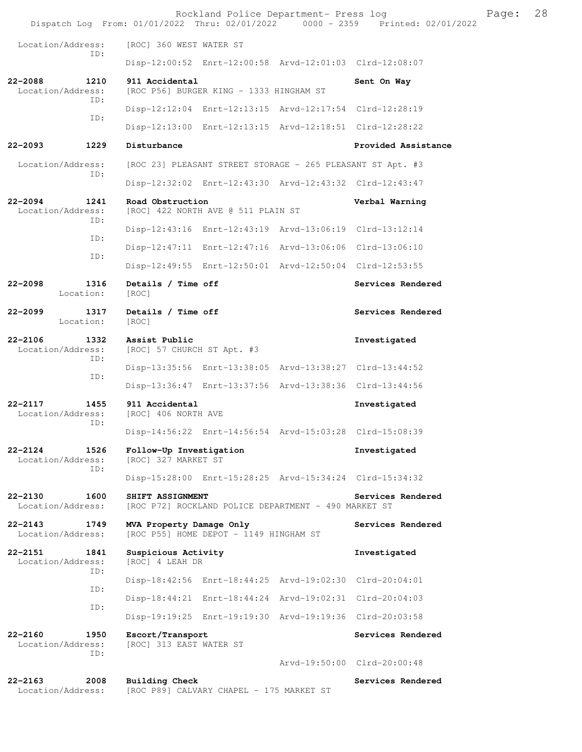|                                                 |  |                                                                   |                                        | Rockland Police Department- Press log                      | Dispatch Log From: 01/01/2022 Thru: 02/01/2022 0000 - 2359 Printed: 02/01/2022 | Page: | 28 |
|-------------------------------------------------|--|-------------------------------------------------------------------|----------------------------------------|------------------------------------------------------------|--------------------------------------------------------------------------------|-------|----|
| Location/Address:                               |  | [ROC] 360 WEST WATER ST                                           |                                        |                                                            |                                                                                |       |    |
| ID:                                             |  |                                                                   |                                        | Disp-12:00:52 Enrt-12:00:58 Arvd-12:01:03 Clrd-12:08:07    |                                                                                |       |    |
| $22 - 2088$<br>1210<br>Location/Address:        |  | 911 Accidental<br>[ROC P56] BURGER KING - 1333 HINGHAM ST         |                                        |                                                            | Sent On Way                                                                    |       |    |
| ID:                                             |  |                                                                   |                                        | Disp-12:12:04 Enrt-12:13:15 Arvd-12:17:54 Clrd-12:28:19    |                                                                                |       |    |
| ID:                                             |  |                                                                   |                                        | Disp-12:13:00 Enrt-12:13:15 Arvd-12:18:51 Clrd-12:28:22    |                                                                                |       |    |
| 22-2093<br>1229                                 |  | Disturbance                                                       |                                        |                                                            | Provided Assistance                                                            |       |    |
| Location/Address:                               |  |                                                                   |                                        | [ROC 23] PLEASANT STREET STORAGE - 265 PLEASANT ST Apt. #3 |                                                                                |       |    |
| ID:                                             |  |                                                                   |                                        | Disp-12:32:02 Enrt-12:43:30 Arvd-12:43:32 Clrd-12:43:47    |                                                                                |       |    |
| $22 - 2094$<br>1241<br>Location/Address:<br>ID: |  | Road Obstruction<br>[ROC] 422 NORTH AVE @ 511 PLAIN ST            |                                        |                                                            | Verbal Warning                                                                 |       |    |
| ID:                                             |  |                                                                   |                                        | Disp-12:43:16 Enrt-12:43:19 Arvd-13:06:19 Clrd-13:12:14    |                                                                                |       |    |
| ID:                                             |  |                                                                   |                                        | Disp-12:47:11 Enrt-12:47:16 Arvd-13:06:06 Clrd-13:06:10    |                                                                                |       |    |
|                                                 |  |                                                                   |                                        | Disp-12:49:55 Enrt-12:50:01 Arvd-12:50:04 Clrd-12:53:55    |                                                                                |       |    |
| $22 - 2098$<br>1316<br>Location:                |  | Details / Time off<br>[ROC]                                       |                                        |                                                            | Services Rendered                                                              |       |    |
| $22 - 2099$<br>1317<br>Location:                |  | Details / Time off<br>[ROC]                                       |                                        |                                                            | Services Rendered                                                              |       |    |
| $22 - 2106$<br>1332<br>Location/Address:<br>ID: |  | Assist Public<br>[ROC] 57 CHURCH ST Apt. #3                       |                                        |                                                            | Investigated                                                                   |       |    |
| ID:                                             |  |                                                                   |                                        | Disp-13:35:56 Enrt-13:38:05 Arvd-13:38:27 Clrd-13:44:52    |                                                                                |       |    |
|                                                 |  |                                                                   |                                        | Disp-13:36:47 Enrt-13:37:56 Arvd-13:38:36 Clrd-13:44:56    |                                                                                |       |    |
| 1455<br>$22 - 2117$<br>Location/Address:<br>ID: |  | 911 Accidental<br>[ROC] 406 NORTH AVE                             |                                        |                                                            | Investigated                                                                   |       |    |
|                                                 |  |                                                                   |                                        | Disp-14:56:22 Enrt-14:56:54 Arvd-15:03:28 Clrd-15:08:39    |                                                                                |       |    |
| 22-2124<br>1526<br>Location/Address:<br>ID:     |  | Follow-Up Investigation<br>[ROC] 327 MARKET ST                    |                                        |                                                            | Investigated                                                                   |       |    |
|                                                 |  |                                                                   |                                        | Disp-15:28:00 Enrt-15:28:25 Arvd-15:34:24 Clrd-15:34:32    |                                                                                |       |    |
| $22 - 2130$<br>1600<br>Location/Address:        |  | SHIFT ASSIGNMENT                                                  |                                        | [ROC P72] ROCKLAND POLICE DEPARTMENT - 490 MARKET ST       | Services Rendered                                                              |       |    |
| $22 - 2143$<br>1749<br>Location/Address:        |  | MVA Property Damage Only                                          | [ROC P55] HOME DEPOT - 1149 HINGHAM ST |                                                            | Services Rendered                                                              |       |    |
| 22-2151<br>1841<br>Location/Address:            |  | Suspicious Activity<br>[ROC] 4 LEAH DR                            |                                        |                                                            | Investigated                                                                   |       |    |
| ID:                                             |  |                                                                   |                                        | Disp-18:42:56 Enrt-18:44:25 Arvd-19:02:30 Clrd-20:04:01    |                                                                                |       |    |
| ID:                                             |  |                                                                   |                                        | Disp-18:44:21 Enrt-18:44:24 Arvd-19:02:31 Clrd-20:04:03    |                                                                                |       |    |
| ID:                                             |  |                                                                   |                                        | Disp-19:19:25 Enrt-19:19:30 Arvd-19:19:36 Clrd-20:03:58    |                                                                                |       |    |
| 22-2160<br>1950<br>Location/Address:            |  | Escort/Transport<br>[ROC] 313 EAST WATER ST                       |                                        |                                                            | Services Rendered                                                              |       |    |
| ID:                                             |  |                                                                   |                                        | Arvd-19:50:00 Clrd-20:00:48                                |                                                                                |       |    |
| $22 - 2163$<br>2008<br>Location/Address:        |  | <b>Building Check</b><br>[ROC P89] CALVARY CHAPEL - 175 MARKET ST |                                        |                                                            | Services Rendered                                                              |       |    |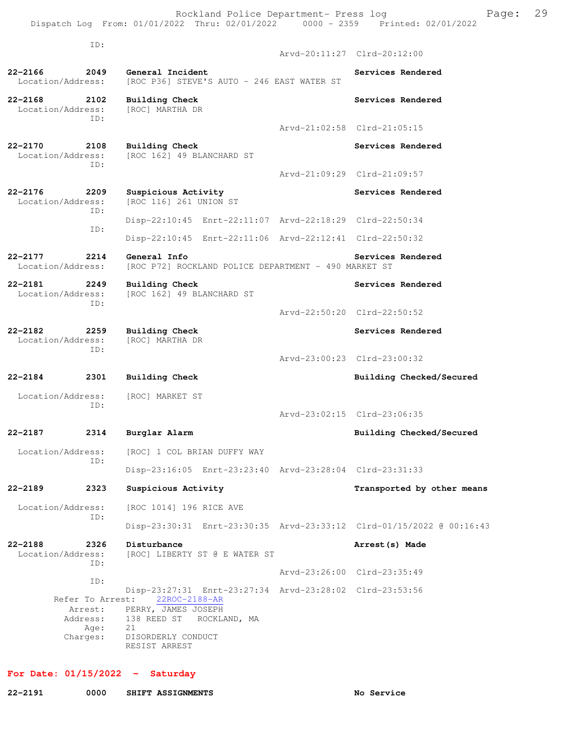Rockland Police Department- Press log Fage: 29

 Dispatch Log From: 01/01/2022 Thru: 02/01/2022 0000 - 2359 Printed: 02/01/2022 ID:

 Arvd-20:11:27 Clrd-20:12:00 **22-2166 2049 General Incident Services Rendered**  Location/Address: [ROC P36] STEVE'S AUTO - 246 EAST WATER ST **22-2168 2102 Building Check Services Rendered** Services Rendered Location/Address: [ROC] MARTHA DR Location/Address: ID: Arvd-21:02:58 Clrd-21:05:15 **22-2170 2108 Building Check Services Rendered** Services Rendered Location/Address: [ROC 162] 49 BLANCHARD ST [ROC 162] 49 BLANCHARD ST ID: Arvd-21:09:29 Clrd-21:09:57 22-2176 2209 Suspicious Activity **1200 Services Rendered**  Location/Address: [ROC 116] 261 UNION ST ID: Disp-22:10:45 Enrt-22:11:07 Arvd-22:18:29 Clrd-22:50:34 ID: Disp-22:10:45 Enrt-22:11:06 Arvd-22:12:41 Clrd-22:50:32 **22-2177 2214 General Info Services Rendered**<br>Location/Address: [ROC P72] ROCKLAND POLICE DEPARTMENT - 490 MARKET ST [ROC P72] ROCKLAND POLICE DEPARTMENT - 490 MARKET ST **22-2181 2249 Building Check Services Rendered**  Location/Address: [ROC 162] 49 BLANCHARD ST ID: Arvd-22:50:20 Clrd-22:50:52 **22-2182 2259 Building Check Services Rendered Services Rendered Services Rendered** Location/Address: ID: Arvd-23:00:23 Clrd-23:00:32 **22-2184 2301 Building Check Building Checked/Secured**  Location/Address: [ROC] MARKET ST ID: Arvd-23:02:15 Clrd-23:06:35 **22-2187 2314 Burglar Alarm Building Checked/Secured**  Location/Address: [ROC] 1 COL BRIAN DUFFY WAY ID: Disp-23:16:05 Enrt-23:23:40 Arvd-23:28:04 Clrd-23:31:33 **22-2189 2323 Suspicious Activity Transported by other means**  Location/Address: [ROC 1014] 196 RICE AVE ID: Disp-23:30:31 Enrt-23:30:35 Arvd-23:33:12 Clrd-01/15/2022 @ 00:16:43 **22-2188 2326 Disturbance Arrest(s) Made**  Location/Address: [ROC] LIBERTY ST @ E WATER ST ID: Arvd-23:26:00 Clrd-23:35:49 ID: Disp-23:27:31 Enrt-23:27:34 Arvd-23:28:02 Clrd-23:53:56 Refer To Arrest: 22ROC-2188-AR Arrest: PERRY, JAMES JOSEPH Address: 138 REED ST ROCKLAND, MA<br>Age: 21 Age: Charges: DISORDERLY CONDUCT RESIST ARREST

### **For Date: 01/15/2022 - Saturday**

**22-2191 0000 SHIFT ASSIGNMENTS No Service**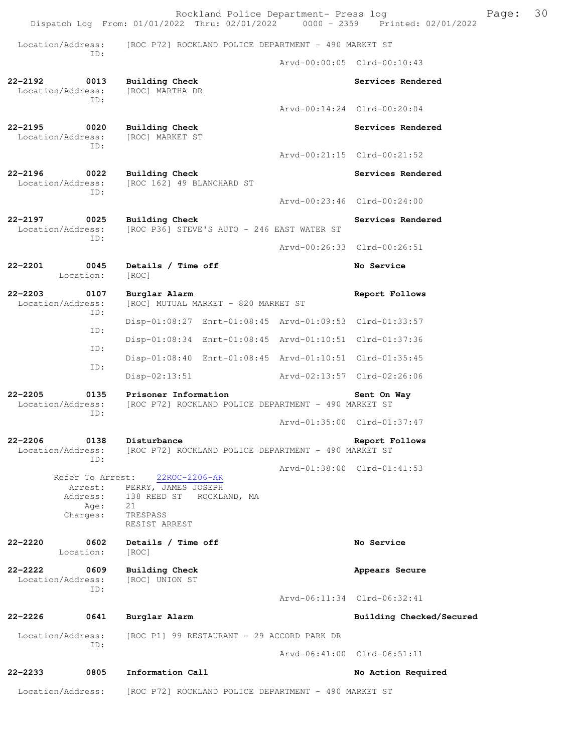Rockland Police Department- Press log Fage: 30 Dispatch Log From: 01/01/2022 Thru: 02/01/2022 0000 - 2359 Printed: 02/01/2022 Location/Address: [ROC P72] ROCKLAND POLICE DEPARTMENT - 490 MARKET ST ID: Arvd-00:00:05 Clrd-00:10:43 **22-2192 0013 Building Check Services Rendered**  Location/Address: ID: Arvd-00:14:24 Clrd-00:20:04 **22-2195 0020 Building Check Services Rendered**  Location/Address: [ROC] MARKET ST ID: Arvd-00:21:15 Clrd-00:21:52 **22-2196 0022 Building Check Services Rendered**  Location/Address: [ROC 162] 49 BLANCHARD ST ID: Arvd-00:23:46 Clrd-00:24:00 **22-2197** 0025 Building Check Services Rendered Services Rendered Location/Address: [ROC P36] STEVE'S AUTO - 246 EAST WATER ST  $[ROC P36]$  STEVE'S AUTO - 246 EAST WATER ST ID: Arvd-00:26:33 Clrd-00:26:51 **22-2201 0045 Details / Time off No Service**  Location: [ROC] **22-2203 0107 Burglar Alarm Report Follows**  Location/Address: [ROC] MUTUAL MARKET - 820 MARKET ST ID: Disp-01:08:27 Enrt-01:08:45 Arvd-01:09:53 Clrd-01:33:57 ID: Disp-01:08:34 Enrt-01:08:45 Arvd-01:10:51 Clrd-01:37:36 ID: Disp-01:08:40 Enrt-01:08:45 Arvd-01:10:51 Clrd-01:35:45 ID: Disp-02:13:51 Arvd-02:13:57 Clrd-02:26:06 **22-2205 0135 Prisoner Information Sent On Way**  Location/Address: [ROC P72] ROCKLAND POLICE DEPARTMENT - 490 MARKET ST ID: Arvd-01:35:00 Clrd-01:37:47 **22-2206 0138 Disturbance Report Follows**  Location/Address: [ROC P72] ROCKLAND POLICE DEPARTMENT - 490 MARKET ST ID: Arvd-01:38:00 Clrd-01:41:53 Refer To Arrest: 22ROC-2206-AR Arrest: PERRY, JAMES JOSEPH Address: 138 REED ST ROCKLAND, MA Age: 21<br>rqes: TRESPASS Charges: RESIST ARREST 22-2220 0602 Details / Time off **No Service No Service**  Location: [ROC] **22-2222 0609 Building Check Appears Secure** Appears Secure Location/Address: [ROC] UNION ST Location/Address: ID: Arvd-06:11:34 Clrd-06:32:41 **22-2226 0641 Burglar Alarm Building Checked/Secured**  Location/Address: [ROC P1] 99 RESTAURANT - 29 ACCORD PARK DR ID: Arvd-06:41:00 Clrd-06:51:11 **22-2233 0805 Information Call No Action Required**  Location/Address: [ROC P72] ROCKLAND POLICE DEPARTMENT - 490 MARKET ST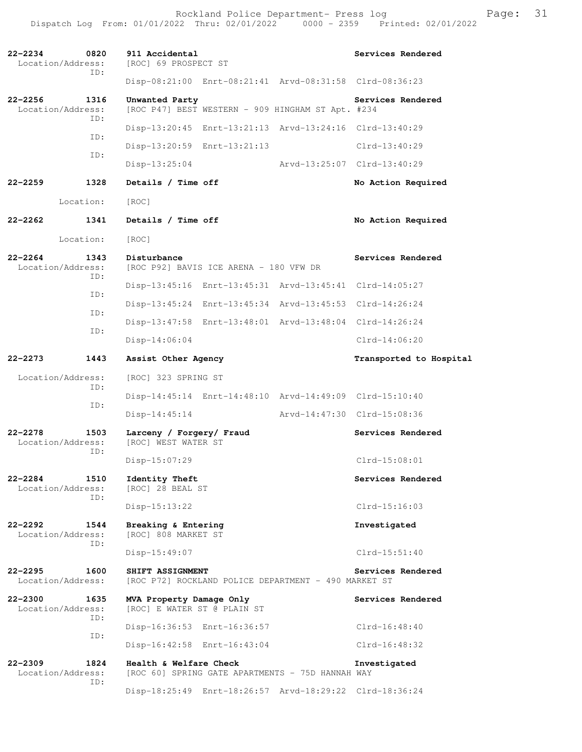Rockland Police Department- Press log entitled and Page: 31 Dispatch Log From: 01/01/2022 Thru: 02/01/2022 0000 - 2359 Printed: 02/01/2022

| $22 - 2234$ | 0820<br>Location/Address:<br>TD:                        | 911 Accidental<br>[ROC] 69 PROSPECT ST                                     | Services Rendered           |
|-------------|---------------------------------------------------------|----------------------------------------------------------------------------|-----------------------------|
|             |                                                         | Disp-08:21:00 Enrt-08:21:41 Arvd-08:31:58 Clrd-08:36:23                    |                             |
| $22 - 2256$ | 1316<br>Location/Address:<br>TD:                        | Unwanted Party<br>[ROC P47] BEST WESTERN - 909 HINGHAM ST Apt. #234        | Services Rendered           |
|             |                                                         | Disp-13:20:45 Enrt-13:21:13 Arvd-13:24:16 Clrd-13:40:29                    |                             |
|             | ID:                                                     | Disp-13:20:59 Enrt-13:21:13                                                | $Clrd-13:40:29$             |
|             | ID:                                                     | $Disp-13:25:04$                                                            | Arvd-13:25:07 Clrd-13:40:29 |
| $22 - 2259$ | 1328                                                    | Details / Time off                                                         | No Action Required          |
|             | Location:                                               | [ROC]                                                                      |                             |
| $22 - 2262$ | 1341                                                    | Details / Time off                                                         | No Action Required          |
|             | Location:                                               | [ROC]                                                                      |                             |
| $22 - 2264$ | 1343<br>Location/Address:                               | Disturbance<br>[ROC P92] BAVIS ICE ARENA - 180 VFW DR                      | Services Rendered           |
|             | ID:                                                     | Disp-13:45:16 Enrt-13:45:31 Arvd-13:45:41 Clrd-14:05:27                    |                             |
|             | TD:                                                     | Disp-13:45:24 Enrt-13:45:34 Arvd-13:45:53 Clrd-14:26:24                    |                             |
| ID:         | Disp-13:47:58 Enrt-13:48:01 Arvd-13:48:04 Clrd-14:26:24 |                                                                            |                             |
|             | ID:                                                     | $Disp-14:06:04$                                                            | $Clrd-14:06:20$             |
| $22 - 2273$ | 1443                                                    | Assist Other Agency                                                        | Transported to Hospital     |
|             | Location/Address:                                       | [ROC] 323 SPRING ST                                                        |                             |
| ID:         | Disp-14:45:14 Enrt-14:48:10 Arvd-14:49:09 Clrd-15:10:40 |                                                                            |                             |
|             | ID:                                                     | $Disp-14:45:14$                                                            | Arvd-14:47:30 Clrd-15:08:36 |
| $22 - 2278$ | 1503<br>Location/Address:<br>ID:                        | Larceny / Forgery/ Fraud<br>[ROC] WEST WATER ST                            | Services Rendered           |
|             |                                                         | Disp-15:07:29                                                              | $Clrd-15:08:01$             |
| 22-2284     | 1510<br>Location/Address:<br>ID:                        | Identity Theft<br>[ROC] 28 BEAL ST                                         | Services Rendered           |
|             |                                                         | Disp-15:13:22                                                              | $C1rd-15:16:03$             |
| $22 - 2292$ | 1544<br>Location/Address:<br>ID:                        | Breaking & Entering<br>[ROC] 808 MARKET ST                                 | Investigated                |
|             |                                                         | Disp-15:49:07                                                              | $Clrd-15:51:40$             |
| $22 - 2295$ | 1600<br>Location/Address:                               | SHIFT ASSIGNMENT<br>[ROC P72] ROCKLAND POLICE DEPARTMENT - 490 MARKET ST   | Services Rendered           |
| $22 - 2300$ | 1635<br>Location/Address:<br>ID:                        | MVA Property Damage Only<br>[ROC] E WATER ST @ PLAIN ST                    | Services Rendered           |
|             | ID:                                                     | Disp-16:36:53 Enrt-16:36:57                                                | $Clrd-16:48:40$             |
|             |                                                         | Disp-16:42:58 Enrt-16:43:04                                                | $Clrd-16:48:32$             |
| $22 - 2309$ | 1824<br>Location/Address:<br>ID:                        | Health & Welfare Check<br>[ROC 60] SPRING GATE APARTMENTS - 75D HANNAH WAY | Investigated                |
|             |                                                         | Disp-18:25:49 Enrt-18:26:57 Arvd-18:29:22 Clrd-18:36:24                    |                             |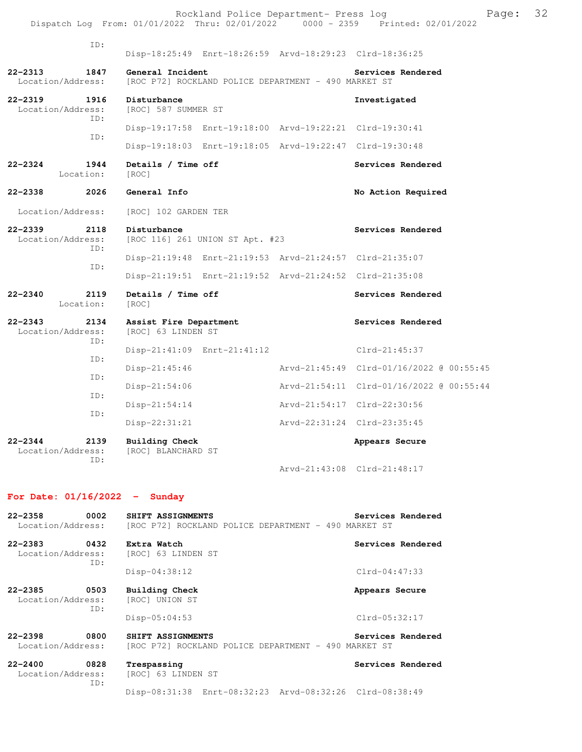| ID:                                         | Disp-18:25:49 Enrt-18:26:59 Arvd-18:29:23 Clrd-18:36:25                  |                                          |
|---------------------------------------------|--------------------------------------------------------------------------|------------------------------------------|
| 22-2313<br>1847<br>Location/Address:        | General Incident<br>[ROC P72] ROCKLAND POLICE DEPARTMENT - 490 MARKET ST | Services Rendered                        |
| 22-2319<br>1916<br>Location/Address:<br>TD: | Disturbance<br>[ROC] 587 SUMMER ST                                       | Investigated                             |
|                                             | Disp-19:17:58 Enrt-19:18:00 Arvd-19:22:21 Clrd-19:30:41                  |                                          |
| ID:                                         | Disp-19:18:03 Enrt-19:18:05 Arvd-19:22:47 Clrd-19:30:48                  |                                          |
| 22-2324<br>1944<br>Location:                | Details / Time off<br>[ROC]                                              | Services Rendered                        |
| 22-2338<br>2026                             | General Info                                                             | No Action Required                       |
| Location/Address:                           | [ROC] 102 GARDEN TER                                                     |                                          |
| 22-2339<br>2118<br>Location/Address:<br>TD: | Disturbance<br>[ROC 116] 261 UNION ST Apt. #23                           | Services Rendered                        |
|                                             | Disp-21:19:48 Enrt-21:19:53 Arvd-21:24:57 Clrd-21:35:07                  |                                          |
| TD:                                         | Disp-21:19:51 Enrt-21:19:52 Arvd-21:24:52 Clrd-21:35:08                  |                                          |
| 22-2340<br>2119<br>Location:                | Details / Time off<br>[ROC]                                              | Services Rendered                        |
| 22-2343<br>2134<br>Location/Address:<br>TD: | Assist Fire Department<br>[ROC] 63 LINDEN ST                             | Services Rendered                        |
|                                             | Disp-21:41:09 Enrt-21:41:12                                              | Clrd-21:45:37                            |
| ID:                                         | $Disp-21:45:46$                                                          | Arvd-21:45:49 Clrd-01/16/2022 @ 00:55:45 |
| TD:                                         | $Disp-21:54:06$                                                          | Arvd-21:54:11 Clrd-01/16/2022 @ 00:55:44 |
| ID:                                         | $Disp-21:54:14$                                                          | Arvd-21:54:17 Clrd-22:30:56              |
| ID:                                         | $Disp-22:31:21$                                                          | Arvd-22:31:24 Clrd-23:35:45              |
| 22-2344<br>2139<br>Location/Address:<br>TD: | <b>Building Check</b><br>[ROC] BLANCHARD ST                              | Appears Secure                           |
|                                             |                                                                          | Arvd-21:43:08 Clrd-21:48:17              |

## **For Date: 01/16/2022 - Sunday**

| 22-2358                      | 0002        | Services Rendered<br>SHIFT ASSIGNMENTS                                                         |  |
|------------------------------|-------------|------------------------------------------------------------------------------------------------|--|
| Location/Address:            |             | [ROC P72] ROCKLAND POLICE DEPARTMENT - 490 MARKET ST                                           |  |
| 22-2383<br>Location/Address: | 0432<br>ID: | Services Rendered<br>Extra Watch<br>[ROC] 63 LINDEN ST                                         |  |
|                              |             | $Clrd-04:47:33$<br>$Disp-04:38:12$                                                             |  |
| 22-2385<br>Location/Address: | 0503<br>ID: | <b>Building Check</b><br>Appears Secure<br>[ROC] UNION ST                                      |  |
|                              |             | $Clrd-05:32:17$<br>$Disp-05:04:53$                                                             |  |
| 22-2398<br>Location/Address: | 0800        | Services Rendered<br>SHIFT ASSIGNMENTS<br>[ROC P72] ROCKLAND POLICE DEPARTMENT - 490 MARKET ST |  |
| 22-2400<br>Location/Address: | 0828<br>ID: | Services Rendered<br>Trespassing<br>[ROC] 63 LINDEN ST                                         |  |

Disp-08:31:38 Enrt-08:32:23 Arvd-08:32:26 Clrd-08:38:49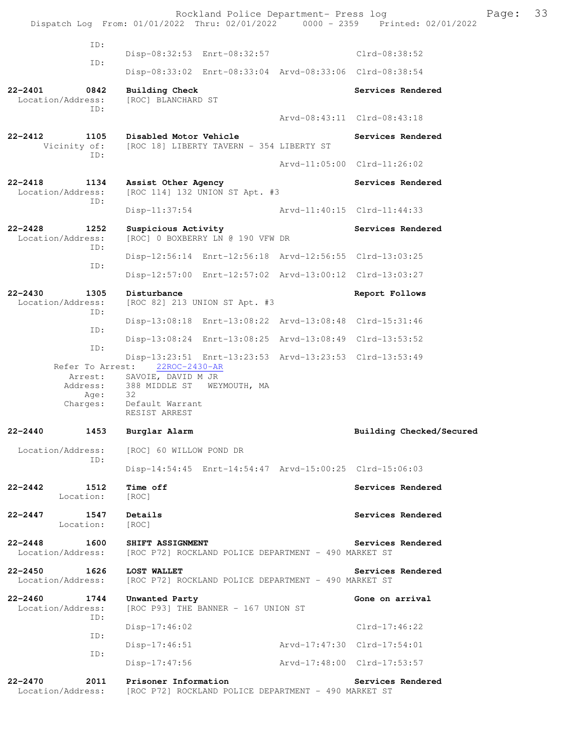Rockland Police Department- Press log Franch Press 13 Dispatch Log From: 01/01/2022 Thru: 02/01/2022 0000 - 2359 Printed: 02/01/2022 ID: Disp-08:32:53 Enrt-08:32:57 Clrd-08:38:52 ID: Disp-08:33:02 Enrt-08:33:04 Arvd-08:33:06 Clrd-08:38:54 **22-2401 0842 Building Check Services Rendered**  Location/Address: [ROC] BLANCHARD ST ID: Arvd-08:43:11 Clrd-08:43:18 **22-2412 1105 Disabled Motor Vehicle Services Rendered** Vicinity of: [ROC 18] LIBERTY TAVERN - 354 LIBERTY ST [ROC 18] LIBERTY TAVERN - 354 LIBERTY ST ID: Arvd-11:05:00 Clrd-11:26:02 **22-2418 1134 Assist Other Agency Services Rendered**  Location/Address: [ROC 114] 132 UNION ST Apt. #3 ID: Disp-11:37:54 Arvd-11:40:15 Clrd-11:44:33 **22-2428 1252 Suspicious Activity Services Rendered**  Location/Address: [ROC] 0 BOXBERRY LN @ 190 VFW DR ID: Disp-12:56:14 Enrt-12:56:18 Arvd-12:56:55 Clrd-13:03:25 ID: Disp-12:57:00 Enrt-12:57:02 Arvd-13:00:12 Clrd-13:03:27 **22-2430 1305 Disturbance Report Follows**  Location/Address: [ROC 82] 213 UNION ST Apt. #3 ID: Disp-13:08:18 Enrt-13:08:22 Arvd-13:08:48 Clrd-15:31:46 ID: Disp-13:08:24 Enrt-13:08:25 Arvd-13:08:49 Clrd-13:53:52 ID: Disp-13:23:51 Enrt-13:23:53 Arvd-13:23:53 Clrd-13:53:49 Refer To Arrest: 22ROC-2430-AR Arrest: SAVOIE, DAVID M JR Address: 388 MIDDLE ST WEYMOUTH, MA Age: 32 Charges: Default Warrant RESIST ARREST **22-2440 1453 Burglar Alarm Building Checked/Secured**  Location/Address: [ROC] 60 WILLOW POND DR ID: Disp-14:54:45 Enrt-14:54:47 Arvd-15:00:25 Clrd-15:06:03 **22-2442 1512 Time off Services Rendered**  Location: [ROC] **22-2447 1547 Details Services Rendered Execution:** Services Rendered **Services** Rendered Location: **22-2448 1600 SHIFT ASSIGNMENT Services Rendered**  Location/Address: [ROC P72] ROCKLAND POLICE DEPARTMENT - 490 MARKET ST **22-2450 1626 LOST WALLET Services Rendered**  Location/Address: [ROC P72] ROCKLAND POLICE DEPARTMENT - 490 MARKET ST **22-2460 1744 Unwanted Party Gone on arrival**  Location/Address: [ROC P93] THE BANNER - 167 UNION ST ID: Disp-17:46:02 Clrd-17:46:22 ID: Disp-17:46:51 Arvd-17:47:30 Clrd-17:54:01 ID: Disp-17:47:56 Arvd-17:48:00 Clrd-17:53:57 **22-2470 2011 Prisoner Information Services Rendered**  Location/Address: [ROC P72] ROCKLAND POLICE DEPARTMENT - 490 MARKET ST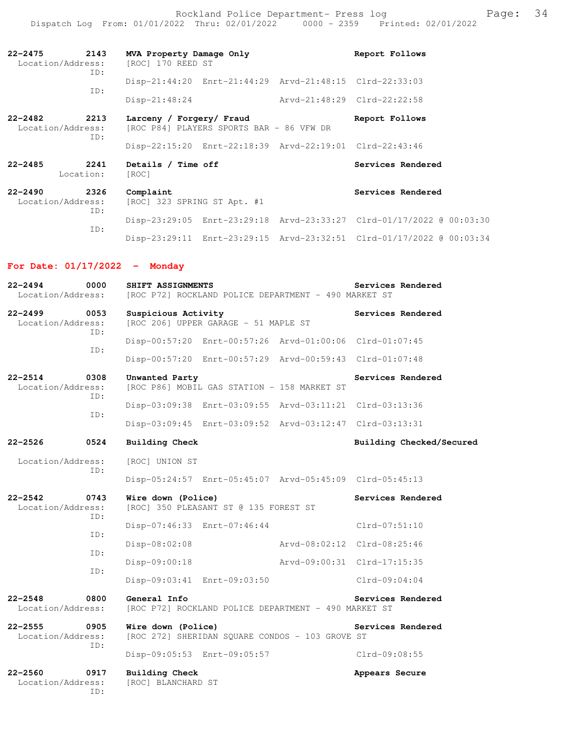Rockland Police Department- Press log entitled and Page: 34 Dispatch Log From: 01/01/2022 Thru: 02/01/2022 0000 - 2359 Printed: 02/01/2022

| 2143<br>22-2475<br>Location/Address:<br>ID:     | MVA Property Damage Only<br>[ROC] 170 REED ST                        | Report Follows              |  |
|-------------------------------------------------|----------------------------------------------------------------------|-----------------------------|--|
|                                                 | Disp-21:44:20 Enrt-21:44:29 Arvd-21:48:15 Clrd-22:33:03              |                             |  |
| ID:                                             | $Disp-21:48:24$                                                      | Arvd-21:48:29 Clrd-22:22:58 |  |
| 2213<br>22-2482<br>Location/Address:<br>ID:     | Larceny / Forgery/ Fraud<br>[ROC P84] PLAYERS SPORTS BAR - 86 VFW DR | Report Follows              |  |
|                                                 | Disp-22:15:20 Enrt-22:18:39 Arvd-22:19:01 Clrd-22:43:46              |                             |  |
| $22 - 2485$<br>2241<br>Location:                | Details / Time off<br>[ROC]                                          | Services Rendered           |  |
| 2326<br>$22 - 2490$<br>Location/Address:<br>ID: | Complaint<br>[ROC] 323 SPRING ST Apt. #1                             | Services Rendered           |  |
| ID:                                             | Disp-23:29:05 Enrt-23:29:18 Arvd-23:33:27 Clrd-01/17/2022 @ 00:03:30 |                             |  |
|                                                 | Disp-23:29:11 Enrt-23:29:15 Arvd-23:32:51 Clrd-01/17/2022 @ 00:03:34 |                             |  |

## **For Date: 01/17/2022 - Monday**

| $22 - 2494$<br>0000<br>Location/Address:        | SHIFT ASSIGNMENTS<br>[ROC P72] ROCKLAND POLICE DEPARTMENT - 490 MARKET ST | Services Rendered        |
|-------------------------------------------------|---------------------------------------------------------------------------|--------------------------|
| $22 - 2499$<br>0053<br>Location/Address:<br>ID: | Suspicious Activity<br>[ROC 206] UPPER GARAGE - 51 MAPLE ST               | Services Rendered        |
| ID:                                             | Disp-00:57:20 Enrt-00:57:26 Arvd-01:00:06 Clrd-01:07:45                   |                          |
|                                                 | Disp-00:57:20 Enrt-00:57:29 Arvd-00:59:43 Clrd-01:07:48                   |                          |
| $22 - 2514$<br>0308<br>Location/Address:<br>ID: | Unwanted Party<br>[ROC P86] MOBIL GAS STATION - 158 MARKET ST             | Services Rendered        |
| TD:                                             | Disp-03:09:38 Enrt-03:09:55 Arvd-03:11:21 Clrd-03:13:36                   |                          |
|                                                 | Disp-03:09:45 Enrt-03:09:52 Arvd-03:12:47 Clrd-03:13:31                   |                          |
| $22 - 2526$<br>0524                             | Building Check                                                            | Building Checked/Secured |
| Location/Address:<br>ID:                        | [ROC] UNION ST                                                            |                          |
|                                                 | Disp-05:24:57 Enrt-05:45:07 Arvd-05:45:09 Clrd-05:45:13                   |                          |
| $22 - 2542$<br>0743<br>Location/Address:<br>ID: | Wire down (Police)<br>[ROC] 350 PLEASANT ST @ 135 FOREST ST               | Services Rendered        |
| TD:                                             | Disp-07:46:33 Enrt-07:46:44                                               | $Clrd-07:51:10$          |
| ID:                                             | Arvd-08:02:12 Clrd-08:25:46<br>Disp-08:02:08                              |                          |
| ID:                                             | $Disp-09:00:18$<br>Arvd-09:00:31 Clrd-17:15:35                            |                          |
|                                                 | Disp-09:03:41 Enrt-09:03:50                                               | $Clrd-09:04:04$          |
| $22 - 2548$<br>0800<br>Location/Address:        | General Info<br>[ROC P72] ROCKLAND POLICE DEPARTMENT - 490 MARKET ST      | Services Rendered        |
| $22 - 2555$<br>0905<br>Location/Address:<br>ID: | Wire down (Police)<br>[ROC 272] SHERIDAN SQUARE CONDOS - 103 GROVE ST     | Services Rendered        |
|                                                 | Disp-09:05:53 Enrt-09:05:57                                               | Clrd-09:08:55            |
| $22 - 2560$<br>0917<br>Location/Address:<br>ID: | <b>Building Check</b><br>[ROC] BLANCHARD ST                               | Appears Secure           |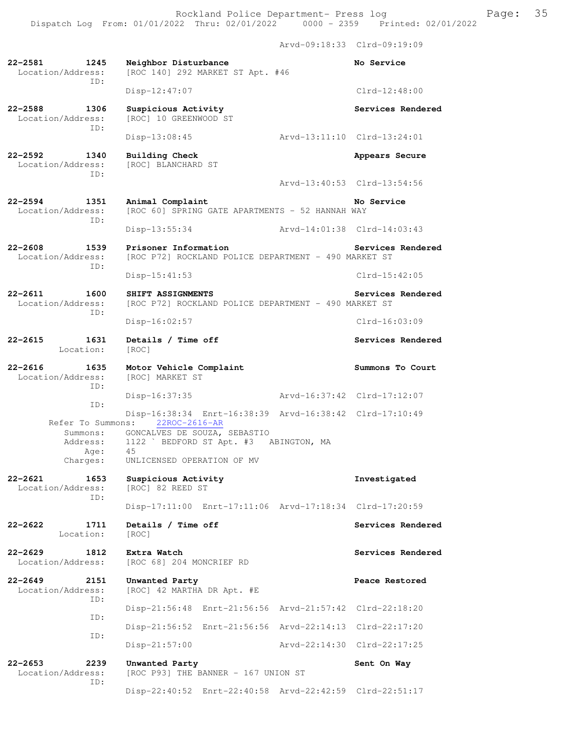Arvd-09:18:33 Clrd-09:19:09 **22-2581 1245 Neighbor Disturbance No Service**  Location/Address: [ROC 140] 292 MARKET ST Apt. #46 ID: Disp-12:47:07 Clrd-12:48:00 22-2588 1306 Suspicious Activity **120 Services Rendered**  Location/Address: [ROC] 10 GREENWOOD ST ID: Disp-13:08:45 Arvd-13:11:10 Clrd-13:24:01 **22-2592 1340 Building Check Appears Secure**  Location/Address: [ROC] BLANCHARD ST ID: Arvd-13:40:53 Clrd-13:54:56 **22-2594 1351 Animal Complaint No Service**  Location/Address: [ROC 60] SPRING GATE APARTMENTS - 52 HANNAH WAY ID: Disp-13:55:34 Arvd-14:01:38 Clrd-14:03:43 **22-2608 1539 Prisoner Information Services Rendered**  Location/Address: [ROC P72] ROCKLAND POLICE DEPARTMENT - 490 MARKET ST ID: Disp-15:41:53 Clrd-15:42:05 **22-2611 1600 SHIFT ASSIGNMENTS Services Rendered**  Location/Address: [ROC P72] ROCKLAND POLICE DEPARTMENT - 490 MARKET ST ID: Disp-16:02:57 Clrd-16:03:09 22-2615 1631 Details / Time off **Services Rendered Services** Rendered Location: [ROC] **22-2616 1635 Motor Vehicle Complaint Summons To Court**  Location/Address: ID: Disp-16:37:35 Arvd-16:37:42 Clrd-17:12:07 ID: Disp-16:38:34 Enrt-16:38:39 Arvd-16:38:42 Clrd-17:10:49<br>ns: 22ROC-2616-AR Refer To Summons: Summons: GONCALVES DE SOUZA, SEBASTIO<br>Address: 1122 ` BEDFORD ST Apt. #3 1122 ` BEDFORD ST Apt. #3 ABINGTON, MA Age: 45 Charges: UNLICENSED OPERATION OF MV **22-2621 1653 Suspicious Activity Investigated**  Location/Address: [ROC] 82 REED ST ID: Disp-17:11:00 Enrt-17:11:06 Arvd-17:18:34 Clrd-17:20:59 **22-2622 1711 Details / Time off Services Rendered**  Location: [ROC] **22-2629 1812 Extra Watch Services Rendered Extra Watch Services Rendered Services Rendered** [ROC 68] 204 MONCRIEF RD **22-2649 2151 Unwanted Party Peace Restored**  [ROC] 42 MARTHA DR Apt. #E ID: Disp-21:56:48 Enrt-21:56:56 Arvd-21:57:42 Clrd-22:18:20 ID: Disp-21:56:52 Enrt-21:56:56 Arvd-22:14:13 Clrd-22:17:20 ID: Disp-21:57:00 Arvd-22:14:30 Clrd-22:17:25 **22-2653 2239 Unwanted Party Sent On Way**<br>Location/Address: [ROC P93] THE BANNER - 167 UNION ST  $[ROC P93] THE BANNER - 167 UNION ST$ ID:

Disp-22:40:52 Enrt-22:40:58 Arvd-22:42:59 Clrd-22:51:17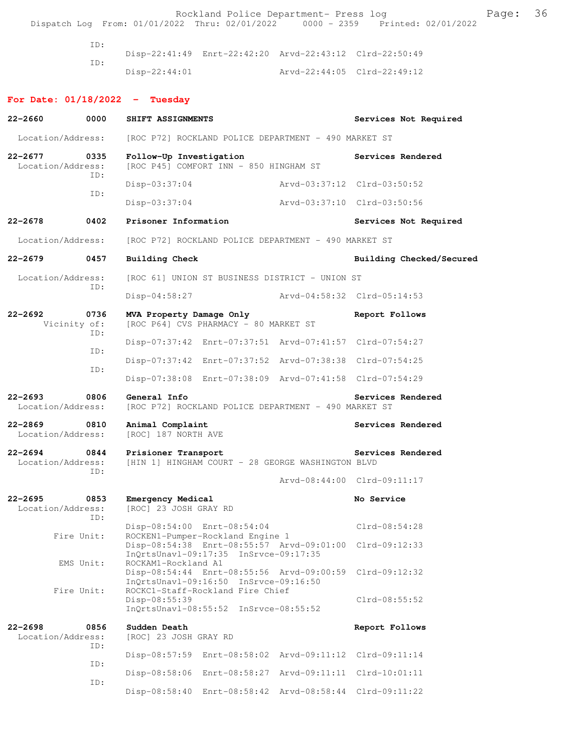Rockland Police Department- Press log entitled and Page: 36 Dispatch Log From: 01/01/2022 Thru: 02/01/2022 0000 - 2359 Printed: 02/01/2022

> ID: Disp-22:41:49 Enrt-22:42:20 Arvd-22:43:12 Clrd-22:50:49 ID: Disp-22:44:01 Arvd-22:44:05 Clrd-22:49:12

## **For Date: 01/18/2022 - Tuesday**

| $22 - 2660$                      | 0000                                                                      | SHIFT ASSIGNMENTS                                                                                         | Services Not Required       |                             |
|----------------------------------|---------------------------------------------------------------------------|-----------------------------------------------------------------------------------------------------------|-----------------------------|-----------------------------|
|                                  | Location/Address:<br>[ROC P72] ROCKLAND POLICE DEPARTMENT - 490 MARKET ST |                                                                                                           |                             |                             |
| $22 - 2677$<br>Location/Address: | 0335<br>TD:                                                               | Follow-Up Investigation<br>[ROC P45] COMFORT INN - 850 HINGHAM ST                                         |                             | Services Rendered           |
|                                  |                                                                           | Disp-03:37:04                                                                                             | Arvd-03:37:12 Clrd-03:50:52 |                             |
|                                  | ID:                                                                       | Disp-03:37:04                                                                                             | Arvd-03:37:10 Clrd-03:50:56 |                             |
| $22 - 2678$                      | 0402                                                                      | Prisoner Information                                                                                      |                             | Services Not Required       |
| Location/Address:                |                                                                           | [ROC P72] ROCKLAND POLICE DEPARTMENT - 490 MARKET ST                                                      |                             |                             |
| $22 - 2679$                      | 0457                                                                      | Building Check                                                                                            |                             | Building Checked/Secured    |
| Location/Address:                |                                                                           | [ROC 61] UNION ST BUSINESS DISTRICT - UNION ST                                                            |                             |                             |
|                                  | ID:                                                                       | Disp-04:58:27 Arvd-04:58:32 Clrd-05:14:53                                                                 |                             |                             |
| $22 - 2692$<br>Vicinity of:      | 0736                                                                      | MVA Property Damage Only<br>[ROC P64] CVS PHARMACY - 80 MARKET ST                                         |                             | Report Follows              |
|                                  | ID:                                                                       | Disp-07:37:42 Enrt-07:37:51 Arvd-07:41:57 Clrd-07:54:27                                                   |                             |                             |
|                                  | ID:<br>ID:                                                                | Disp-07:37:42 Enrt-07:37:52 Arvd-07:38:38 Clrd-07:54:25                                                   |                             |                             |
|                                  |                                                                           | Disp-07:38:08 Enrt-07:38:09 Arvd-07:41:58 Clrd-07:54:29                                                   |                             |                             |
| $22 - 2693$<br>Location/Address: | 0806                                                                      | General Info<br>[ROC P72] ROCKLAND POLICE DEPARTMENT - 490 MARKET ST                                      |                             | Services Rendered           |
| $22 - 2869$<br>Location/Address: | 0810                                                                      | Animal Complaint<br>[ROC] 187 NORTH AVE                                                                   |                             | Services Rendered           |
| $22 - 2694$<br>Location/Address: | 0844<br>ID:                                                               | Prisioner Transport<br>[HIN 1] HINGHAM COURT - 28 GEORGE WASHINGTON BLVD                                  |                             | Services Rendered           |
|                                  |                                                                           |                                                                                                           |                             | Arvd-08:44:00 Clrd-09:11:17 |
| $22 - 2695$<br>Location/Address: | 0853<br>ID:                                                               | Emergency Medical<br>[ROC] 23 JOSH GRAY RD                                                                |                             | No Service                  |
|                                  | Fire Unit:                                                                | Disp-08:54:00 Enrt-08:54:04<br>ROCKEN1-Pumper-Rockland Engine 1                                           |                             | Clrd-08:54:28               |
|                                  | EMS Unit:                                                                 | Disp-08:54:38 Enrt-08:55:57 Arvd-09:01:00<br>InQrtsUnavl-09:17:35 InSrvce-09:17:35<br>ROCKAM1-Rockland A1 |                             | Clrd-09:12:33               |
|                                  |                                                                           | Disp-08:54:44 Enrt-08:55:56 Arvd-09:00:59<br>InQrtsUnavl-09:16:50 InSrvce-09:16:50                        | Clrd-09:12:32               |                             |
|                                  | Fire Unit:                                                                | ROCKC1-Staff-Rockland Fire Chief<br>Disp-08:55:39<br>InQrtsUnavl-08:55:52 InSrvce-08:55:52                |                             | Clrd-08:55:52               |
| $22 - 2698$<br>Location/Address: | 0856                                                                      | Sudden Death<br>[ROC] 23 JOSH GRAY RD                                                                     |                             | Report Follows              |
|                                  | ID:                                                                       | Disp-08:57:59<br>Enrt-08:58:02 Arvd-09:11:12                                                              |                             | $Clrd-09:11:14$             |
|                                  | ID:                                                                       | Disp-08:58:06 Enrt-08:58:27                                                                               | Arvd-09:11:11               | $Clrd-10:01:11$             |
|                                  | ID:                                                                       | Disp-08:58:40 Enrt-08:58:42 Arvd-08:58:44 Clrd-09:11:22                                                   |                             |                             |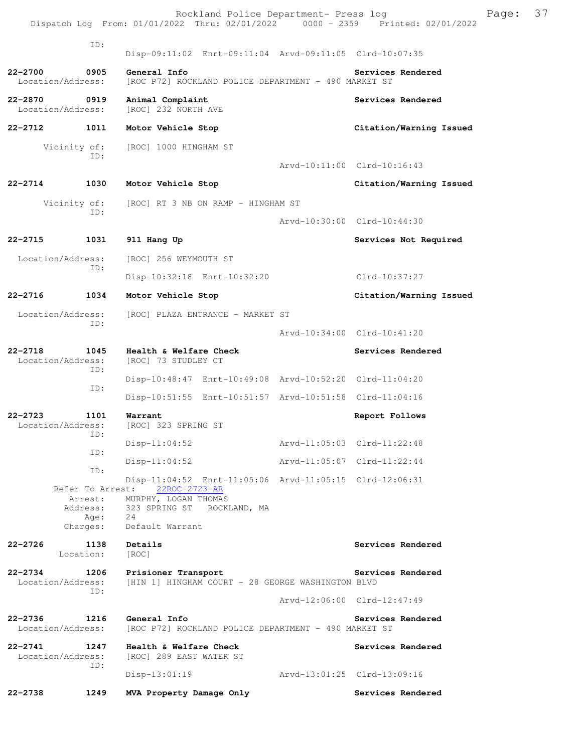|                                   |                             | Rockland Police Department- Press log<br>Dispatch Log From: 01/01/2022 Thru: 02/01/2022 0000 - 2359 Printed: 02/01/2022 |                             |                             | Page: | 37 |
|-----------------------------------|-----------------------------|-------------------------------------------------------------------------------------------------------------------------|-----------------------------|-----------------------------|-------|----|
|                                   | ID:                         | Disp-09:11:02 Enrt-09:11:04 Arvd-09:11:05 Clrd-10:07:35                                                                 |                             |                             |       |    |
| 22-2700<br>Location/Address:      | 0905                        | General Info<br>[ROC P72] ROCKLAND POLICE DEPARTMENT - 490 MARKET ST                                                    |                             | Services Rendered           |       |    |
| 22-2870 0919<br>Location/Address: |                             | Animal Complaint<br>[ROC] 232 NORTH AVE                                                                                 |                             | Services Rendered           |       |    |
| 22-2712                           | 1011                        | Motor Vehicle Stop                                                                                                      |                             | Citation/Warning Issued     |       |    |
|                                   | Vicinity of:<br>ID:         | [ROC] 1000 HINGHAM ST                                                                                                   |                             | Arvd-10:11:00 Clrd-10:16:43 |       |    |
| 22-2714                           | 1030                        | Motor Vehicle Stop                                                                                                      |                             | Citation/Warning Issued     |       |    |
|                                   | Vicinity of:                | [ROC] RT 3 NB ON RAMP - HINGHAM ST                                                                                      |                             |                             |       |    |
|                                   | ID:                         |                                                                                                                         |                             | Arvd-10:30:00 Clrd-10:44:30 |       |    |
| 22-2715                           | 1031                        | 911 Hang Up                                                                                                             |                             | Services Not Required       |       |    |
| Location/Address:                 |                             | [ROC] 256 WEYMOUTH ST                                                                                                   |                             |                             |       |    |
|                                   | ID:                         | Disp-10:32:18 Enrt-10:32:20                                                                                             |                             | Clrd-10:37:27               |       |    |
| 22-2716                           | 1034                        | Motor Vehicle Stop                                                                                                      |                             | Citation/Warning Issued     |       |    |
| Location/Address:                 |                             | [ROC] PLAZA ENTRANCE - MARKET ST                                                                                        |                             |                             |       |    |
|                                   | ID:                         |                                                                                                                         |                             | Arvd-10:34:00 Clrd-10:41:20 |       |    |
| $22 - 2718$<br>Location/Address:  | 1045                        | Health & Welfare Check<br>[ROC] 73 STUDLEY CT                                                                           |                             | Services Rendered           |       |    |
|                                   | ID:                         | Disp-10:48:47 Enrt-10:49:08 Arvd-10:52:20 Clrd-11:04:20                                                                 |                             |                             |       |    |
|                                   | ID:                         | Disp-10:51:55 Enrt-10:51:57 Arvd-10:51:58 Clrd-11:04:16                                                                 |                             |                             |       |    |
| 22-2723<br>Location/Address:      | 1101<br>ID:                 | Warrant<br>[ROC] 323 SPRING ST                                                                                          |                             | Report Follows              |       |    |
|                                   | ID:                         | $Disp-11:04:52$                                                                                                         | Arvd-11:05:03 Clrd-11:22:48 |                             |       |    |
|                                   | ID:                         | $Disp-11:04:52$                                                                                                         | Arvd-11:05:07 Clrd-11:22:44 |                             |       |    |
|                                   | Refer To Arrest:<br>Arrest: | Disp-11:04:52 Enrt-11:05:06 Arvd-11:05:15 Clrd-12:06:31<br>22ROC-2723-AR<br>MURPHY, LOGAN THOMAS                        |                             |                             |       |    |
|                                   | Age:<br>Charges:            | Address: 323 SPRING ST ROCKLAND, MA<br>24<br>Default Warrant                                                            |                             |                             |       |    |
| 22-2726                           | 1138<br>Location:           | Details<br>[ROC]                                                                                                        |                             | Services Rendered           |       |    |
| 22-2734<br>Location/Address:      | 1206<br>ID:                 | Prisioner Transport<br>[HIN 1] HINGHAM COURT - 28 GEORGE WASHINGTON BLVD                                                |                             | Services Rendered           |       |    |
|                                   |                             |                                                                                                                         |                             | Arvd-12:06:00 Clrd-12:47:49 |       |    |
| 22-2736 1216<br>Location/Address: |                             | General Info<br>[ROC P72] ROCKLAND POLICE DEPARTMENT - 490 MARKET ST                                                    |                             | Services Rendered           |       |    |
| 22-2741<br>Location/Address:      | 1247<br>ID:                 | Health & Welfare Check<br>[ROC] 289 EAST WATER ST                                                                       |                             | Services Rendered           |       |    |
|                                   |                             | $Disp-13:01:19$                                                                                                         | Arvd-13:01:25 Clrd-13:09:16 |                             |       |    |
| $22 - 2738$                       | 1249                        | MVA Property Damage Only                                                                                                |                             | Services Rendered           |       |    |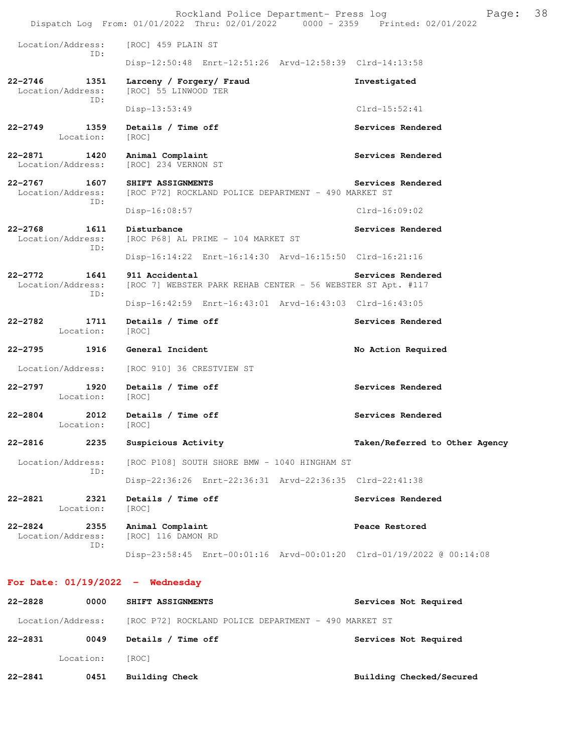|             |                                  | Rockland Police Department- Press log<br>Dispatch Log From: 01/01/2022 Thru: 02/01/2022 0000 - 2359 Printed: 02/01/2022 | Page:                          | 38 |
|-------------|----------------------------------|-------------------------------------------------------------------------------------------------------------------------|--------------------------------|----|
|             | Location/Address:                | [ROC] 459 PLAIN ST                                                                                                      |                                |    |
|             | ID:                              | Disp-12:50:48 Enrt-12:51:26 Arvd-12:58:39 Clrd-14:13:58                                                                 |                                |    |
| $22 - 2746$ | 1351<br>Location/Address:        | Larceny / Forgery/ Fraud<br>[ROC] 55 LINWOOD TER                                                                        | Investigated                   |    |
|             | ID:                              | Disp-13:53:49                                                                                                           | $Clrd-15:52:41$                |    |
| 22-2749     | 1359<br>Location:                | Details / Time off<br>[ROC]                                                                                             | Services Rendered              |    |
| 22-2871     | 1420<br>Location/Address:        | Animal Complaint<br>[ROC] 234 VERNON ST                                                                                 | Services Rendered              |    |
| $22 - 2767$ | 1607<br>Location/Address:<br>ID: | SHIFT ASSIGNMENTS<br>[ROC P72] ROCKLAND POLICE DEPARTMENT - 490 MARKET ST                                               | Services Rendered              |    |
|             |                                  | Disp-16:08:57                                                                                                           | $Clrd-16:09:02$                |    |
| $22 - 2768$ | 1611<br>Location/Address:<br>ID: | Disturbance<br>[ROC P68] AL PRIME - 104 MARKET ST                                                                       | Services Rendered              |    |
|             |                                  | Disp-16:14:22 Enrt-16:14:30 Arvd-16:15:50 Clrd-16:21:16                                                                 |                                |    |
| $22 - 2772$ | 1641<br>Location/Address:<br>ID: | 911 Accidental<br>[ROC 7] WEBSTER PARK REHAB CENTER - 56 WEBSTER ST Apt. #117                                           | Services Rendered              |    |
|             |                                  | Disp-16:42:59 Enrt-16:43:01 Arvd-16:43:03 Clrd-16:43:05                                                                 |                                |    |
| $22 - 2782$ | 1711<br>Location:                | Details / Time off<br>[ROC]                                                                                             | Services Rendered              |    |
| $22 - 2795$ | 1916                             | General Incident                                                                                                        | No Action Required             |    |
|             | Location/Address:                | [ROC 910] 36 CRESTVIEW ST                                                                                               |                                |    |
| 22-2797     | 1920<br>Location:                | Details / Time off<br>[ROC]                                                                                             | Services Rendered              |    |
| $22 - 2804$ | 2012<br>Location:                | Details / Time off<br>[ROC]                                                                                             | Services Rendered              |    |
| 22-2816     | 2235                             | Suspicious Activity                                                                                                     | Taken/Referred to Other Agency |    |
|             | Location/Address:<br>ID:         | [ROC P108] SOUTH SHORE BMW - 1040 HINGHAM ST                                                                            |                                |    |
|             |                                  | Disp-22:36:26 Enrt-22:36:31 Arvd-22:36:35 Clrd-22:41:38                                                                 |                                |    |
| $22 - 2821$ | 2321<br>Location:                | Details / Time off<br>[ROC]                                                                                             | Services Rendered              |    |
| $22 - 2824$ | 2355<br>Location/Address:<br>ID: | Animal Complaint<br>[ROC] 116 DAMON RD                                                                                  | Peace Restored                 |    |
|             |                                  | Disp-23:58:45 Enrt-00:01:16 Arvd-00:01:20 Clrd-01/19/2022 @ 00:14:08                                                    |                                |    |
|             |                                  | For Date: $01/19/2022 -$ Wednesday                                                                                      |                                |    |
| 22-2828     | 0000                             | SHIFT ASSIGNMENTS                                                                                                       | Services Not Required          |    |
|             | Location/Address:                | [ROC P72] ROCKLAND POLICE DEPARTMENT - 490 MARKET ST                                                                    |                                |    |
| 22-2831     | 0049                             | Details / Time off                                                                                                      | Services Not Required          |    |
|             | Location:                        | [ROC]                                                                                                                   |                                |    |

**22-2841 0451 Building Check Building Checked/Secured**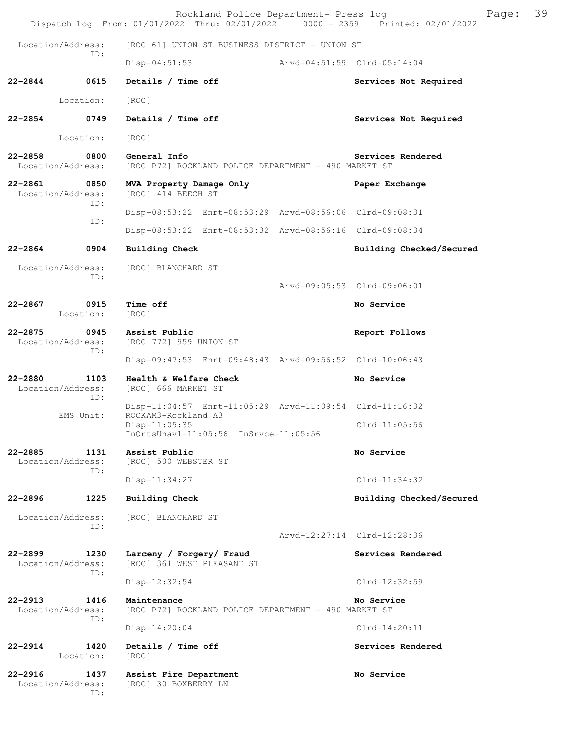|                                  |                   | Rockland Police Department- Press log<br>Dispatch Log From: 01/01/2022 Thru: 02/01/2022 0000 - 2359 Printed: 02/01/2022 |  |                             | Page: | 39 |
|----------------------------------|-------------------|-------------------------------------------------------------------------------------------------------------------------|--|-----------------------------|-------|----|
| Location/Address:                |                   | [ROC 61] UNION ST BUSINESS DISTRICT - UNION ST                                                                          |  |                             |       |    |
|                                  | ID:               | $Disp-04:51:53$                                                                                                         |  | Arvd-04:51:59 Clrd-05:14:04 |       |    |
| 22-2844                          | 0615              | Details / Time off                                                                                                      |  | Services Not Required       |       |    |
|                                  | Location:         | [ROC]                                                                                                                   |  |                             |       |    |
| $22 - 2854$                      | 0749              | Details / Time off                                                                                                      |  | Services Not Required       |       |    |
|                                  | Location:         | [ROC]                                                                                                                   |  |                             |       |    |
| $22 - 2858$<br>Location/Address: | 0800              | General Info<br>[ROC P72] ROCKLAND POLICE DEPARTMENT - 490 MARKET ST                                                    |  | Services Rendered           |       |    |
| 22-2861<br>Location/Address:     | 0850<br>ID:       | MVA Property Damage Only<br>[ROC] 414 BEECH ST                                                                          |  | Paper Exchange              |       |    |
|                                  | ID:               | Disp-08:53:22 Enrt-08:53:29 Arvd-08:56:06 Clrd-09:08:31                                                                 |  |                             |       |    |
|                                  |                   | Disp-08:53:22 Enrt-08:53:32 Arvd-08:56:16 Clrd-09:08:34                                                                 |  |                             |       |    |
| $22 - 2864$                      | 0904              | Building Check                                                                                                          |  | Building Checked/Secured    |       |    |
| Location/Address:                | ID:               | [ROC] BLANCHARD ST                                                                                                      |  |                             |       |    |
|                                  |                   |                                                                                                                         |  | Arvd-09:05:53 Clrd-09:06:01 |       |    |
| $22 - 2867$                      | 0915<br>Location: | Time off<br>[ROC]                                                                                                       |  | No Service                  |       |    |
| $22 - 2875$<br>Location/Address: | 0945<br>ID:       | Assist Public<br>[ROC 772] 959 UNION ST                                                                                 |  | Report Follows              |       |    |
|                                  |                   | Disp-09:47:53 Enrt-09:48:43 Arvd-09:56:52 Clrd-10:06:43                                                                 |  |                             |       |    |
| $22 - 2880$<br>Location/Address: | 1103<br>ID:       | Health & Welfare Check<br>[ROC] 666 MARKET ST                                                                           |  | No Service                  |       |    |
|                                  | EMS Unit:         | Disp-11:04:57 Enrt-11:05:29 Arvd-11:09:54 Clrd-11:16:32<br>ROCKAM3-Rockland A3                                          |  |                             |       |    |
|                                  |                   | $Disp-11:05:35$<br>$InQrtsUnav1-11:05:56$ $InSrvce-11:05:56$                                                            |  | $Clrd-11:05:56$             |       |    |
| $22 - 2885$<br>Location/Address: | 1131<br>ID:       | Assist Public<br>[ROC] 500 WEBSTER ST                                                                                   |  | No Service                  |       |    |
|                                  |                   | Disp-11:34:27                                                                                                           |  | $Clrd-11:34:32$             |       |    |
| $22 - 2896$                      | 1225              | Building Check                                                                                                          |  | Building Checked/Secured    |       |    |
| Location/Address:                | ID:               | [ROC] BLANCHARD ST                                                                                                      |  |                             |       |    |
|                                  |                   |                                                                                                                         |  | Arvd-12:27:14 Clrd-12:28:36 |       |    |
| $22 - 2899$<br>Location/Address: | 1230<br>ID:       | Larceny / Forgery/ Fraud<br>[ROC] 361 WEST PLEASANT ST                                                                  |  | Services Rendered           |       |    |
|                                  |                   | Disp-12:32:54                                                                                                           |  | Clrd-12:32:59               |       |    |
| $22 - 2913$<br>Location/Address: | 1416<br>ID:       | Maintenance<br>[ROC P72] ROCKLAND POLICE DEPARTMENT - 490 MARKET ST                                                     |  | No Service                  |       |    |
|                                  |                   | $Disp-14:20:04$                                                                                                         |  | $Clrd-14:20:11$             |       |    |
| $22 - 2914$                      | 1420<br>Location: | Details / Time off<br>[ROC]                                                                                             |  | Services Rendered           |       |    |
| $22 - 2916$<br>Location/Address: | 1437<br>ID:       | Assist Fire Department<br>[ROC] 30 BOXBERRY LN                                                                          |  | No Service                  |       |    |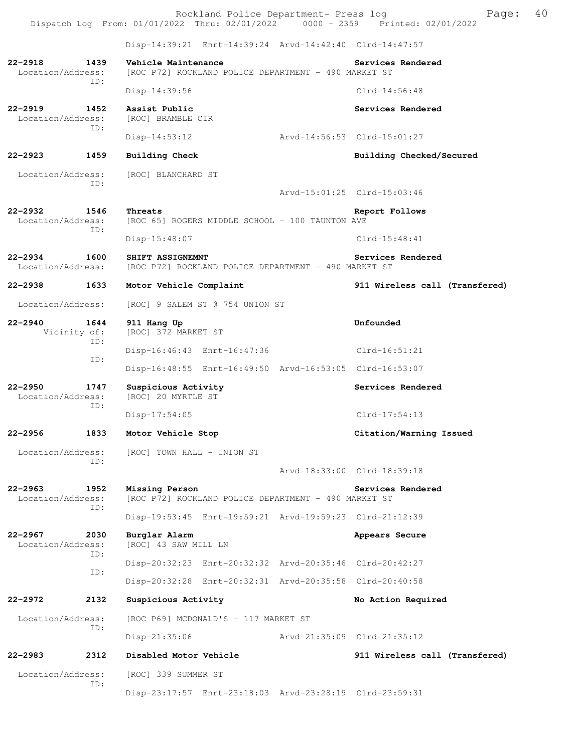Rockland Police Department- Press log Fage: 40<br>22 Thru: 02/01/2022 - 0000 - 2359 - Printed: 02/01/2022 Dispatch Log From:  $01/01/2022$  Thru:  $02/01/2022$  0000 - 2359 Disp-14:39:21 Enrt-14:39:24 Arvd-14:42:40 Clrd-14:47:57 **22-2918 1439 Vehicle Maintenance Services Rendered**  Location/Address: [ROC P72] ROCKLAND POLICE DEPARTMENT - 490 MARKET ST ID: Disp-14:39:56 Clrd-14:56:48 **22-2919 1452 Assist Public Services Rendered**  Location/Address: [ROC] BRAMBLE CIR ID: Disp-14:53:12 Arvd-14:56:53 Clrd-15:01:27 **22-2923 1459 Building Check Building Checked/Secured**  Location/Address: [ROC] BLANCHARD ST ID: Arvd-15:01:25 Clrd-15:03:46 **22-2932 1546 Threats Report Follows**  Location/Address: [ROC 65] ROGERS MIDDLE SCHOOL - 100 TAUNTON AVE ID: Disp-15:48:07 Clrd-15:48:41 **22-2934 1600 SHIFT ASSIGNEMNT** Services Rendered Location/Address: [ROC P72] ROCKLAND POLICE DEPARTMENT - 490 MARKET ST [ROC P72] ROCKLAND POLICE DEPARTMENT - 490 MARKET ST **22-2938 1633 Motor Vehicle Complaint 911 Wireless call (Transfered)** Location/Address: [ROC] 9 SALEM ST @ 754 UNION ST **22-2940 1644 911 Hang Up Unfounded**  Vicinity of: [ROC] 372 MARKET ST ID: Disp-16:46:43 Enrt-16:47:36 Clrd-16:51:21 ID: Disp-16:48:55 Enrt-16:49:50 Arvd-16:53:05 Clrd-16:53:07 **22-2950 1747 Suspicious Activity Services Rendered**  Location/Address: [ROC] 20 MYRTLE ST ID: Disp-17:54:05 Clrd-17:54:13 **22-2956 1833 Motor Vehicle Stop Citation/Warning Issued**  Location/Address: [ROC] TOWN HALL - UNION ST ID: Arvd-18:33:00 Clrd-18:39:18 **22-2963 1952 Missing Person Services Rendered**  Location/Address: [ROC P72] ROCKLAND POLICE DEPARTMENT - 490 MARKET ST ID: Disp-19:53:45 Enrt-19:59:21 Arvd-19:59:23 Clrd-21:12:39 **22-2967 2030 Burglar Alarm Appears Secure**  Location/Address: [ROC] 43 SAW MILL LN ID: Disp-20:32:23 Enrt-20:32:32 Arvd-20:35:46 Clrd-20:42:27 ID: Disp-20:32:28 Enrt-20:32:31 Arvd-20:35:58 Clrd-20:40:58 **22-2972 2132 Suspicious Activity No Action Required**  Location/Address: [ROC P69] MCDONALD'S - 117 MARKET ST ID: Disp-21:35:06 Arvd-21:35:09 Clrd-21:35:12 **22-2983 2312 Disabled Motor Vehicle 911 Wireless call (Transfered)** Location/Address: [ROC] 339 SUMMER ST ID: Disp-23:17:57 Enrt-23:18:03 Arvd-23:28:19 Clrd-23:59:31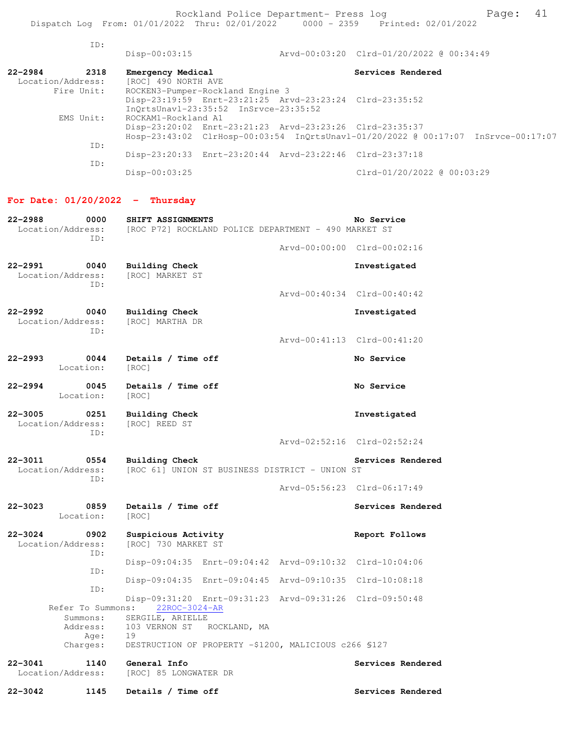Rockland Police Department- Press log entitled and Page: 41 Dispatch Log From: 01/01/2022 Thru: 02/01/2022 0000 - 2359 Printed: 02/01/2022

| ID:                 | $Disp-00:03:15$                                         | Arvd-00:03:20 Clrd-01/20/2022 @ 00:34:49                                          |
|---------------------|---------------------------------------------------------|-----------------------------------------------------------------------------------|
| $22 - 2984$<br>2318 | Emergency Medical                                       | Services Rendered                                                                 |
| Location/Address:   | [ROC] 490 NORTH AVE                                     |                                                                                   |
| Fire Unit:          | ROCKEN3-Pumper-Rockland Engine 3                        |                                                                                   |
|                     | Disp-23:19:59 Enrt-23:21:25 Arvd-23:23:24 Clrd-23:35:52 |                                                                                   |
|                     | $InOrtsUnav1-23:35:52$ $InSrvec-23:35:52$               |                                                                                   |
| EMS Unit:           | ROCKAM1-Rockland A1                                     |                                                                                   |
|                     | Disp-23:20:02 Enrt-23:21:23 Arvd-23:23:26 Clrd-23:35:37 |                                                                                   |
|                     |                                                         | Hosp-23:43:02 ClrHosp-00:03:54 InQrtsUnavl-01/20/2022 @ 00:17:07 InSrvce-00:17:07 |
| ID:                 |                                                         |                                                                                   |
|                     | Disp-23:20:33 Enrt-23:20:44 Arvd-23:22:46 Clrd-23:37:18 |                                                                                   |
| ID:                 |                                                         |                                                                                   |
|                     | $Disp-00:03:25$                                         | Clrd-01/20/2022 @ 00:03:29                                                        |

# **For Date: 01/20/2022 - Thursday**

| 22-2988<br>Location/Address:     | 0000<br>ID: | SHIFT ASSIGNMENTS<br>[ROC P72] ROCKLAND POLICE DEPARTMENT - 490 MARKET ST | No Service                                |
|----------------------------------|-------------|---------------------------------------------------------------------------|-------------------------------------------|
|                                  |             |                                                                           | Arvd-00:00:00 Clrd-00:02:16               |
| $22 - 2991$<br>Location/Address: | 0040<br>TD: | Building Check<br>[ROC] MARKET ST                                         | Investigated                              |
|                                  |             |                                                                           | Arvd-00:40:34 Clrd-00:40:42               |
| 22-2992<br>Location/Address:     | 0040<br>ID: | Building Check<br>[ROC] MARTHA DR                                         | Investigated                              |
|                                  |             |                                                                           | Arvd-00:41:13 Clrd-00:41:20               |
| 22-2993<br>Location:             | 0044        | Details / Time off<br>[ROC]                                               | No Service                                |
| $22 - 2994$<br>Location:         | 0045        | Details / Time off<br>[ROC]                                               | No Service                                |
| 22-3005<br>Location/Address:     | 0251        | Building Check<br>[ROC] REED ST                                           | Investigated                              |
|                                  | TD:         |                                                                           | Arvd-02:52:16 Clrd-02:52:24               |
| 22-3011<br>Location/Address:     | 0554<br>ID: | Building Check<br>[ROC 61] UNION ST BUSINESS DISTRICT - UNION ST          | Services Rendered                         |
|                                  |             |                                                                           | Arvd-05:56:23 Clrd-06:17:49               |
| $22 - 3023$<br>Location:         | 0859        | Details / Time off<br>[ROC]                                               | Services Rendered                         |
| 22-3024<br>Location/Address:     | 0902<br>ID: | Suspicious Activity<br>[ROC] 730 MARKET ST                                | Report Follows                            |
|                                  | ID:         | Disp-09:04:35 Enrt-09:04:42 Arvd-09:10:32 Clrd-10:04:06                   |                                           |
|                                  | ID:         | Disp-09:04:35                                                             | Enrt-09:04:45 Arvd-09:10:35 Clrd-10:08:18 |
| Refer To Summons:                |             | Disp-09:31:20 Enrt-09:31:23 Arvd-09:31:26 Clrd-09:50:48<br>22ROC-3024-AR  |                                           |
| Summons:                         |             | SERGILE, ARIELLE                                                          |                                           |
| Address:                         | Age:        | 103 VERNON ST ROCKLAND, MA<br>19                                          |                                           |
| Charges:                         |             | DESTRUCTION OF PROPERTY -\$1200, MALICIOUS c266 \$127                     |                                           |
|                                  |             |                                                                           |                                           |
| $22 - 3041$<br>Location/Address: | 1140        | General Info<br>[ROC] 85 LONGWATER DR                                     | Services Rendered                         |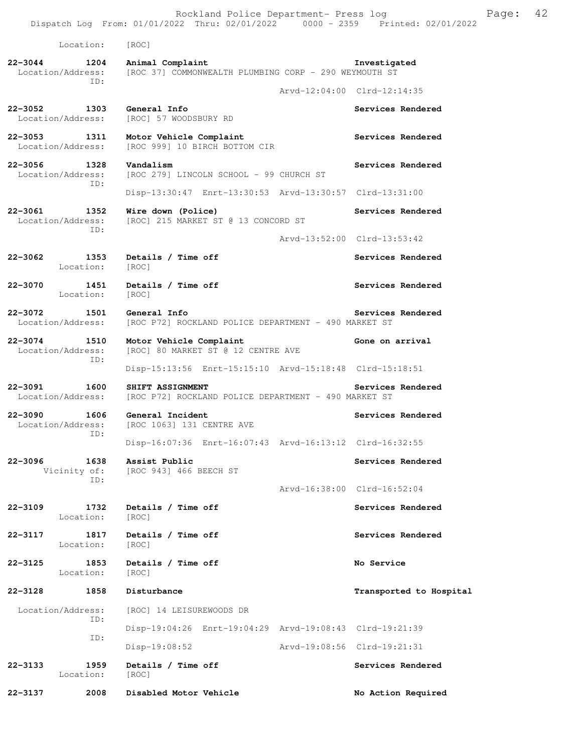Rockland Police Department- Press log Freed Page: 42 Dispatch Log From: 01/01/2022 Thru: 02/01/2022 0000 - 2359 Printed: 02/01/2022 Location: [ROC] **22-3044 1204 Animal Complaint Investigated**  Location/Address: [ROC 37] COMMONWEALTH PLUMBING CORP - 290 WEYMOUTH ST ID: Arvd-12:04:00 Clrd-12:14:35 **22-3052 1303 General Info Services Rendered**  Location/Address: [ROC] 57 WOODSBURY RD 22-3053 1311 Motor Vehicle Complaint **120 Complaint** Services Rendered Location/Address: [ROC 999] 10 BIRCH BOTTOM CIR **22-3056** 1328 Vandalism Services Rendered Location/Address: [ROC 279] LINCOLN SCHOOL - 99 CHURCH ST ID: Disp-13:30:47 Enrt-13:30:53 Arvd-13:30:57 Clrd-13:31:00 **22-3061 1352 Wire down (Police) Services Rendered**  Location/Address: [ROC] 215 MARKET ST @ 13 CONCORD ST ID: Arvd-13:52:00 Clrd-13:53:42 **22-3062 1353 Details / Time off Services Rendered**  Location: [ROC] 22-3070 1451 Details / Time off **Services Rendered**  Location: [ROC] **22-3072 1501 General Info Services Rendered**<br>Location/Address: [ROC P72] ROCKLAND POLICE DEPARTMENT - 490 MARKET ST [ROC P72] ROCKLAND POLICE DEPARTMENT - 490 MARKET ST **22-3074 1510 Motor Vehicle Complaint Gone on arrival**  Location/Address: [ROC] 80 MARKET ST @ 12 CENTRE AVE ID: Disp-15:13:56 Enrt-15:15:10 Arvd-15:18:48 Clrd-15:18:51 **22-3091 1600 SHIFT ASSIGNMENT Services Rendered** Location/Address: [ROC P72] ROCKLAND POLICE DEPARTMENT - 490 MARKET ST [ROC P72] ROCKLAND POLICE DEPARTMENT - 490 MARKET ST 22-3090 1606 General Incident **Services Rendered** Services Rendered Location/Address: [ROC 1063] 131 CENTRE AVE ID: Disp-16:07:36 Enrt-16:07:43 Arvd-16:13:12 Clrd-16:32:55 **22-3096 1638 Assist Public Services Rendered**  Vicinity of: [ROC 943] 466 BEECH ST ID: Arvd-16:38:00 Clrd-16:52:04 **22-3109 1732 Details / Time off Services Rendered**  Location: [ROC] **22-3117 1817 Details / Time off Services Rendered**  Location: [ROC] **22-3125 1853 Details / Time off No Service**  Location: [ROC] **22-3128 1858 Disturbance Transported to Hospital**  Location/Address: [ROC] 14 LEISUREWOODS DR ID: Disp-19:04:26 Enrt-19:04:29 Arvd-19:08:43 Clrd-19:21:39 ID: Disp-19:08:52 Arvd-19:08:56 Clrd-19:21:31 **22-3133 1959 Details / Time off Services Rendered**  Location: [ROC] **22-3137 2008 Disabled Motor Vehicle No Action Required**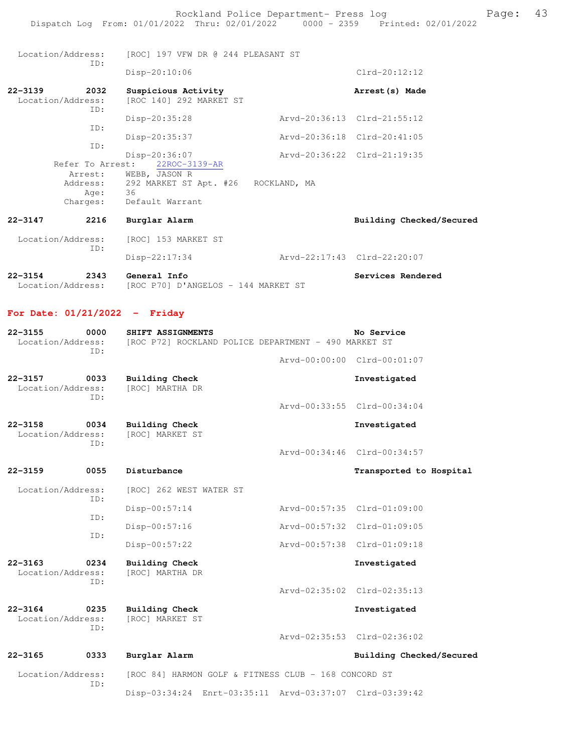Location/Address: [ROC] 197 VFW DR @ 244 PLEASANT ST ID: Disp-20:10:06 Clrd-20:12:12 **22-3139 2032 Suspicious Activity Arrest(s) Made**  [ROC 140] 292 MARKET ST ID: Disp-20:35:28 Arvd-20:36:13 Clrd-21:55:12 ID: Disp-20:35:37 Arvd-20:36:18 Clrd-20:41:05 ID: Disp-20:36:07 Arvd-20:36:22 Clrd-21:19:35 Refer To Arrest: 22ROC-3139-AR Arrest: WEBB, JASON R Address: 292 MARKET ST Apt. #26 ROCKLAND, MA Age: 36 Charges: Default Warrant **22-3147 2216 Burglar Alarm Building Checked/Secured**  Location/Address: [ROC] 153 MARKET ST ID: Disp-22:17:34 Arvd-22:17:43 Clrd-22:20:07

**22-3154 2343 General Info Services Rendered**  Location/Address: [ROC P70] D'ANGELOS - 144 MARKET ST

#### **For Date: 01/21/2022 - Friday**

| $22 - 3155$<br>Location/Address:                | 0000<br>TD:   | SHIFT ASSIGNMENTS<br>[ROC P72] ROCKLAND POLICE DEPARTMENT - 490 MARKET ST | No Service                  |
|-------------------------------------------------|---------------|---------------------------------------------------------------------------|-----------------------------|
|                                                 |               |                                                                           | Arvd-00:00:00 Clrd-00:01:07 |
| $22 - 3157$<br>Location/Address:                | 0033<br>ID:   | <b>Building Check</b><br>[ROC] MARTHA DR                                  | Investigated                |
|                                                 |               |                                                                           | Arvd-00:33:55 Clrd-00:34:04 |
| $22 - 3158$<br>Location/Address:                | 0034<br>ID:   | <b>Building Check</b><br>[ROC] MARKET ST                                  | Investigated                |
|                                                 |               |                                                                           | Arvd-00:34:46 Clrd-00:34:57 |
| $22 - 3159$                                     | 0055          | Disturbance                                                               | Transported to Hospital     |
| Location/Address:                               |               | [ROC] 262 WEST WATER ST                                                   |                             |
| TD:<br>ID:                                      | Disp-00:57:14 | Arvd-00:57:35 Clrd-01:09:00                                               |                             |
| ID:                                             |               | Disp-00:57:16                                                             | Arvd-00:57:32 Clrd-01:09:05 |
|                                                 |               | Disp-00:57:22                                                             | Arvd-00:57:38 Clrd-01:09:18 |
| $22 - 3163$<br>0234<br>Location/Address:<br>ID: |               | <b>Building Check</b><br>[ROC] MARTHA DR                                  | Investigated                |
|                                                 |               |                                                                           | Arvd-02:35:02 Clrd-02:35:13 |
| $22 - 3164$<br>Location/Address:                | 0235<br>TD:   | Building Check<br>[ROC] MARKET ST                                         | Investigated                |
|                                                 |               |                                                                           | Arvd-02:35:53 Clrd-02:36:02 |
| $22 - 3165$                                     | 0333          | Burglar Alarm                                                             | Building Checked/Secured    |
| Location/Address:                               | TD:           | [ROC 84] HARMON GOLF & FITNESS CLUB - 168 CONCORD ST                      |                             |
|                                                 |               | Disp-03:34:24 Enrt-03:35:11 Arvd-03:37:07 Clrd-03:39:42                   |                             |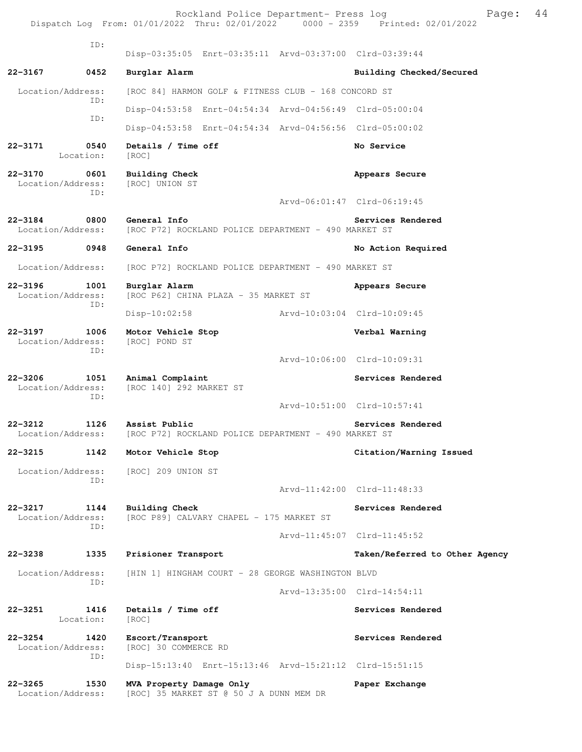ID: Disp-03:35:05 Enrt-03:35:11 Arvd-03:37:00 Clrd-03:39:44 **22-3167 0452 Burglar Alarm Building Checked/Secured**  Location/Address: [ROC 84] HARMON GOLF & FITNESS CLUB - 168 CONCORD ST ID: Disp-04:53:58 Enrt-04:54:34 Arvd-04:56:49 Clrd-05:00:04 ID: Disp-04:53:58 Enrt-04:54:34 Arvd-04:56:56 Clrd-05:00:02 **22-3171 0540 Details / Time off No Service**  Location: [ROC] **22-3170 0601 Building Check Appears Secure**  Location/Address: [ROC] UNION ST ID: Arvd-06:01:47 Clrd-06:19:45 **22-3184** 0800 General Info<br>
Location/Address: [ROC P72] ROCKLAND POLICE DEPARTMENT - 490 MARKET ST [ROC P72] ROCKLAND POLICE DEPARTMENT - 490 MARKET ST **22-3195 0948 General Info No Action Required**  Location/Address: [ROC P72] ROCKLAND POLICE DEPARTMENT - 490 MARKET ST **22-3196 1001 Burglar Alarm Appears Secure**  Location/Address: [ROC P62] CHINA PLAZA - 35 MARKET ST ID: Disp-10:02:58 Arvd-10:03:04 Clrd-10:09:45 **22-3197 1006 Motor Vehicle Stop Verbal Warning**  Location/Address: [ROC] POND ST ID: Arvd-10:06:00 Clrd-10:09:31 22-3206 1051 Animal Complaint **Services Rendered Services** Rendered Location/Address: [ROC 140] 292 MARKET ST ID: Arvd-10:51:00 Clrd-10:57:41 **22-3212 1126 Assist Public Services Rendered**  Location/Address: [ROC P72] ROCKLAND POLICE DEPARTMENT - 490 MARKET ST **22-3215 1142 Motor Vehicle Stop Citation/Warning Issued**  Location/Address: [ROC] 209 UNION ST ID: Arvd-11:42:00 Clrd-11:48:33 **22-3217 1144 Building Check Services Rendered**  Location/Address: [ROC P89] CALVARY CHAPEL - 175 MARKET ST ID: Arvd-11:45:07 Clrd-11:45:52 **22-3238 1335 Prisioner Transport Taken/Referred to Other Agency** Location/Address: [HIN 1] HINGHAM COURT - 28 GEORGE WASHINGTON BLVD ID: Arvd-13:35:00 Clrd-14:54:11 **22-3251 1416 Details / Time off Services Rendered**  Location: [ROC] **22-3254 1420 Escort/Transport Services Rendered**  Location/Address: [ROC] 30 COMMERCE RD ID: Disp-15:13:40 Enrt-15:13:46 Arvd-15:21:12 Clrd-15:51:15 **22-3265 1530 MVA Property Damage Only Paper Exchange**  Location/Address: [ROC] 35 MARKET ST @ 50 J A DUNN MEM DR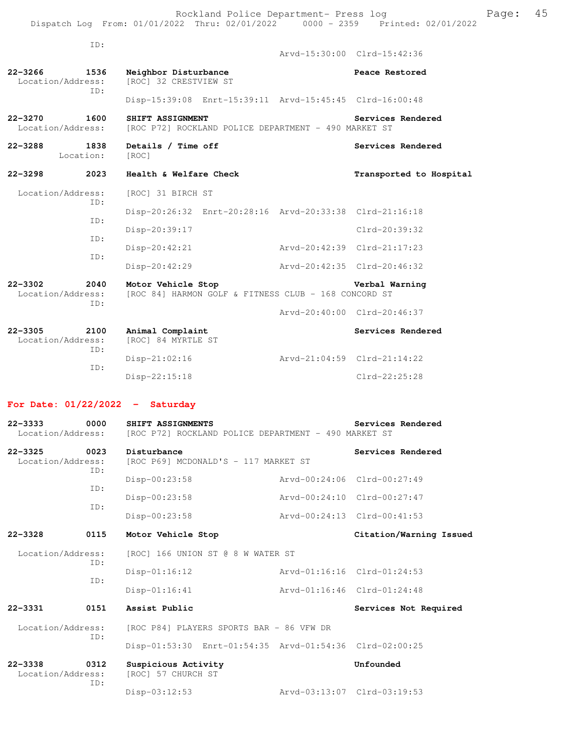|                                          | ID:         |                                               |                                                         |                             |                         |
|------------------------------------------|-------------|-----------------------------------------------|---------------------------------------------------------|-----------------------------|-------------------------|
|                                          |             |                                               |                                                         | Arvd-15:30:00 Clrd-15:42:36 |                         |
| 22-3266 1536<br>Location/Address:        |             | Neighbor Disturbance<br>[ROC] 32 CRESTVIEW ST |                                                         |                             | Peace Restored          |
|                                          | ID:         |                                               | Disp-15:39:08 Enrt-15:39:11 Arvd-15:45:45 Clrd-16:00:48 |                             |                         |
| 22-3270<br>1600<br>Location/Address:     |             | SHIFT ASSIGNMENT                              | [ROC P72] ROCKLAND POLICE DEPARTMENT - 490 MARKET ST    |                             | Services Rendered       |
| $22 - 3288$<br>Location:                 | 1838        | Details / Time off<br>[ROC]                   |                                                         |                             | Services Rendered       |
| $22 - 3298$                              | 2023        | Health & Welfare Check                        |                                                         |                             | Transported to Hospital |
| Location/Address:                        |             | [ROC] 31 BIRCH ST                             |                                                         |                             |                         |
| ID:<br>ID:                               |             |                                               | Disp-20:26:32 Enrt-20:28:16 Arvd-20:33:38 Clrd-21:16:18 |                             |                         |
|                                          | TD:         | Disp-20:39:17                                 |                                                         |                             | Clrd-20:39:32           |
| TD:                                      |             | $Disp-20:42:21$                               |                                                         | Arvd-20:42:39 Clrd-21:17:23 |                         |
|                                          |             | Disp-20:42:29                                 |                                                         | Arvd-20:42:35 Clrd-20:46:32 |                         |
| $22 - 3302$<br>Location/Address:         | 2040<br>ID: | Motor Vehicle Stop                            | [ROC 84] HARMON GOLF & FITNESS CLUB - 168 CONCORD ST    |                             | Verbal Warning          |
|                                          |             |                                               |                                                         | Arvd-20:40:00 Clrd-20:46:37 |                         |
| $22 - 3305$<br>2100<br>Location/Address: | ID:         | Animal Complaint<br>[ROC] 84 MYRTLE ST        |                                                         |                             | Services Rendered       |
|                                          |             | Disp-21:02:16                                 |                                                         | Arvd-21:04:59 Clrd-21:14:22 |                         |
|                                          | TD:         | $Disp-22:15:18$                               |                                                         |                             | $Clrd-22:25:28$         |

## **For Date: 01/22/2022 - Saturday**

| $22 - 3333$<br>Location/Address:                | 0000        | SHIFT ASSIGNMENTS<br>[ROC P72] ROCKLAND POLICE DEPARTMENT - 490 MARKET ST |                             | Services Rendered           |
|-------------------------------------------------|-------------|---------------------------------------------------------------------------|-----------------------------|-----------------------------|
| $22 - 3325$<br>Location/Address:                | 0023<br>ID: | Disturbance<br>[ROC P69] MCDONALD'S - 117 MARKET ST                       |                             | Services Rendered           |
|                                                 | ID:         | Disp-00:23:58                                                             |                             | Aryd-00:24:06 Clrd-00:27:49 |
|                                                 | ID:         | Disp-00:23:58                                                             |                             | Arvd-00:24:10 Clrd-00:27:47 |
|                                                 |             | Disp-00:23:58                                                             |                             | Aryd-00:24:13 Clrd-00:41:53 |
| $22 - 3328$                                     | 0115        | Motor Vehicle Stop                                                        |                             | Citation/Warning Issued     |
| Location/Address:                               | ID:         | [ROC] 166 UNION ST @ 8 W WATER ST                                         |                             |                             |
| ID:                                             |             | $Disp-01:16:12$                                                           |                             | Aryd-01:16:16 Clrd-01:24:53 |
|                                                 |             | $Disp-01:16:41$                                                           | Aryd-01:16:46 Clrd-01:24:48 |                             |
| $22 - 3331$                                     | 0151        | Assist Public                                                             |                             | Services Not Required       |
| Location/Address:<br>ID:                        |             | [ROC P84] PLAYERS SPORTS BAR - 86 VFW DR                                  |                             |                             |
|                                                 |             | Disp-01:53:30 Enrt-01:54:35 Arvd-01:54:36 Clrd-02:00:25                   |                             |                             |
| $22 - 3338$<br>0312<br>Location/Address:<br>ID: |             | Suspicious Activity<br>[ROC] 57 CHURCH ST                                 |                             | Unfounded                   |
|                                                 |             | Disp-03:12:53                                                             |                             | Arvd-03:13:07 Clrd-03:19:53 |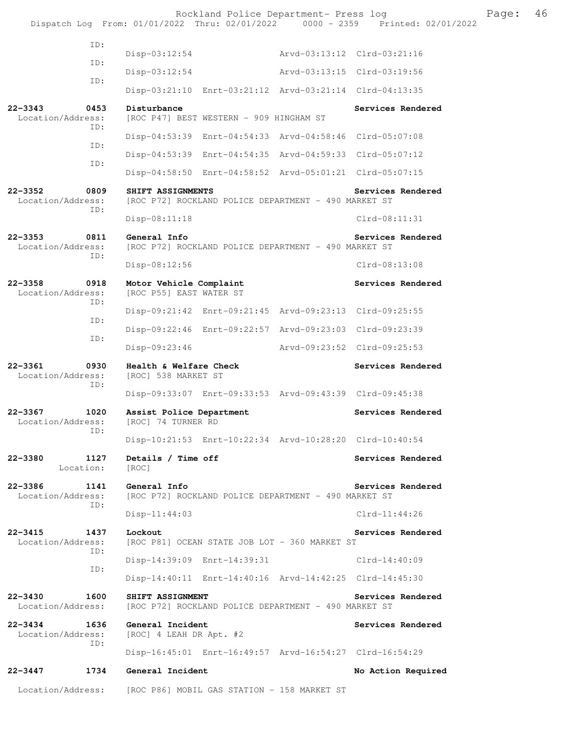|                                  |                   |                                                    |                                         | Rockland Police Department- Press log                   |                 | Dispatch Log From: 01/01/2022 Thru: 02/01/2022 0000 - 2359 Printed: 02/01/2022 | Page: | 46 |
|----------------------------------|-------------------|----------------------------------------------------|-----------------------------------------|---------------------------------------------------------|-----------------|--------------------------------------------------------------------------------|-------|----|
|                                  | ID:               |                                                    |                                         |                                                         |                 |                                                                                |       |    |
|                                  | ID:               | Disp-03:12:54                                      |                                         |                                                         |                 |                                                                                |       |    |
|                                  |                   | Disp-03:12:54                                      |                                         | Arvd-03:13:15 Clrd-03:19:56                             |                 |                                                                                |       |    |
|                                  | ID:               |                                                    |                                         | Disp-03:21:10 Enrt-03:21:12 Arvd-03:21:14 Clrd-04:13:35 |                 |                                                                                |       |    |
| $22 - 3343$<br>Location/Address: | 0453<br>ID:       | Disturbance                                        | [ROC P47] BEST WESTERN - 909 HINGHAM ST |                                                         |                 | Services Rendered                                                              |       |    |
|                                  |                   |                                                    |                                         | Disp-04:53:39 Enrt-04:54:33 Arvd-04:58:46 Clrd-05:07:08 |                 |                                                                                |       |    |
|                                  | ID:               |                                                    |                                         | Disp-04:53:39 Enrt-04:54:35 Arvd-04:59:33 Clrd-05:07:12 |                 |                                                                                |       |    |
|                                  | ID:               |                                                    |                                         | Disp-04:58:50 Enrt-04:58:52 Arvd-05:01:21 Clrd-05:07:15 |                 |                                                                                |       |    |
| $22 - 3352$<br>Location/Address: | 0809<br>ID:       | SHIFT ASSIGNMENTS                                  |                                         | [ROC P72] ROCKLAND POLICE DEPARTMENT - 490 MARKET ST    |                 | Services Rendered                                                              |       |    |
|                                  |                   | Disp-08:11:18                                      |                                         |                                                         | $Clrd-08:11:31$ |                                                                                |       |    |
| $22 - 3353$<br>Location/Address: | 0811<br>ID:       | General Info                                       |                                         | [ROC P72] ROCKLAND POLICE DEPARTMENT - 490 MARKET ST    |                 | Services Rendered                                                              |       |    |
|                                  |                   | Disp-08:12:56                                      |                                         |                                                         | $Clrd-08:13:08$ |                                                                                |       |    |
| $22 - 3358$<br>Location/Address: | 0918<br>ID:       | Motor Vehicle Complaint<br>[ROC P55] EAST WATER ST |                                         |                                                         |                 | Services Rendered                                                              |       |    |
|                                  | ID:               |                                                    |                                         | Disp-09:21:42 Enrt-09:21:45 Arvd-09:23:13 Clrd-09:25:55 |                 |                                                                                |       |    |
|                                  | ID:               |                                                    |                                         | Disp-09:22:46 Enrt-09:22:57 Arvd-09:23:03 Clrd-09:23:39 |                 |                                                                                |       |    |
|                                  |                   | Disp-09:23:46                                      |                                         | Arvd-09:23:52 Clrd-09:25:53                             |                 |                                                                                |       |    |
| $22 - 3361$<br>Location/Address: | 0930<br>ID:       | Health & Welfare Check<br>[ROC] 538 MARKET ST      |                                         |                                                         |                 | Services Rendered                                                              |       |    |
|                                  |                   |                                                    |                                         | Disp-09:33:07 Enrt-09:33:53 Arvd-09:43:39 Clrd-09:45:38 |                 |                                                                                |       |    |
| $22 - 3367$<br>Location/Address: | 1020<br>ID:       | Assist Police Department<br>[ROC] 74 TURNER RD     |                                         |                                                         |                 | Services Rendered                                                              |       |    |
|                                  |                   |                                                    |                                         | Disp-10:21:53 Enrt-10:22:34 Arvd-10:28:20 Clrd-10:40:54 |                 |                                                                                |       |    |
| $22 - 3380$                      | 1127<br>Location: | Details / Time off<br>[ROC]                        |                                         |                                                         |                 | Services Rendered                                                              |       |    |
| $22 - 3386$<br>Location/Address: | 1141<br>ID:       | General Info                                       |                                         | [ROC P72] ROCKLAND POLICE DEPARTMENT - 490 MARKET ST    |                 | Services Rendered                                                              |       |    |
|                                  |                   | $Disp-11:44:03$                                    |                                         |                                                         | $Clrd-11:44:26$ |                                                                                |       |    |
| $22 - 3415$<br>Location/Address: | 1437<br>ID:       | Lockout                                            |                                         | [ROC P81] OCEAN STATE JOB LOT - 360 MARKET ST           |                 | Services Rendered                                                              |       |    |
|                                  | ID:               |                                                    | Disp-14:39:09 Enrt-14:39:31             |                                                         | Clrd-14:40:09   |                                                                                |       |    |
|                                  |                   |                                                    |                                         | Disp-14:40:11 Enrt-14:40:16 Arvd-14:42:25 Clrd-14:45:30 |                 |                                                                                |       |    |
| $22 - 3430$<br>Location/Address: | 1600              | SHIFT ASSIGNMENT                                   |                                         | [ROC P72] ROCKLAND POLICE DEPARTMENT - 490 MARKET ST    |                 | Services Rendered                                                              |       |    |
| $22 - 3434$<br>Location/Address: | 1636<br>ID:       | General Incident<br>[ROC] 4 LEAH DR Apt. #2        |                                         |                                                         |                 | Services Rendered                                                              |       |    |
|                                  |                   |                                                    |                                         |                                                         |                 |                                                                                |       |    |
| $22 - 3447$                      | 1734              | General Incident                                   |                                         |                                                         |                 | No Action Required                                                             |       |    |
| Location/Address:                |                   | [ROC P86] MOBIL GAS STATION - 158 MARKET ST        |                                         |                                                         |                 |                                                                                |       |    |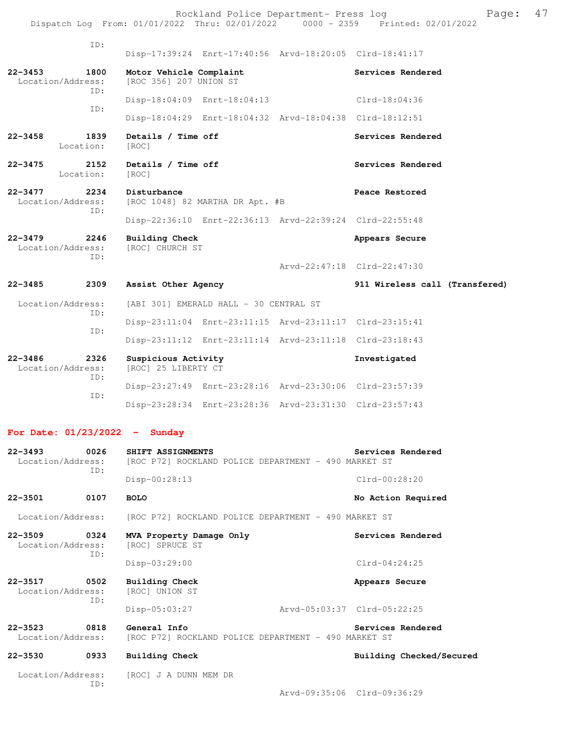|                                                                                |  | Rockland Police Department- Press log |  |  | Page: 47 |  |
|--------------------------------------------------------------------------------|--|---------------------------------------|--|--|----------|--|
| Dispatch Log From: 01/01/2022 Thru: 02/01/2022 0000 - 2359 Printed: 02/01/2022 |  |                                       |  |  |          |  |

| ID:                                             |                                                                           |                                |
|-------------------------------------------------|---------------------------------------------------------------------------|--------------------------------|
|                                                 | Disp-17:39:24 Enrt-17:40:56 Arvd-18:20:05 Clrd-18:41:17                   |                                |
| $22 - 3453$<br>1800<br>Location/Address:<br>TD: | Motor Vehicle Complaint<br>[ROC 356] 207 UNION ST                         | Services Rendered              |
| ID:                                             | Disp-18:04:09 Enrt-18:04:13                                               | $Clrd-18:04:36$                |
|                                                 | Disp-18:04:29 Enrt-18:04:32 Arvd-18:04:38 Clrd-18:12:51                   |                                |
| $22 - 3458$<br>1839<br>Location:                | Details / Time off<br>[ROC]                                               | Services Rendered              |
| $22 - 3475$<br>2152<br>Location:                | Details / Time off<br>[ROC]                                               | Services Rendered              |
| $22 - 3477$<br>2234<br>Location/Address:<br>TD: | Disturbance<br>[ROC 1048] 82 MARTHA DR Apt. #B                            | Peace Restored                 |
|                                                 | Disp-22:36:10 Enrt-22:36:13 Arvd-22:39:24 Clrd-22:55:48                   |                                |
| $22 - 3479$<br>2246<br>Location/Address:<br>TD: | Building Check<br>[ROC] CHURCH ST                                         | Appears Secure                 |
|                                                 |                                                                           |                                |
|                                                 |                                                                           | Arvd-22:47:18 Clrd-22:47:30    |
| 22-3485<br>2309                                 | Assist Other Agency                                                       | 911 Wireless call (Transfered) |
| Location/Address:                               | [ABI 301] EMERALD HALL - 30 CENTRAL ST                                    |                                |
| TD:                                             | Disp-23:11:04 Enrt-23:11:15 Arvd-23:11:17 Clrd-23:15:41                   |                                |
| ID:                                             | Disp-23:11:12 Enrt-23:11:14 Arvd-23:11:18 Clrd-23:18:43                   |                                |
| $22 - 3486$<br>2326<br>Location/Address:        | Suspicious Activity<br>[ROC] 25 LIBERTY CT                                | Investigated                   |
| TD:                                             | Disp-23:27:49 Enrt-23:28:16 Arvd-23:30:06 Clrd-23:57:39                   |                                |
| TD:                                             | Disp-23:28:34 Enrt-23:28:36 Arvd-23:31:30 Clrd-23:57:43                   |                                |
| For Date: $01/23/2022 -$ Sunday                 |                                                                           |                                |
| $22 - 3493$<br>0026<br>Location/Address:        | SHIFT ASSIGNMENTS<br>[ROC P72] ROCKLAND POLICE DEPARTMENT - 490 MARKET ST | Services Rendered              |
| TD:                                             | $Disp-00:28:13$                                                           | $Clrd-00:28:20$                |

Location/Address: [ROC P72] ROCKLAND POLICE DEPARTMENT - 490 MARKET ST

| $22 - 3509$<br>0324<br>Location/Address:<br>ID: |             | MVA Property Damage Only<br>[ROC] SPRUCE ST | Services Rendered                                                         |
|-------------------------------------------------|-------------|---------------------------------------------|---------------------------------------------------------------------------|
|                                                 |             | $Disp-03:29:00$                             | $Clrd-04:24:25$                                                           |
| $22 - 3517$<br>Location/Address:                | 0502<br>ID: | Building Check<br>[ROC] UNION ST            | Appears Secure                                                            |
|                                                 |             | $Disp-05:03:27$                             | Arvd-05:03:37 Clrd-05:22:25                                               |
| $22 - 3523$<br>Location/Address:                | 0818        | General Info                                | Services Rendered<br>[ROC P72] ROCKLAND POLICE DEPARTMENT - 490 MARKET ST |
| $22 - 3530$                                     | 0933        | Building Check                              | Building Checked/Secured                                                  |

#### Location/Address: [ROC] J A DUNN MEM DR ID:

Arvd-09:35:06 Clrd-09:36:29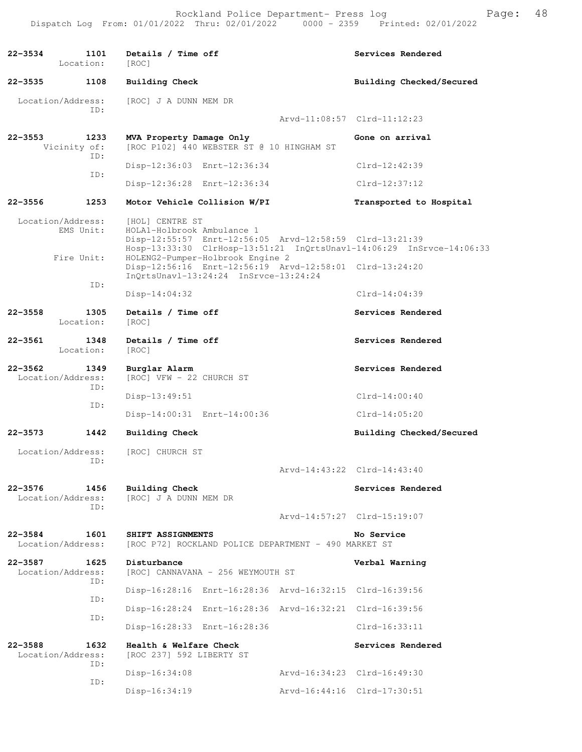**22-3534 1101 Details / Time off Services Rendered**  Location: [ROC] **22-3535 1108 Building Check Building Checked/Secured**  Location/Address: [ROC] J A DUNN MEM DR ID: Arvd-11:08:57 Clrd-11:12:23 **22-3553 1233 MVA Property Damage Only Gone on arrival**  Vicinity of: [ROC P102] 440 WEBSTER ST @ 10 HINGHAM ST ID: Disp-12:36:03 Enrt-12:36:34 Clrd-12:42:39 ID: Disp-12:36:28 Enrt-12:36:34 Clrd-12:37:12 **22-3556 1253 Motor Vehicle Collision W/PI Transported to Hospital**  Location/Address: [HOL] CENTRE ST EMS Unit: HOLA1-Holbrook Ambulance 1 Disp-12:55:57 Enrt-12:56:05 Arvd-12:58:59 Clrd-13:21:39 Hosp-13:33:30 ClrHosp-13:51:21 InQrtsUnavl-14:06:29 InSrvce-14:06:33<br>Fire Unit: HOLENG2-Pumper-Holbrook Engine 2 HOLENG2-Pumper-Holbrook Engine 2 Disp-12:56:16 Enrt-12:56:19 Arvd-12:58:01 Clrd-13:24:20 InQrtsUnavl-13:24:24 InSrvce-13:24:24 ID: Disp-14:04:32 Clrd-14:04:39 22-3558 1305 Details / Time off **Services Rendered**  Location: [ROC] 22-3561 1348 Details / Time off **Services Rendered**  Location: [ROC] **22-3562 1349 Burglar Alarm Services Rendered**  Location/Address: [ROC] VFW - 22 CHURCH ST ID: Disp-13:49:51 Clrd-14:00:40 ID: Disp-14:00:31 Enrt-14:00:36 Clrd-14:05:20 **22-3573 1442 Building Check Building Checked/Secured**  Location/Address: [ROC] CHURCH ST ID: Arvd-14:43:22 Clrd-14:43:40 **22-3576 1456 Building Check Services Rendered**  Location/Address: [ROC] J A DUNN MEM DR ID: Arvd-14:57:27 Clrd-15:19:07 **22-3584 1601 SHIFT ASSIGNMENTS No Service**  Location/Address: [ROC P72] ROCKLAND POLICE DEPARTMENT - 490 MARKET ST **22-3587 1625 Disturbance Verbal Warning**  Location/Address: [ROC] CANNAVANA - 256 WEYMOUTH ST ID: Disp-16:28:16 Enrt-16:28:36 Arvd-16:32:15 Clrd-16:39:56 ID: Disp-16:28:24 Enrt-16:28:36 Arvd-16:32:21 Clrd-16:39:56 ID: Disp-16:28:33 Enrt-16:28:36 Clrd-16:33:11 **22-3588 1632 Health & Welfare Check Services Rendered**  Location/Address: [ROC 237] 592 LIBERTY ST ID: Disp-16:34:08 Arvd-16:34:23 Clrd-16:49:30 ID: Disp-16:34:19 Arvd-16:44:16 Clrd-17:30:51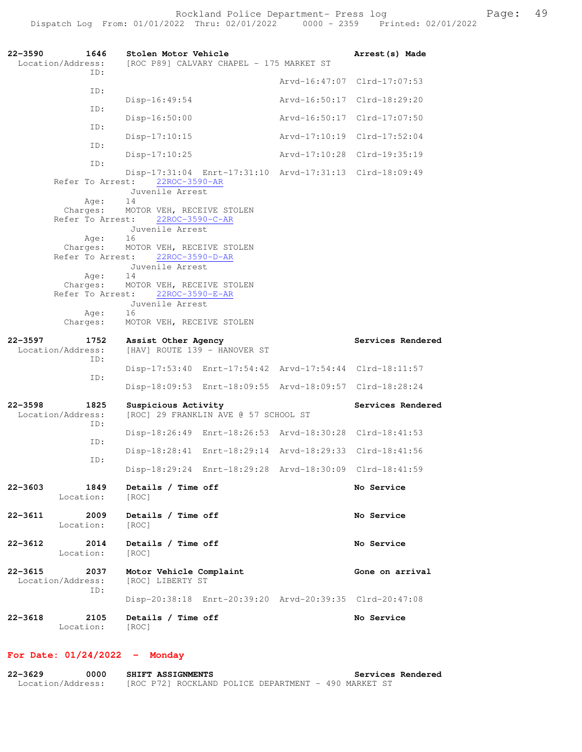**22-3590 1646 Stolen Motor Vehicle Arrest(s) Made**  Location/Address: [ROC P89] CALVARY CHAPEL - 175 MARKET ST ID: Arvd-16:47:07 Clrd-17:07:53 ID: Disp-16:49:54 Arvd-16:50:17 Clrd-18:29:20 ID: Disp-16:50:00 Arvd-16:50:17 Clrd-17:07:50 ID: Disp-17:10:15 Arvd-17:10:19 Clrd-17:52:04 ID: Disp-17:10:25 Arvd-17:10:28 Clrd-19:35:19 ID: Disp-17:31:04 Enrt-17:31:10 Arvd-17:31:13 Clrd-18:09:49 Refer To Arrest: 22ROC-3590-AR Juvenile Arrest Age: 14 Charges: MOTOR VEH, RECEIVE STOLEN Refer To Arrest: 22ROC-3590-C-AR Juvenile Arrest Age: Charges: MOTOR VEH, RECEIVE STOLEN Refer To Arrest: 22ROC-3590-D-AR Juvenile Arrest Age: 14 Charges: MOTOR VEH, RECEIVE STOLEN Refer To Arrest: 22ROC-3590-E-AR Juvenile Arrest Age: Charges: MOTOR VEH, RECEIVE STOLEN 22-3597 1752 Assist Other Agency **1752 1886** Services Rendered Location/Address: [HAV] ROUTE 139 - HANOVER ST ID: Disp-17:53:40 Enrt-17:54:42 Arvd-17:54:44 Clrd-18:11:57 ID: Disp-18:09:53 Enrt-18:09:55 Arvd-18:09:57 Clrd-18:28:24 **22-3598 1825 Suspicious Activity Services Rendered**  Location/Address: [ROC] 29 FRANKLIN AVE @ 57 SCHOOL ST ID: Disp-18:26:49 Enrt-18:26:53 Arvd-18:30:28 Clrd-18:41:53 ID: Disp-18:28:41 Enrt-18:29:14 Arvd-18:29:33 Clrd-18:41:56 ID: Disp-18:29:24 Enrt-18:29:28 Arvd-18:30:09 Clrd-18:41:59 **22-3603 1849 Details / Time off No Service**  Location: [ROC] **22-3611 2009 Details / Time off No Service**  Location: [ROC] **22-3612 2014 Details / Time off No Service**  Location: [ROC] **22-3615 2037 Motor Vehicle Complaint 600 Cone on arrival Location/Address:** [ROC] LIBERTY ST Location/Address: ID: Disp-20:38:18 Enrt-20:39:20 Arvd-20:39:35 Clrd-20:47:08 **22-3618 2105 Details / Time off No Service**  Location: [ROC]

#### **For Date: 01/24/2022 - Monday**

**22-3629 0000 SHIFT ASSIGNMENTS Services Rendered**  Location/Address: [ROC P72] ROCKLAND POLICE DEPARTMENT - 490 MARKET ST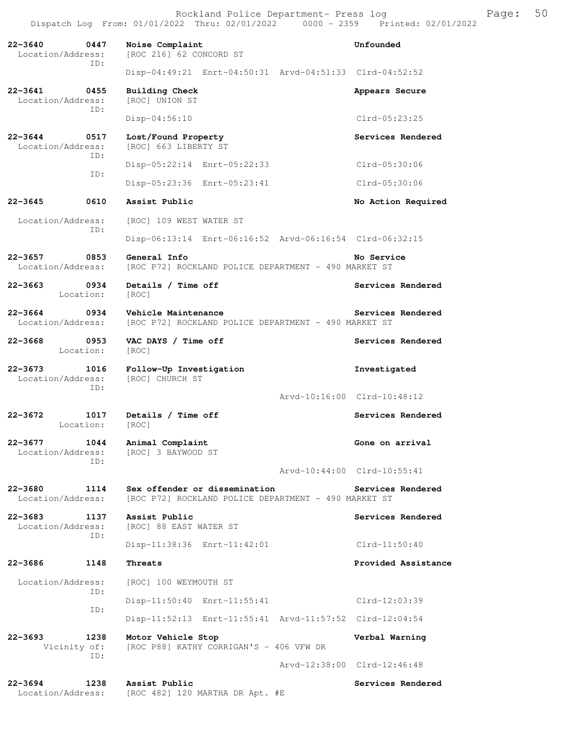Dispatch Log From: 01/01/2022 Thru: 02/01/2022 0000 - 2359 Printed: 02/01/2022 **22-3640 0447 Noise Complaint Unfounded**  Location/Address: [ROC 216] 62 CONCORD ST ID: Disp-04:49:21 Enrt-04:50:31 Arvd-04:51:33 Clrd-04:52:52 **22-3641 0455 Building Check Appears Secure** Appears Secure Location/Address: [ROC] UNION ST Location/Address: ID: Disp-04:56:10 Clrd-05:23:25 **22-3644 0517 Lost/Found Property Services Rendered**  Location/Address: [ROC] 663 LIBERTY ST ID: Disp-05:22:14 Enrt-05:22:33 Clrd-05:30:06 ID: Disp-05:23:36 Enrt-05:23:41 Clrd-05:30:06 **22-3645 0610 Assist Public No Action Required**  Location/Address: [ROC] 109 WEST WATER ST ID: Disp-06:13:14 Enrt-06:16:52 Arvd-06:16:54 Clrd-06:32:15 **22-3657 0853 General Info No Service**<br>Location/Address: [ROC P72] ROCKLAND POLICE DEPARTMENT - 490 MARKET ST [ROC P72] ROCKLAND POLICE DEPARTMENT - 490 MARKET ST 22-3663 **0934** Details / Time off **Services Rendered Services** Rendered Location: [ROC] **22-3664 0934 Vehicle Maintenance Services Rendered**  Location/Address: [ROC P72] ROCKLAND POLICE DEPARTMENT - 490 MARKET ST 22-3668 0953 VAC DAYS / Time off **Services Rendered**  Location: [ROC] **22-3673 1016 Follow-Up Investigation Investigated**  Location/Address: [ROC] CHURCH ST ID: Arvd-10:16:00 Clrd-10:48:12 22-3672 1017 Details / Time off **Services Rendered**  Location: [ROC] **22-3677 1044 Animal Complaint Gone on arrival**  Location/Address: [ROC] 3 BAYWOOD ST ID: Arvd-10:44:00 Clrd-10:55:41 **22-3680 1114 Sex offender or dissemination Services Rendered**  Location/Address: [ROC P72] ROCKLAND POLICE DEPARTMENT - 490 MARKET ST **22-3683 1137 Assist Public Services Rendered Location/Address:** [ROC] 88 EAST WATER ST [ROC] 88 EAST WATER ST ID: Disp-11:38:36 Enrt-11:42:01 Clrd-11:50:40 **22-3686 1148 Threats Provided Assistance**  Location/Address: [ROC] 100 WEYMOUTH ST ID: Disp-11:50:40 Enrt-11:55:41 Clrd-12:03:39 ID: Disp-11:52:13 Enrt-11:55:41 Arvd-11:57:52 Clrd-12:04:54 **22-3693 1238 Motor Vehicle Stop Verbal Warning**  Vicinity of: [ROC P88] KATHY CORRIGAN'S - 406 VFW DR ID: Arvd-12:38:00 Clrd-12:46:48 **22-3694 1238 Assist Public Services Rendered**  Location/Address: [ROC 482] 120 MARTHA DR Apt. #E

Rockland Police Department- Press log Fage: 50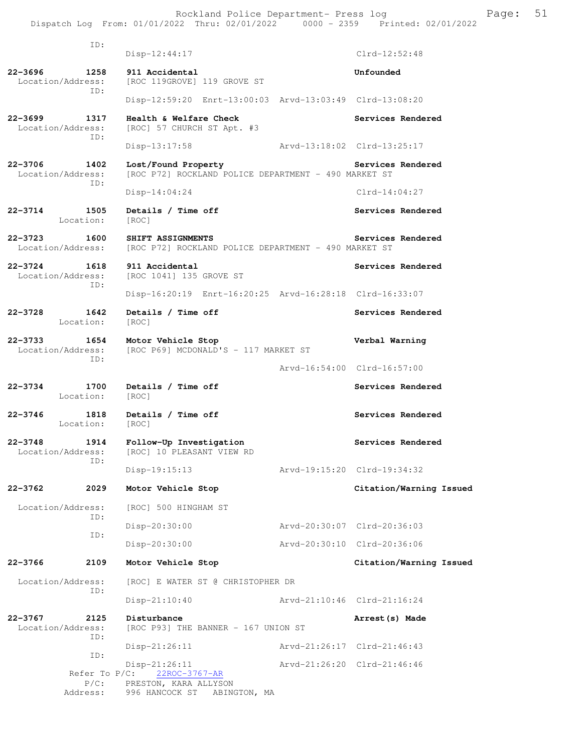Rockland Police Department- Press log entitled and Page: 51 Dispatch Log From: 01/01/2022 Thru: 02/01/2022 0000 - 2359 Printed: 02/01/2022

| ID:                                         |                                                                             |                             |
|---------------------------------------------|-----------------------------------------------------------------------------|-----------------------------|
|                                             | $Disp-12:44:17$                                                             | $Clrd-12:52:48$             |
| 22-3696<br>1258<br>Location/Address:<br>ID: | 911 Accidental<br>[ROC 119GROVE] 119 GROVE ST                               | Unfounded                   |
|                                             | Disp-12:59:20 Enrt-13:00:03 Arvd-13:03:49 Clrd-13:08:20                     |                             |
| 22–3699<br>1317<br>Location/Address:<br>ID: | Health & Welfare Check<br>[ROC] 57 CHURCH ST Apt. #3                        | Services Rendered           |
|                                             | Disp-13:17:58                                                               | Arvd-13:18:02 Clrd-13:25:17 |
| 22-3706<br>1402<br>Location/Address:<br>ID: | Lost/Found Property<br>[ROC P72] ROCKLAND POLICE DEPARTMENT - 490 MARKET ST | Services Rendered           |
|                                             | $Disp-14:04:24$                                                             | $Clrd-14:04:27$             |
| 22-3714<br>1505<br>Location:                | Details / Time off<br>[ROC]                                                 | Services Rendered           |
| 22–3723<br>1600<br>Location/Address:        | SHIFT ASSIGNMENTS<br>[ROC P72] ROCKLAND POLICE DEPARTMENT - 490 MARKET ST   | Services Rendered           |
| 1618<br>22-3724<br>Location/Address:        | 911 Accidental<br>[ROC 1041] 135 GROVE ST                                   | Services Rendered           |
| ID:                                         | Disp-16:20:19 Enrt-16:20:25 Arvd-16:28:18 Clrd-16:33:07                     |                             |
| 22-3728<br>1642<br>Location:                | Details / Time off<br>[ROC]                                                 | Services Rendered           |
| 22-3733<br>1654<br>Location/Address:<br>ID: | Motor Vehicle Stop<br>[ROC P69] MCDONALD'S - 117 MARKET ST                  | Verbal Warning              |
|                                             |                                                                             | Arvd-16:54:00 Clrd-16:57:00 |
| 22-3734<br>1700<br>Location:                | Details / Time off<br>[ROC]                                                 | Services Rendered           |
| 22-3746<br>1818<br>Location:                | Details / Time off<br>[ROC]                                                 | Services Rendered           |
| 22-3748<br>1914<br>Location/Address:        | Follow-Up Investigation<br>[ROC] 10 PLEASANT VIEW RD                        | Services Rendered           |
| ID:                                         | Disp-19:15:13                                                               | Arvd-19:15:20 Clrd-19:34:32 |
| 22-3762<br>2029                             | Motor Vehicle Stop                                                          | Citation/Warning Issued     |
| Location/Address:                           | [ROC] 500 HINGHAM ST                                                        |                             |
| ID:<br>ID:                                  | Disp-20:30:00                                                               | Arvd-20:30:07 Clrd-20:36:03 |
|                                             | Disp-20:30:00                                                               | Arvd-20:30:10 Clrd-20:36:06 |
| 22-3766<br>2109                             | Motor Vehicle Stop                                                          | Citation/Warning Issued     |
| Location/Address:<br>ID:                    | [ROC] E WATER ST @ CHRISTOPHER DR                                           |                             |
|                                             | $Disp-21:10:40$                                                             | Arvd-21:10:46 Clrd-21:16:24 |
| 22-3767<br>2125<br>Location/Address:<br>ID: | Disturbance<br>[ROC P93] THE BANNER - 167 UNION ST                          | Arrest (s) Made             |
| ID:                                         | $Disp-21:26:11$                                                             | Arvd-21:26:17 Clrd-21:46:43 |
| Refer To $P/C$ :<br>$P/C$ :                 | $Disp-21:26:11$<br>22ROC-3767-AR<br>PRESTON, KARA ALLYSON                   | Arvd-21:26:20 Clrd-21:46:46 |
| Address:                                    | 996 HANCOCK ST ABINGTON, MA                                                 |                             |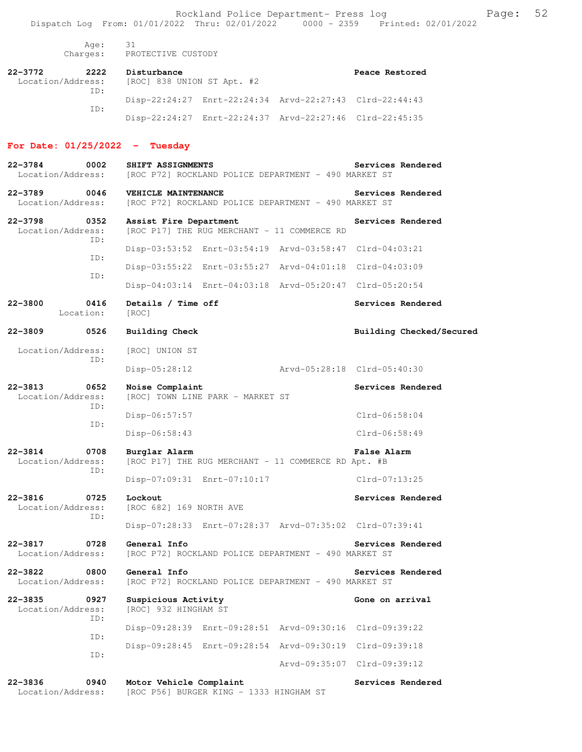Rockland Police Department- Press log entitled and Page: 52 Dispatch Log From: 01/01/2022 Thru: 02/01/2022 0000 - 2359 Printed: 02/01/2022

 Age: 31 Charges: PROTECTIVE CUSTODY

| 22-3772           | 2222 | Disturbance                |                                                         | Peace Restored |
|-------------------|------|----------------------------|---------------------------------------------------------|----------------|
| Location/Address: |      | [ROC] 838 UNION ST Apt. #2 |                                                         |                |
|                   | TD:  |                            |                                                         |                |
|                   |      |                            | Disp-22:24:27 Enrt-22:24:34 Arvd-22:27:43 Clrd-22:44:43 |                |
|                   | TD:  |                            |                                                         |                |
|                   |      |                            | Disp-22:24:27 Enrt-22:24:37 Arvd-22:27:46 Clrd-22:45:35 |                |

### **For Date: 01/25/2022 - Tuesday**

| 22-3784<br>0002<br>Location/Address:            | SHIFT ASSIGNMENTS<br>[ROC P72] ROCKLAND POLICE DEPARTMENT - 490 MARKET ST   | Services Rendered        |
|-------------------------------------------------|-----------------------------------------------------------------------------|--------------------------|
| 22-3789<br>0046<br>Location/Address:            | VEHICLE MAINTENANCE<br>[ROC P72] ROCKLAND POLICE DEPARTMENT - 490 MARKET ST | Services Rendered        |
| $22 - 3798$<br>0352<br>Location/Address:<br>ID: | Assist Fire Department<br>[ROC P17] THE RUG MERCHANT - 11 COMMERCE RD       | Services Rendered        |
|                                                 | Disp-03:53:52 Enrt-03:54:19 Arvd-03:58:47 Clrd-04:03:21                     |                          |
| ID:                                             | Disp-03:55:22 Enrt-03:55:27 Arvd-04:01:18 Clrd-04:03:09                     |                          |
| ID:                                             | Disp-04:03:14 Enrt-04:03:18 Arvd-05:20:47 Clrd-05:20:54                     |                          |
| 22-3800<br>0416<br>Location:                    | Details / Time off<br>[ROC]                                                 | Services Rendered        |
| $22 - 3809$<br>0526                             | <b>Building Check</b>                                                       | Building Checked/Secured |
| Location/Address:                               | [ROC] UNION ST                                                              |                          |
| ID:                                             | Disp-05:28:12<br>Arvd-05:28:18 Clrd-05:40:30                                |                          |
| 22-3813<br>0652<br>Location/Address:<br>ID:     | Noise Complaint<br>[ROC] TOWN LINE PARK - MARKET ST                         | Services Rendered        |
|                                                 | Disp-06:57:57                                                               | $Clrd-06:58:04$          |
| ID:                                             | Disp-06:58:43                                                               | Clrd-06:58:49            |
| 22-3814<br>0708<br>Location/Address:<br>ID:     | Burglar Alarm<br>[ROC P17] THE RUG MERCHANT - 11 COMMERCE RD Apt. #B        | <b>False Alarm</b>       |
|                                                 | Disp-07:09:31 Enrt-07:10:17                                                 | Clrd-07:13:25            |
| 22-3816<br>0725<br>Location/Address:            | Lockout<br>[ROC 682] 169 NORTH AVE                                          | Services Rendered        |
| ID:                                             | Disp-07:28:33 Enrt-07:28:37 Arvd-07:35:02 Clrd-07:39:41                     |                          |
| 22-3817<br>0728<br>Location/Address:            | General Info<br>[ROC P72] ROCKLAND POLICE DEPARTMENT - 490 MARKET ST        | Services Rendered        |
| $22 - 3822$<br>0800<br>Location/Address:        | General Info<br>[ROC P72] ROCKLAND POLICE DEPARTMENT - 490 MARKET ST        | Services Rendered        |
| $22 - 3835$<br>0927<br>Location/Address:<br>ID: | Suspicious Activity<br>[ROC] 932 HINGHAM ST                                 | Gone on arrival          |
| ID:                                             | Disp-09:28:39 Enrt-09:28:51 Arvd-09:30:16                                   | Clrd-09:39:22            |
| ID:                                             | Disp-09:28:45 Enrt-09:28:54 Arvd-09:30:19                                   | Clrd-09:39:18            |
|                                                 | Aryd-09:35:07                                                               | $Clrd-09:39:12$          |
| $22 - 3836$<br>0940<br>Location/Address:        | Motor Vehicle Complaint<br>[ROC P56] BURGER KING - 1333 HINGHAM ST          | Services Rendered        |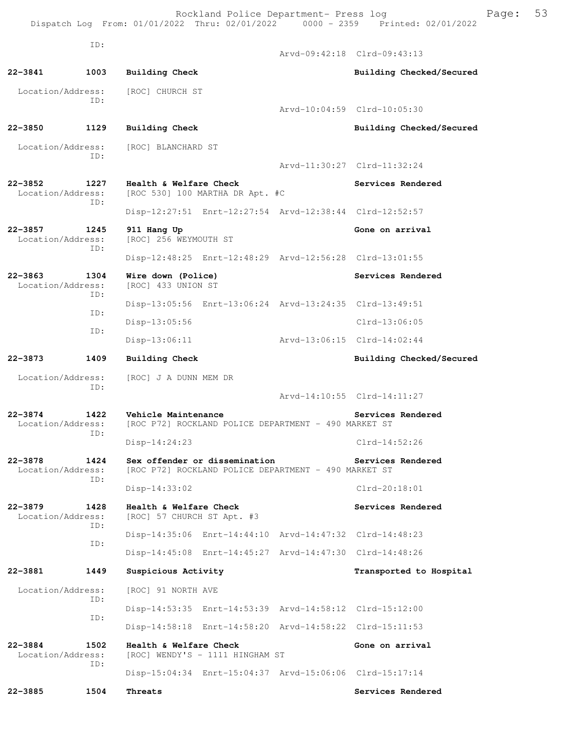Rockland Police Department- Press log Freed Page: 53 Dispatch Log From: 01/01/2022 Thru: 02/01/2022 0000 - 2359 Printed: 02/01/2022

 ID: Arvd-09:42:18 Clrd-09:43:13 **22-3841 1003 Building Check Building Checked/Secured**  Location/Address: [ROC] CHURCH ST ID: Arvd-10:04:59 Clrd-10:05:30 **22-3850 1129 Building Check Building Checked/Secured**  Location/Address: [ROC] BLANCHARD ST ID: Arvd-11:30:27 Clrd-11:32:24 **22-3852 1227 Health & Welfare Check Services Rendered** Location/Address: [ROC 530] 100 MARTHA DR Apt. #C  $[ROC 530] 100 MARTHA DR Apt.  $\#C$$  ID: Disp-12:27:51 Enrt-12:27:54 Arvd-12:38:44 Clrd-12:52:57 **22-3857 1245 911 Hang Up Gone on arrival**  Location/Address: [ROC] 256 WEYMOUTH ST ID: Disp-12:48:25 Enrt-12:48:29 Arvd-12:56:28 Clrd-13:01:55 **22-3863 1304 Wire down (Police) Services Rendered**  Location/Address: [ROC] 433 UNION ST ID: Disp-13:05:56 Enrt-13:06:24 Arvd-13:24:35 Clrd-13:49:51 ID: Disp-13:05:56 Clrd-13:06:05 ID: Disp-13:06:11 Arvd-13:06:15 Clrd-14:02:44 **22-3873 1409 Building Check Building Checked/Secured**  Location/Address: [ROC] J A DUNN MEM DR ID: Arvd-14:10:55 Clrd-14:11:27 **22-3874 1422 Vehicle Maintenance Services Rendered**  Location/Address: [ROC P72] ROCKLAND POLICE DEPARTMENT - 490 MARKET ST ID: Disp-14:24:23 Clrd-14:52:26 **22-3878 1424 Sex offender or dissemination Services Rendered**  Location/Address: [ROC P72] ROCKLAND POLICE DEPARTMENT - 490 MARKET ST ID: Disp-14:33:02 Clrd-20:18:01 **22-3879 1428 Health & Welfare Check Services Rendered**  Location/Address: [ROC] 57 CHURCH ST Apt. #3 ID: Disp-14:35:06 Enrt-14:44:10 Arvd-14:47:32 Clrd-14:48:23 ID: Disp-14:45:08 Enrt-14:45:27 Arvd-14:47:30 Clrd-14:48:26 **22-3881 1449 Suspicious Activity Transported to Hospital**  Location/Address: [ROC] 91 NORTH AVE ID: Disp-14:53:35 Enrt-14:53:39 Arvd-14:58:12 Clrd-15:12:00 ID: Disp-14:58:18 Enrt-14:58:20 Arvd-14:58:22 Clrd-15:11:53 **22-3884 1502 Health & Welfare Check Gone on arrival**  Location/Address: [ROC] WENDY'S - 1111 HINGHAM ST ID: Disp-15:04:34 Enrt-15:04:37 Arvd-15:06:06 Clrd-15:17:14 **22-3885 1504 Threats Services Rendered**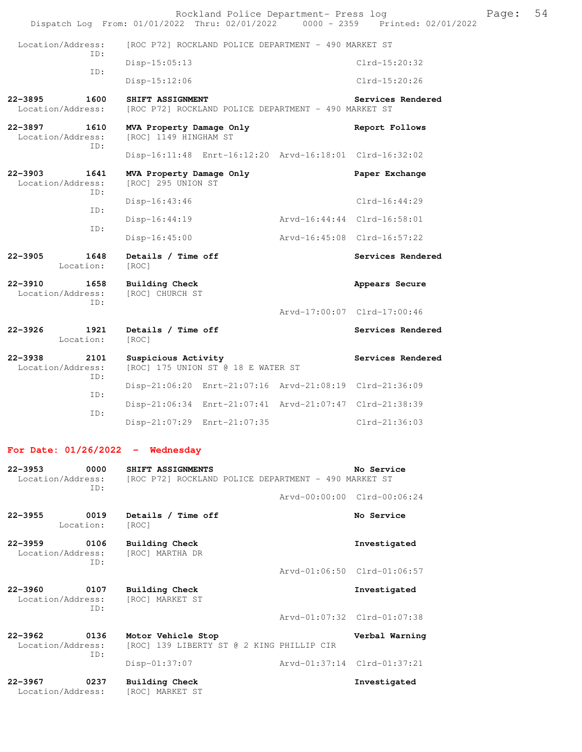|                                                 | Rockland Police Department- Press log<br>Dispatch Log From: 01/01/2022 Thru: 02/01/2022 0000 - 2359 Printed: 02/01/2022 |  |                             | Page: | 54 |
|-------------------------------------------------|-------------------------------------------------------------------------------------------------------------------------|--|-----------------------------|-------|----|
| Location/Address:<br>TD:                        | [ROC P72] ROCKLAND POLICE DEPARTMENT - 490 MARKET ST                                                                    |  |                             |       |    |
|                                                 | $Disp-15:05:13$                                                                                                         |  | Clrd-15:20:32               |       |    |
| ID:                                             | $Disp-15:12:06$                                                                                                         |  | Clrd-15:20:26               |       |    |
| $22 - 3895$<br>1600<br>Location/Address:        | SHIFT ASSIGNMENT<br>[ROC P72] ROCKLAND POLICE DEPARTMENT - 490 MARKET ST                                                |  | Services Rendered           |       |    |
| 22-3897<br>1610<br>Location/Address:<br>ID:     | MVA Property Damage Only<br>[ROC] 1149 HINGHAM ST                                                                       |  | Report Follows              |       |    |
|                                                 | Disp-16:11:48 Enrt-16:12:20 Arvd-16:18:01 Clrd-16:32:02                                                                 |  |                             |       |    |
| $22 - 3903$<br>1641<br>Location/Address:<br>ID: | MVA Property Damage Only<br>[ROC] 295 UNION ST                                                                          |  | Paper Exchange              |       |    |
|                                                 | $Disp-16:43:46$                                                                                                         |  | $Clrd-16:44:29$             |       |    |
| ID:                                             | $Disp-16:44:19$                                                                                                         |  | Arvd-16:44:44 Clrd-16:58:01 |       |    |
| ID:                                             | $Disp-16:45:00$                                                                                                         |  | Arvd-16:45:08 Clrd-16:57:22 |       |    |
| 22-3905<br>1648<br>Location:                    | Details / Time off<br>[ROC]                                                                                             |  | Services Rendered           |       |    |
| $22 - 3910$<br>1658<br>Location/Address:<br>ID: | <b>Building Check</b><br>[ROC] CHURCH ST                                                                                |  | Appears Secure              |       |    |
|                                                 |                                                                                                                         |  | Arvd-17:00:07 Clrd-17:00:46 |       |    |
| $22 - 3926$<br>1921<br>Location:                | Details / Time off<br>[ROC]                                                                                             |  | Services Rendered           |       |    |
| $22 - 3938$<br>2101<br>Location/Address:<br>ID: | Suspicious Activity<br>[ROC] 175 UNION ST @ 18 E WATER ST                                                               |  | Services Rendered           |       |    |
|                                                 | Disp-21:06:20 Enrt-21:07:16 Arvd-21:08:19 Clrd-21:36:09                                                                 |  |                             |       |    |
| ID:                                             | Disp-21:06:34 Enrt-21:07:41 Arvd-21:07:47 Clrd-21:38:39                                                                 |  |                             |       |    |
| ID:                                             | Disp-21:07:29 Enrt-21:07:35                                                                                             |  | Clrd-21:36:03               |       |    |
| For Date: $01/26/2022 -$ Wednesday              |                                                                                                                         |  |                             |       |    |
| 22–3953<br>0000                                 | SHIFT ASSIGNMENTS<br>Location (Address: IDOC D721 DOCKLAND DOLICE DEDAPTMENT - 490 MAPKET ST                            |  | No Service                  |       |    |

 Location/Address: [ROC P72] ROCKLAND POLICE DEPARTMENT - 490 MARKET ST ID: Arvd-00:00:00 Clrd-00:06:24 **22-3955 0019 Details / Time off No Service**<br> **Example 22-3955 No Service Example 2019 No Service** Location: **22-3959 0106 Building Check Investigated**  Location/Address: ID: Arvd-01:06:50 Clrd-01:06:57 **22-3960 0107 Building Check Investigated**  Location/Address: [ROC] MARKET ST ID: Arvd-01:07:32 Clrd-01:07:38 **22-3962 0136 Motor Vehicle Stop Verbal Warning**  Location/Address: [ROC] 139 LIBERTY ST @ 2 KING PHILLIP CIR ID: Disp-01:37:07 Arvd-01:37:14 Clrd-01:37:21 **22-3967 0237 Building Check Investigated**  Location/Address: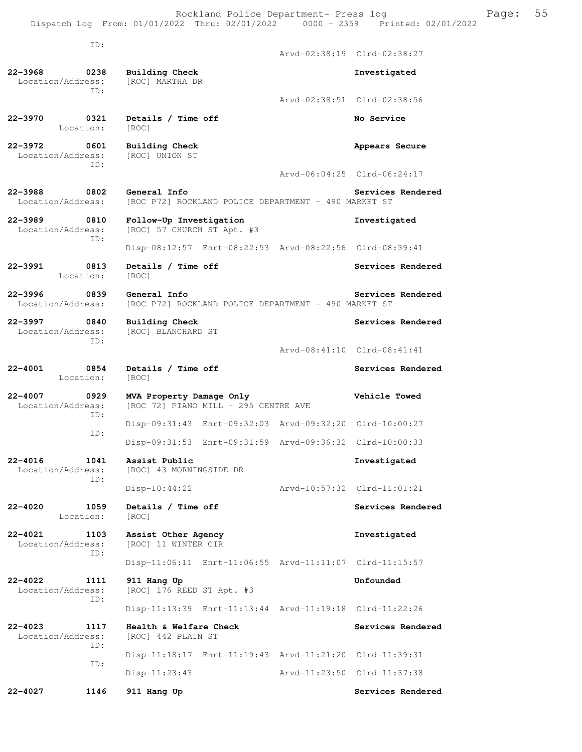Rockland Police Department- Press log entitled and Page: 55 Dispatch Log From: 01/01/2022 Thru: 02/01/2022 0000 - 2359 Printed: 02/01/2022

| ID:                                                   |                                                                      | Arvd-02:38:19 Clrd-02:38:27 |
|-------------------------------------------------------|----------------------------------------------------------------------|-----------------------------|
| 22-3968<br>0238<br>Location/Address:                  | <b>Building Check</b><br>[ROC] MARTHA DR                             | Investigated                |
| ID:                                                   |                                                                      | Arvd-02:38:51 Clrd-02:38:56 |
|                                                       |                                                                      |                             |
| 22-3970<br>0321<br>Location:                          | Details / Time off<br>[ROC]                                          | No Service                  |
| 22-3972<br>0601<br>Location/Address:<br>TD:           | Building Check<br>[ROC] UNION ST                                     | Appears Secure              |
|                                                       |                                                                      | Arvd-06:04:25 Clrd-06:24:17 |
| $22 - 3988$<br>0802<br>Location/Address:              | General Info<br>[ROC P72] ROCKLAND POLICE DEPARTMENT - 490 MARKET ST | Services Rendered           |
| $22 - 3989$<br>0810<br>Location/Address:<br>TD:       | Follow-Up Investigation<br>[ROC] 57 CHURCH ST Apt. #3                | Investigated                |
|                                                       | Disp-08:12:57 Enrt-08:22:53 Arvd-08:22:56 Clrd-08:39:41              |                             |
| 22-3991<br>0813<br>Location:                          | Details / Time off<br>[ROC]                                          | Services Rendered           |
| $22 - 3996$<br>$\overline{0839}$<br>Location/Address: | General Info<br>[ROC P72] ROCKLAND POLICE DEPARTMENT - 490 MARKET ST | Services Rendered           |
| $22 - 3997$<br>0840<br>Location/Address:              | Building Check<br>[ROC] BLANCHARD ST                                 | Services Rendered           |
| ID:                                                   |                                                                      | Arvd-08:41:10 Clrd-08:41:41 |
| $22 - 4001$<br>0854<br>Location:                      | Details / Time off<br>[ROC]                                          | Services Rendered           |
| $22 - 4007$<br>0929<br>Location/Address:<br>ID:       | MVA Property Damage Only<br>[ROC 72] PIANO MILL - 295 CENTRE AVE     | Vehicle Towed               |
| ID:                                                   | Disp-09:31:43 Enrt-09:32:03 Arvd-09:32:20 Clrd-10:00:27              |                             |
|                                                       | Disp-09:31:53 Enrt-09:31:59 Arvd-09:36:32 Clrd-10:00:33              |                             |
| 1041<br>22-4016<br>Location/Address:                  | Assist Public<br>[ROC] 43 MORNINGSIDE DR                             | Investigated                |
| TD:                                                   | $Disp-10:44:22$                                                      | Arvd-10:57:32 Clrd-11:01:21 |
| $22 - 4020$<br>1059<br>Location:                      | Details / Time off<br>[ROC]                                          | Services Rendered           |
| $22 - 4021$<br>1103<br>Location/Address:              | Assist Other Agency<br>[ROC] 11 WINTER CIR                           | Investigated                |
| TD:                                                   | Disp-11:06:11 Enrt-11:06:55 Arvd-11:11:07 Clrd-11:15:57              |                             |
| $22 - 4022$<br>1111<br>Location/Address:              | 911 Hang Up<br>[ROC] 176 REED ST Apt. #3                             | Unfounded                   |
| ID:                                                   | Disp-11:13:39 Enrt-11:13:44 Arvd-11:19:18 Clrd-11:22:26              |                             |
| $22 - 4023$<br>1117<br>Location/Address:<br>ID:       | Health & Welfare Check<br>[ROC] 442 PLAIN ST                         | Services Rendered           |
|                                                       | Disp-11:18:17 Enrt-11:19:43 Arvd-11:21:20 Clrd-11:39:31              |                             |
| ID:                                                   | $Disp-11:23:43$                                                      | Arvd-11:23:50 Clrd-11:37:38 |
|                                                       |                                                                      |                             |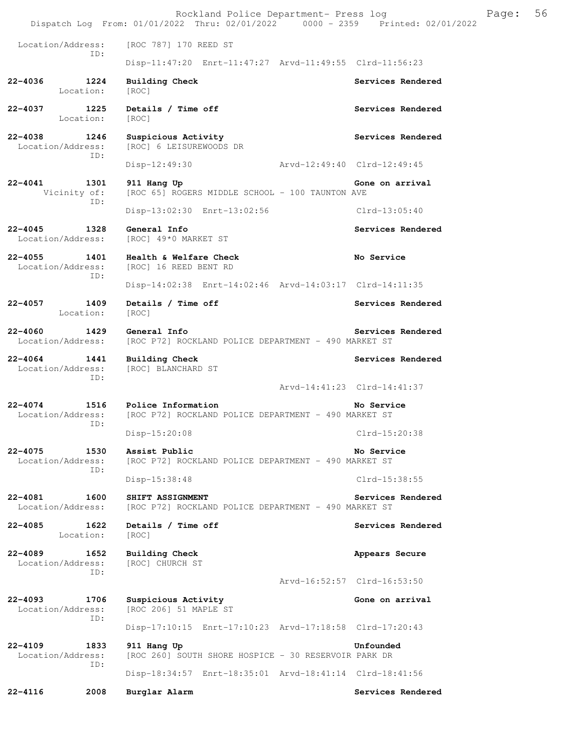|                                                 | Rockland Police Department- Press log<br>Dispatch Log From: 01/01/2022 Thru: 02/01/2022   0000 - 2359   Printed: 02/01/2022 | 56<br>Page:                                      |
|-------------------------------------------------|-----------------------------------------------------------------------------------------------------------------------------|--------------------------------------------------|
| Location/Address:                               | [ROC 787] 170 REED ST                                                                                                       |                                                  |
| ID:                                             | Disp-11:47:20 Enrt-11:47:27 Arvd-11:49:55 Clrd-11:56:23                                                                     |                                                  |
| 22-4036<br>1224<br>Location:                    | <b>Building Check</b><br>[ROC]                                                                                              | Services Rendered                                |
| 22-4037<br>1225<br>Location:                    | Details / Time off<br>[ROC]                                                                                                 | Services Rendered                                |
| Location/Address:                               | 22-4038 1246 Suspicious Activity<br>[ROC] 6 LEISUREWOODS DR                                                                 | Services Rendered                                |
| ID:                                             | Disp-12:49:30 Arvd-12:49:40 Clrd-12:49:45                                                                                   |                                                  |
| $22 - 4041$<br>1301<br>Vicinity of:             | 911 Hang Up<br>[ROC 65] ROGERS MIDDLE SCHOOL - 100 TAUNTON AVE                                                              | Gone on arrival                                  |
| ID:                                             | Disp-13:02:30 Enrt-13:02:56                                                                                                 | Clrd-13:05:40                                    |
| $22 - 4045$<br>1328<br>Location/Address:        | General Info<br>[ROC] 49*0 MARKET ST                                                                                        | Services Rendered                                |
| $22 - 4055$<br>Location/Address:<br>ID:         | 1401 Mealth & Welfare Check<br>[ROC] 16 REED BENT RD                                                                        | No Service                                       |
|                                                 | Disp-14:02:38 Enrt-14:02:46 Arvd-14:03:17 Clrd-14:11:35                                                                     |                                                  |
| 22-4057<br>1409<br>Location:                    | Details / Time off<br>[ROC]                                                                                                 | Services Rendered                                |
| $22 - 4060$<br>Location/Address:                | 1429 General Info<br>[ROC P72] ROCKLAND POLICE DEPARTMENT - 490 MARKET ST                                                   | Services Rendered                                |
| $22 - 4064$<br>1441<br>Location/Address:<br>ID: | <b>Building Check</b><br>[ROC] BLANCHARD ST                                                                                 | Services Rendered<br>Arvd-14:41:23 Clrd-14:41:37 |
| $22 - 4074$                                     | 1516 Police Information                                                                                                     | No Service                                       |
| Location/Address:<br>ID:                        | [ROC P72] ROCKLAND POLICE DEPARTMENT - 490 MARKET ST                                                                        |                                                  |
|                                                 | Disp-15:20:08                                                                                                               | Clrd-15:20:38                                    |
| $22 - 4075$<br>1530<br>Location/Address:<br>ID: | Assist Public<br>[ROC P72] ROCKLAND POLICE DEPARTMENT - 490 MARKET ST                                                       | No Service                                       |
|                                                 | $Disp-15:38:48$                                                                                                             | $Clrd-15:38:55$                                  |
| 22-4081<br>1600<br>Location/Address:            | SHIFT ASSIGNMENT<br>[ROC P72] ROCKLAND POLICE DEPARTMENT - 490 MARKET ST                                                    | Services Rendered                                |
| 22-4085<br>1622<br>Location:                    | Details / Time off<br>[ROC]                                                                                                 | Services Rendered                                |
| $22 - 4089$<br>1652<br>Location/Address:<br>ID: | <b>Building Check</b><br>[ROC] CHURCH ST                                                                                    | Appears Secure                                   |
|                                                 |                                                                                                                             | Arvd-16:52:57 Clrd-16:53:50                      |
| $22 - 4093$<br>1706<br>Location/Address:<br>ID: | Suspicious Activity<br>[ROC 206] 51 MAPLE ST                                                                                | Gone on arrival                                  |
|                                                 | Disp-17:10:15 Enrt-17:10:23 Arvd-17:18:58 Clrd-17:20:43                                                                     |                                                  |
| 22-4109<br>1833<br>Location/Address:<br>ID:     | 911 Hang Up<br>[ROC 260] SOUTH SHORE HOSPICE - 30 RESERVOIR PARK DR                                                         | Unfounded                                        |
|                                                 | Disp-18:34:57 Enrt-18:35:01 Arvd-18:41:14 Clrd-18:41:56                                                                     |                                                  |
| $22 - 4116$<br>2008                             | Burglar Alarm                                                                                                               | Services Rendered                                |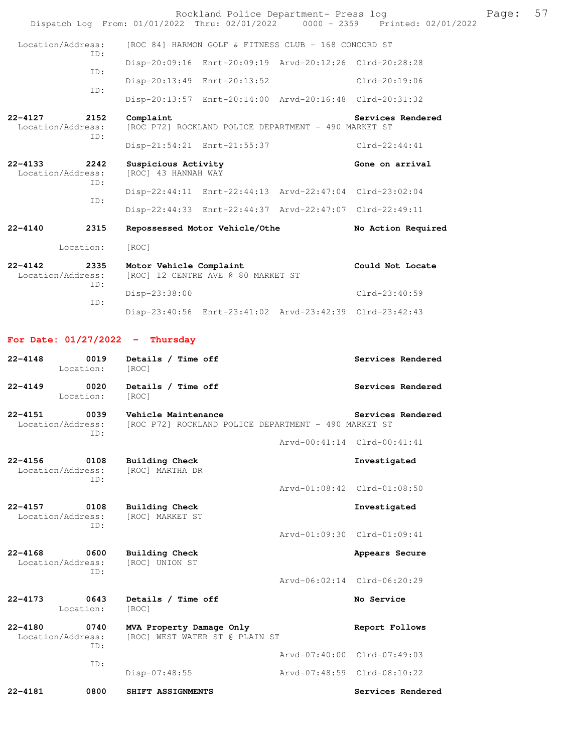|                                             | Rockland Police Department- Press log<br>Dispatch Log From: 01/01/2022 Thru: 02/01/2022 0000 - 2359 Printed: 02/01/2022 |                             |                    | Page: | 57 |
|---------------------------------------------|-------------------------------------------------------------------------------------------------------------------------|-----------------------------|--------------------|-------|----|
| Location/Address:                           | [ROC 84] HARMON GOLF & FITNESS CLUB - 168 CONCORD ST                                                                    |                             |                    |       |    |
| ID:                                         | Disp-20:09:16 Enrt-20:09:19 Arvd-20:12:26 Clrd-20:28:28                                                                 |                             |                    |       |    |
| ID:                                         | Disp-20:13:49 Enrt-20:13:52                                                                                             |                             | Clrd-20:19:06      |       |    |
| ID:                                         | Disp-20:13:57 Enrt-20:14:00 Arvd-20:16:48 Clrd-20:31:32                                                                 |                             |                    |       |    |
| 22-4127<br>2152<br>Location/Address:        | Complaint<br>[ROC P72] ROCKLAND POLICE DEPARTMENT - 490 MARKET ST                                                       |                             | Services Rendered  |       |    |
| ID:                                         | Disp-21:54:21 Enrt-21:55:37                                                                                             |                             | Clrd-22:44:41      |       |    |
| 22-4133<br>2242<br>Location/Address:        | Suspicious Activity<br>[ROC] 43 HANNAH WAY                                                                              |                             | Gone on arrival    |       |    |
| ID:                                         | Disp-22:44:11 Enrt-22:44:13 Arvd-22:47:04 Clrd-23:02:04                                                                 |                             |                    |       |    |
| ID:                                         | Disp-22:44:33 Enrt-22:44:37 Arvd-22:47:07 Clrd-22:49:11                                                                 |                             |                    |       |    |
| 22-4140<br>2315                             | Repossessed Motor Vehicle/Othe                                                                                          |                             | No Action Required |       |    |
| Location:                                   | [ROC]                                                                                                                   |                             |                    |       |    |
| 22-4142<br>2335<br>Location/Address:<br>ID: | Motor Vehicle Complaint<br>[ROC] 12 CENTRE AVE @ 80 MARKET ST                                                           |                             | Could Not Locate   |       |    |
| ID:                                         | $Disp-23:38:00$                                                                                                         |                             | $Clrd-23:40:59$    |       |    |
|                                             | Disp-23:40:56 Enrt-23:41:02 Arvd-23:42:39 Clrd-23:42:43                                                                 |                             |                    |       |    |
| For Date: $01/27/2022 - Thursday$           |                                                                                                                         |                             |                    |       |    |
| 22-4148<br>0019                             | Details / Time off                                                                                                      |                             | Services Rendered  |       |    |
| Location:                                   | [ROC]                                                                                                                   |                             |                    |       |    |
| 22-4149<br>0020<br>Location:                | Details / Time off<br>[ROC]                                                                                             |                             | Services Rendered  |       |    |
| 22-4151<br>0039<br>Location/Address:<br>ID: | Vehicle Maintenance<br>[ROC P72] ROCKLAND POLICE DEPARTMENT - 490 MARKET ST                                             |                             | Services Rendered  |       |    |
|                                             |                                                                                                                         | Arvd-00:41:14 Clrd-00:41:41 |                    |       |    |
| 22-4156<br>0108<br>Location/Address:<br>ID: | Building Check<br>[ROC] MARTHA DR                                                                                       |                             | Investigated       |       |    |
|                                             |                                                                                                                         | Arvd-01:08:42 Clrd-01:08:50 |                    |       |    |
| 22-4157<br>0108<br>Location/Address:<br>ID: | <b>Building Check</b><br>[ROC] MARKET ST                                                                                |                             | Investigated       |       |    |
|                                             |                                                                                                                         | Arvd-01:09:30 Clrd-01:09:41 |                    |       |    |
| 22-4168<br>0600<br>Location/Address:<br>ID: | <b>Building Check</b><br>[ROC] UNION ST                                                                                 |                             | Appears Secure     |       |    |
|                                             |                                                                                                                         | Arvd-06:02:14 Clrd-06:20:29 |                    |       |    |
| 0643<br>22-4173<br>Location:                | Details / Time off<br>[ROC]                                                                                             |                             | No Service         |       |    |
| 22-4180<br>0740<br>Location/Address:<br>ID: | MVA Property Damage Only<br>[ROC] WEST WATER ST @ PLAIN ST                                                              |                             | Report Follows     |       |    |
| ID:                                         |                                                                                                                         | Arvd-07:40:00 Clrd-07:49:03 |                    |       |    |
|                                             | Disp-07:48:55                                                                                                           | Arvd-07:48:59 Clrd-08:10:22 |                    |       |    |
| 22-4181<br>0800                             | SHIFT ASSIGNMENTS                                                                                                       |                             | Services Rendered  |       |    |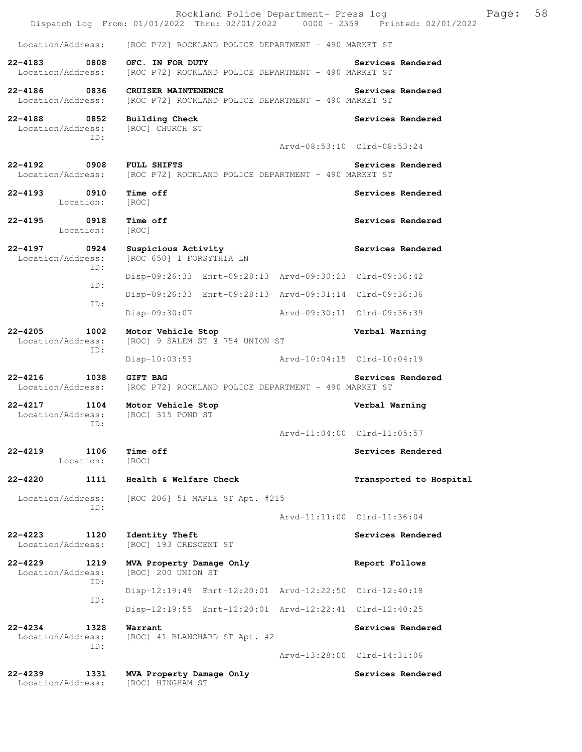|                                                              | Rockland Police Department- Press log<br>Dispatch Log From: 01/01/2022 Thru: 02/01/2022 0000 - 2359 Printed: 02/01/2022 |                             |                             | Page: | 58 |
|--------------------------------------------------------------|-------------------------------------------------------------------------------------------------------------------------|-----------------------------|-----------------------------|-------|----|
| Location/Address:                                            | [ROC P72] ROCKLAND POLICE DEPARTMENT - 490 MARKET ST                                                                    |                             |                             |       |    |
| $22 - 4183$<br>0808<br>Location/Address:                     | OFC. IN FOR DUTY<br>[ROC P72] ROCKLAND POLICE DEPARTMENT - 490 MARKET ST                                                |                             | Services Rendered           |       |    |
| 22-4186 0836<br>Location/Address:                            | CRUISER MAINTENENCE<br>[ROC P72] ROCKLAND POLICE DEPARTMENT - 490 MARKET ST                                             |                             | Services Rendered           |       |    |
| $22 - 4188$<br>$\overline{0852}$<br>Location/Address:<br>ID: | <b>Building Check</b><br>[ROC] CHURCH ST                                                                                |                             | Services Rendered           |       |    |
|                                                              |                                                                                                                         |                             | Arvd-08:53:10 Clrd-08:53:24 |       |    |
| 22-4192<br>Location/Address:                                 | 0908 FULL SHIFTS<br>[ROC P72] ROCKLAND POLICE DEPARTMENT - 490 MARKET ST                                                |                             | Services Rendered           |       |    |
| 22-4193 0910<br>Location:                                    | Time off<br>[ROC]                                                                                                       |                             | Services Rendered           |       |    |
| 22-4195<br>0918<br>Location:                                 | Time off<br>[ROC]                                                                                                       |                             | Services Rendered           |       |    |
| $22 - 4197$<br>0924<br>Location/Address:                     | Suspicious Activity<br>[ROC 650] 1 FORSYTHIA LN                                                                         |                             | Services Rendered           |       |    |
| ID:                                                          | Disp-09:26:33 Enrt-09:28:13 Arvd-09:30:23 Clrd-09:36:42                                                                 |                             |                             |       |    |
| ID:                                                          | Disp-09:26:33 Enrt-09:28:13 Arvd-09:31:14 Clrd-09:36:36                                                                 |                             |                             |       |    |
| ID:                                                          | Disp-09:30:07                                                                                                           | Arvd-09:30:11 Clrd-09:36:39 |                             |       |    |
| $22 - 4205$<br>1002<br>Location/Address:<br>ID:              | Motor Vehicle Stop<br>[ROC] 9 SALEM ST @ 754 UNION ST                                                                   |                             | Verbal Warning              |       |    |
|                                                              | $Disp-10:03:53$                                                                                                         | Arvd-10:04:15 Clrd-10:04:19 |                             |       |    |
| $22 - 4216$<br>1038<br>Location/Address:                     | <b>GIFT BAG</b><br>[ROC P72] ROCKLAND POLICE DEPARTMENT - 490 MARKET ST                                                 |                             | Services Rendered           |       |    |
| 22-4217 1104 Motor Vehicle Stop<br>Location/Address:<br>ID:  | [ROC] 315 POND ST                                                                                                       |                             | Verbal Warning              |       |    |
|                                                              |                                                                                                                         |                             | Arvd-11:04:00 Clrd-11:05:57 |       |    |
| $22 - 4219$<br>1106<br>Location:                             | Time off<br>[ROC]                                                                                                       |                             | Services Rendered           |       |    |
| 22-4220<br>1111                                              | Health & Welfare Check                                                                                                  |                             | Transported to Hospital     |       |    |
| Location/Address:<br>ID:                                     | [ROC 206] 51 MAPLE ST Apt. #215                                                                                         |                             |                             |       |    |
|                                                              |                                                                                                                         |                             | Arvd-11:11:00 Clrd-11:36:04 |       |    |
| $22 - 4223$<br>1120<br>Location/Address:                     | Identity Theft<br>[ROC] 193 CRESCENT ST                                                                                 |                             | Services Rendered           |       |    |
| 22-4229<br>1219<br>Location/Address:                         | MVA Property Damage Only<br>[ROC] 200 UNION ST                                                                          |                             | Report Follows              |       |    |
| ID:<br>ID:                                                   | Disp-12:19:49 Enrt-12:20:01 Arvd-12:22:50 Clrd-12:40:18                                                                 |                             |                             |       |    |
|                                                              | Disp-12:19:55 Enrt-12:20:01 Arvd-12:22:41 Clrd-12:40:25                                                                 |                             |                             |       |    |
| $22 - 4234$<br>1328<br>Location/Address:<br>ID:              | Warrant<br>[ROC] 41 BLANCHARD ST Apt. #2                                                                                |                             | Services Rendered           |       |    |
|                                                              |                                                                                                                         |                             | Arvd-13:28:00 Clrd-14:31:06 |       |    |
| $22 - 4239$<br>1331<br>Location/Address:                     | MVA Property Damage Only<br>[ROC] HINGHAM ST                                                                            |                             | Services Rendered           |       |    |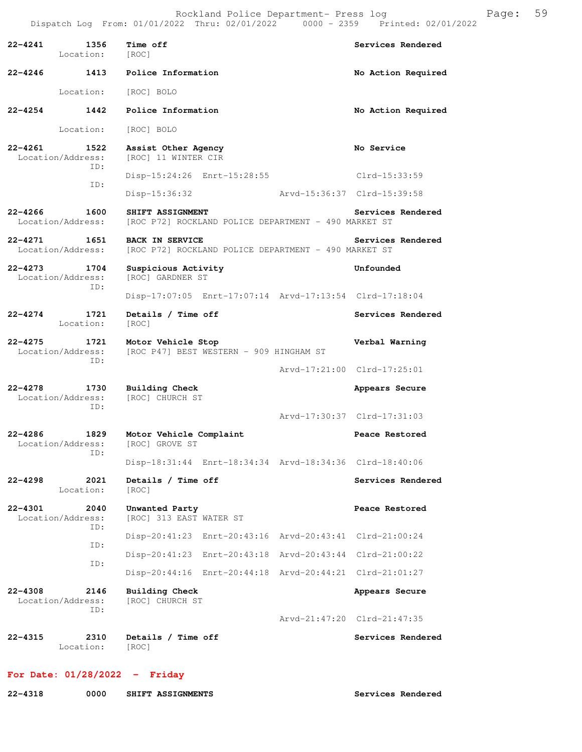Rockland Police Department- Press log entitled and Page: 59 Dispatch Log From: 01/01/2022 Thru: 02/01/2022 0000 - 2359 Printed: 02/01/2022

| $22 - 4241$ | 1356<br>Location:                        | Time off<br>[ROC]                                                              | Services Rendered           |
|-------------|------------------------------------------|--------------------------------------------------------------------------------|-----------------------------|
|             | 22–4246 1413                             | Police Information                                                             | No Action Required          |
|             | Location:                                | [ROC] BOLO                                                                     |                             |
| 22-4254     | 1442                                     | Police Information                                                             | No Action Required          |
|             | Location:                                | [ROC] BOLO                                                                     |                             |
| $22 - 4261$ | 1522<br>Location/Address:<br>TD:         | Assist Other Agency<br>[ROC] 11 WINTER CIR                                     | No Service                  |
|             | TD:                                      | Disp-15:24:26 Enrt-15:28:55                                                    | Clrd-15:33:59               |
|             |                                          | Disp-15:36:32                                                                  | Arvd-15:36:37 Clrd-15:39:58 |
|             | 22-4266 1600<br>Location/Address:        | SHIFT ASSIGNMENT<br>[ROC P72] ROCKLAND POLICE DEPARTMENT - 490 MARKET ST       | Services Rendered           |
|             | $22 - 4271$ 1651<br>Location/Address:    | <b>BACK IN SERVICE</b><br>[ROC P72] ROCKLAND POLICE DEPARTMENT - 490 MARKET ST | Services Rendered           |
| $22 - 4273$ | 1704<br>Location/Address:                | Suspicious Activity<br>[ROC] GARDNER ST                                        | Unfounded                   |
|             | ID:                                      | Disp-17:07:05 Enrt-17:07:14 Arvd-17:13:54 Clrd-17:18:04                        |                             |
| 22-4274     | 1721<br>Location:                        | Details / Time off<br>[ROC]                                                    | Services Rendered           |
|             | 22-4275 1721<br>Location/Address:<br>TD: | Motor Vehicle Stop<br>[ROC P47] BEST WESTERN - 909 HINGHAM ST                  | Verbal Warning              |
|             |                                          |                                                                                | Arvd-17:21:00 Clrd-17:25:01 |
| $22 - 4278$ | 1730<br>Location/Address:<br>TD:         | <b>Building Check</b><br>[ROC] CHURCH ST                                       | Appears Secure              |
|             |                                          |                                                                                | Arvd-17:30:37 Clrd-17:31:03 |
| 22-4286     | 1829<br>Location/Address:<br>ID:         | Motor Vehicle Complaint<br>[ROC] GROVE ST                                      | Peace Restored              |
|             |                                          | Disp-18:31:44 Enrt-18:34:34 Arvd-18:34:36 Clrd-18:40:06                        |                             |
| 22-4298     | 2021<br>Location:                        | Details / Time off<br>[ROC]                                                    | Services Rendered           |
| $22 - 4301$ | 2040<br>Location/Address:<br>ID:         | Unwanted Party<br>[ROC] 313 EAST WATER ST                                      | Peace Restored              |
|             | ID:                                      | Disp-20:41:23 Enrt-20:43:16 Arvd-20:43:41 Clrd-21:00:24                        |                             |
|             | ID:                                      | Disp-20:41:23 Enrt-20:43:18 Arvd-20:43:44 Clrd-21:00:22                        |                             |
|             |                                          | Disp-20:44:16 Enrt-20:44:18 Arvd-20:44:21 Clrd-21:01:27                        |                             |
| $22 - 4308$ | 2146<br>Location/Address:<br>ID:         | <b>Building Check</b><br>[ROC] CHURCH ST                                       | Appears Secure              |
|             |                                          |                                                                                | Arvd-21:47:20 Clrd-21:47:35 |
| $22 - 4315$ | 2310<br>Location:                        | Details / Time off<br>[ROC]                                                    | Services Rendered           |

## **For Date: 01/28/2022 - Friday**

| 22-4318 | 0000 |  | SHIFT ASSIGNMENTS |
|---------|------|--|-------------------|
|---------|------|--|-------------------|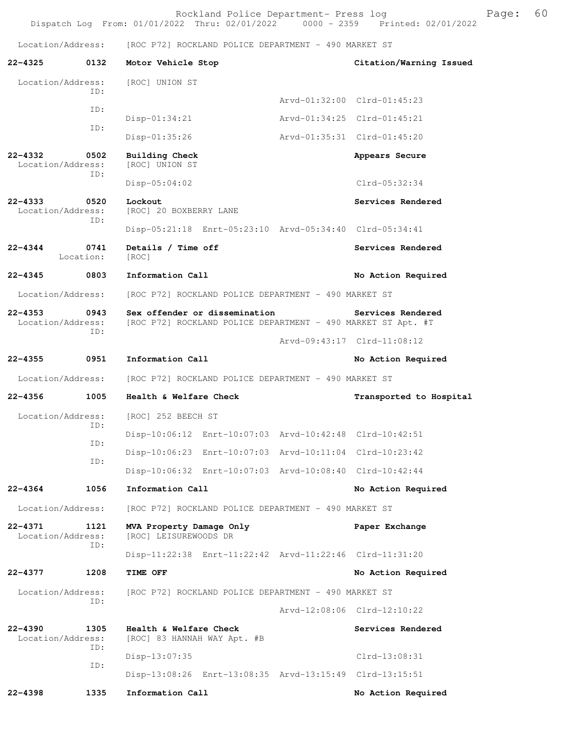Rockland Police Department- Press log Page: 60 Dispatch Log From:  $01/01/2022$  Thru:  $02/01/2022$  0000 - 2359

Location/Address: [ROC P72] ROCKLAND POLICE DEPARTMENT - 490 MARKET ST

**22-4325 0132 Motor Vehicle Stop Citation/Warning Issued**  Location/Address: [ROC] UNION ST ID: Arvd-01:32:00 Clrd-01:45:23 ID: Disp-01:34:21 Arvd-01:34:25 Clrd-01:45:21 ID: Disp-01:35:26 Arvd-01:35:31 Clrd-01:45:20 **22-4332 0502 Building Check Appears Secure**  Location/Address: [ROC] UNION ST ID: Disp-05:04:02 Clrd-05:32:34 **22-4333 0520 Lockout Constant Constrainer Services Rendered** Location/Address: IROCl 20 BOXBERRY LANE [ROC] 20 BOXBERRY LANE ID: Disp-05:21:18 Enrt-05:23:10 Arvd-05:34:40 Clrd-05:34:41 **22-4344 0741 Details / Time off Services Rendered**  Location: [ROC] **22-4345 0803 Information Call No Action Required**  Location/Address: [ROC P72] ROCKLAND POLICE DEPARTMENT - 490 MARKET ST **22-4353 0943 Sex offender or dissemination Services Rendered**  [ROC P72] ROCKLAND POLICE DEPARTMENT - 490 MARKET ST Apt. #T ID: Arvd-09:43:17 Clrd-11:08:12 **22-4355 0951 Information Call No Action Required**  Location/Address: [ROC P72] ROCKLAND POLICE DEPARTMENT - 490 MARKET ST **22-4356 1005 Health & Welfare Check Transported to Hospital**  Location/Address: [ROC] 252 BEECH ST ID: Disp-10:06:12 Enrt-10:07:03 Arvd-10:42:48 Clrd-10:42:51 ID: Disp-10:06:23 Enrt-10:07:03 Arvd-10:11:04 Clrd-10:23:42 ID: Disp-10:06:32 Enrt-10:07:03 Arvd-10:08:40 Clrd-10:42:44 **22-4364 1056 Information Call No Action Required**  Location/Address: [ROC P72] ROCKLAND POLICE DEPARTMENT - 490 MARKET ST **22-4371 1121 MVA Property Damage Only Paper Exchange**  Location/Address: [ROC] LEISUREWOODS DR ID: Disp-11:22:38 Enrt-11:22:42 Arvd-11:22:46 Clrd-11:31:20 **22-4377 1208 TIME OFF No Action Required**  Location/Address: [ROC P72] ROCKLAND POLICE DEPARTMENT - 490 MARKET ST ID: Arvd-12:08:06 Clrd-12:10:22 22-4390 1305 Health & Welfare Check Services Rendered Location/Address: [ROC] 83 HANNAH WAY Apt. #B ID: Disp-13:07:35 Clrd-13:08:31 ID: Disp-13:08:26 Enrt-13:08:35 Arvd-13:15:49 Clrd-13:15:51 **22-4398 1335 Information Call No Action Required**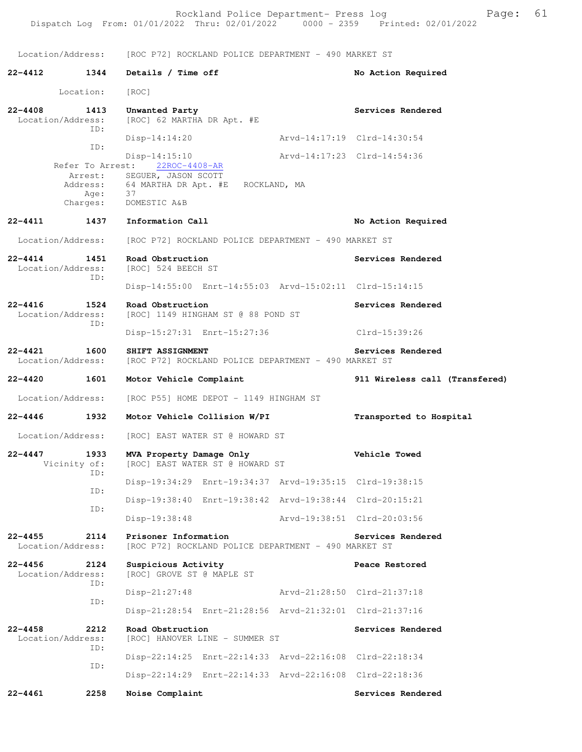Location/Address: [ROC P72] ROCKLAND POLICE DEPARTMENT - 490 MARKET ST **22-4412 1344 Details / Time off No Action Required**  Location: [ROC] **22-4408 1413 Unwanted Party Services Rendered Exercises Rendered Location/Address:** [ROC] 62 MARTHA DR Apt. #E [ROC] 62 MARTHA DR Apt. #E ID: Disp-14:14:20 Arvd-14:17:19 Clrd-14:30:54 ID: Disp-14:15:10 Arvd-14:17:23 Clrd-14:54:36 Refer To Arrest: 22ROC-4408-AR Arrest: SEGUER, JASON SCOTT Address: 64 MARTHA DR Apt. #E ROCKLAND, MA<br>Age: 37 Age:<br>Charges: DOMESTIC A&B **22-4411 1437 Information Call No Action Required**  Location/Address: [ROC P72] ROCKLAND POLICE DEPARTMENT - 490 MARKET ST **22-4414 1451 Road Obstruction Services Rendered**  Location/Address: [ROC] 524 BEECH ST ID: Disp-14:55:00 Enrt-14:55:03 Arvd-15:02:11 Clrd-15:14:15 **22-4416 1524 Road Obstruction Services Rendered** Location/Address: [ROC] 1149 HINGHAM ST @ 88 POND ST [ROC] 1149 HINGHAM ST @ 88 POND ST ID: Disp-15:27:31 Enrt-15:27:36 Clrd-15:39:26 **22-4421 1600 SHIFT ASSIGNMENT Services Rendered**  Location/Address: [ROC P72] ROCKLAND POLICE DEPARTMENT - 490 MARKET ST **22-4420 1601 Motor Vehicle Complaint 911 Wireless call (Transfered)** Location/Address: [ROC P55] HOME DEPOT - 1149 HINGHAM ST **22-4446 1932 Motor Vehicle Collision W/PI Transported to Hospital**  Location/Address: [ROC] EAST WATER ST @ HOWARD ST **22-4447 1933 MVA Property Damage Only Constrained Vehicle Towed** Vicinity of: [ROC] EAST WATER ST @ HOWARD ST [ROC] EAST WATER ST @ HOWARD ST ID: Disp-19:34:29 Enrt-19:34:37 Arvd-19:35:15 Clrd-19:38:15 ID: Disp-19:38:40 Enrt-19:38:42 Arvd-19:38:44 Clrd-20:15:21 ID: Disp-19:38:48 Arvd-19:38:51 Clrd-20:03:56 **22-4455 2114 Prisoner Information Services Rendered**  Location/Address: [ROC P72] ROCKLAND POLICE DEPARTMENT - 490 MARKET ST **22-4456 2124 Suspicious Activity Peace Restored**  [ROC] GROVE ST @ MAPLE ST ID: Disp-21:27:48 Arvd-21:28:50 Clrd-21:37:18 ID: Disp-21:28:54 Enrt-21:28:56 Arvd-21:32:01 Clrd-21:37:16 **22-4458 2212 Road Obstruction Services Rendered**  Location/Address: [ROC] HANOVER LINE - SUMMER ST ID: Disp-22:14:25 Enrt-22:14:33 Arvd-22:16:08 Clrd-22:18:34 ID: Disp-22:14:29 Enrt-22:14:33 Arvd-22:16:08 Clrd-22:18:36 **22-4461 2258 Noise Complaint Services Rendered**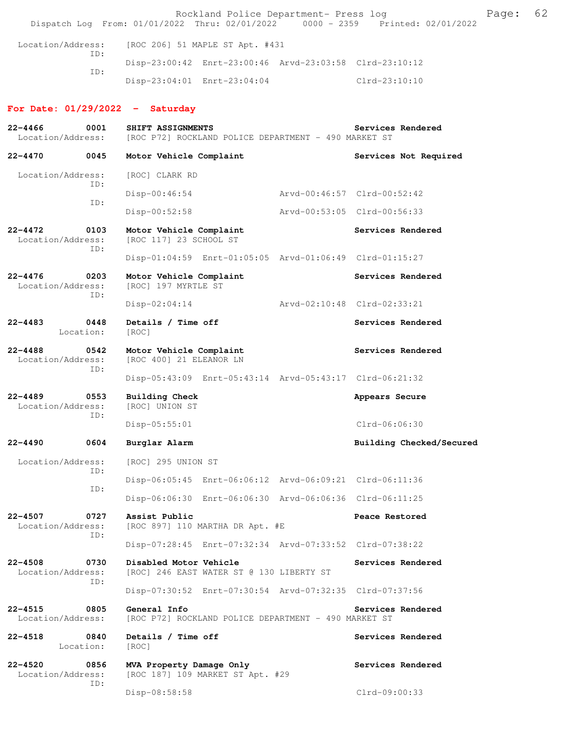Rockland Police Department- Press log entitled and Page: 62 Dispatch Log From: 01/01/2022 Thru: 02/01/2022 0000 - 2359 Printed: 02/01/2022

| Location/Address:<br>TD: | [ROC 206] 51 MAPLE ST Apt. #431                         |               |
|--------------------------|---------------------------------------------------------|---------------|
| TD:                      | Disp-23:00:42 Enrt-23:00:46 Arvd-23:03:58 Clrd-23:10:12 |               |
|                          | Disp-23:04:01 Enrt-23:04:04                             | Clrd-23:10:10 |

## **For Date: 01/29/2022 - Saturday**

| $22 - 4466$<br>Location/Address: | 0001              | SHIFT ASSIGNMENTS<br>[ROC P72] ROCKLAND POLICE DEPARTMENT - 490 MARKET ST | Services Rendered           |
|----------------------------------|-------------------|---------------------------------------------------------------------------|-----------------------------|
| $22 - 4470$                      | 0045              | Motor Vehicle Complaint                                                   | Services Not Required       |
| Location/Address:                |                   | [ROC] CLARK RD                                                            |                             |
|                                  | ID:<br>ID:        | $Disp-00:46:54$                                                           | Arvd-00:46:57 Clrd-00:52:42 |
|                                  |                   | $Disp-00:52:58$                                                           | Arvd-00:53:05 Clrd-00:56:33 |
| $22 - 4472$<br>Location/Address: | 0103<br>ID:       | Motor Vehicle Complaint<br>[ROC 117] 23 SCHOOL ST                         | Services Rendered           |
|                                  |                   | Disp-01:04:59 Enrt-01:05:05 Arvd-01:06:49 Clrd-01:15:27                   |                             |
| $22 - 4476$<br>Location/Address: | 0203<br>ID:       | Motor Vehicle Complaint<br>[ROC] 197 MYRTLE ST                            | Services Rendered           |
|                                  |                   | $Disp-02:04:14$                                                           | Arvd-02:10:48 Clrd-02:33:21 |
| $22 - 4483$                      | 0448<br>Location: | Details / Time off<br>[ROC]                                               | Services Rendered           |
| $22 - 4488$<br>Location/Address: | 0542<br>ID:       | Motor Vehicle Complaint<br>[ROC 400] 21 ELEANOR LN                        | Services Rendered           |
|                                  |                   | Disp-05:43:09 Enrt-05:43:14 Arvd-05:43:17 Clrd-06:21:32                   |                             |
| $22 - 4489$<br>Location/Address: | 0553<br>ID:       | <b>Building Check</b><br>[ROC] UNION ST                                   | Appears Secure              |
|                                  |                   | $Disp-05:55:01$                                                           | Clrd-06:06:30               |
| $22 - 4490$                      | 0604              | Burglar Alarm                                                             | Building Checked/Secured    |
| Location/Address:                | ID:               | [ROC] 295 UNION ST                                                        |                             |
|                                  | ID:               | Disp-06:05:45 Enrt-06:06:12 Arvd-06:09:21 Clrd-06:11:36                   |                             |
|                                  |                   | Disp-06:06:30 Enrt-06:06:30 Arvd-06:06:36 Clrd-06:11:25                   |                             |
| $22 - 4507$<br>Location/Address: | 0727<br>ID:       | Assist Public<br>[ROC 897] 110 MARTHA DR Apt. #E                          | Peace Restored              |
|                                  |                   | Disp-07:28:45 Enrt-07:32:34 Arvd-07:33:52 Clrd-07:38:22                   |                             |
| $22 - 4508$<br>Location/Address: | 0730<br>ID:       | Disabled Motor Vehicle<br>[ROC] 246 EAST WATER ST @ 130 LIBERTY ST        | Services Rendered           |
|                                  |                   | Disp-07:30:52 Enrt-07:30:54 Arvd-07:32:35 Clrd-07:37:56                   |                             |
| $22 - 4515$<br>Location/Address: | 0805              | General Info<br>[ROC P72] ROCKLAND POLICE DEPARTMENT - 490 MARKET ST      | Services Rendered           |
| $22 - 4518$                      | 0840<br>Location: | Details / Time off<br>[ROC]                                               | Services Rendered           |
| $22 - 4520$<br>Location/Address: | 0856              | MVA Property Damage Only<br>[ROC 187] 109 MARKET ST Apt. #29              | Services Rendered           |
|                                  | ID:               | Disp-08:58:58                                                             | Clrd-09:00:33               |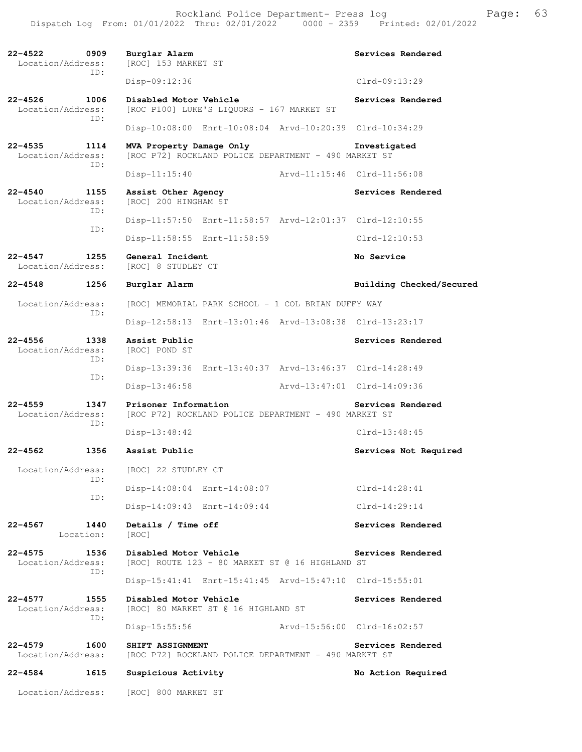Rockland Police Department- Press log entitled and Page: 63 Dispatch Log From: 01/01/2022 Thru: 02/01/2022 0000 - 2359 Printed: 02/01/2022

| $22 - 4522$<br>0909<br>Location/Address:<br>ID: | Burglar Alarm<br>[ROC] 153 MARKET ST                                             | Services Rendered           |
|-------------------------------------------------|----------------------------------------------------------------------------------|-----------------------------|
|                                                 | Disp-09:12:36                                                                    | $Clrd-09:13:29$             |
| $22 - 4526$<br>1006<br>Location/Address:<br>ID: | Disabled Motor Vehicle<br>[ROC P100] LUKE'S LIQUORS - 167 MARKET ST              | Services Rendered           |
|                                                 | Disp-10:08:00 Enrt-10:08:04 Arvd-10:20:39 Clrd-10:34:29                          |                             |
| $22 - 4535$<br>1114<br>Location/Address:        | MVA Property Damage Only<br>[ROC P72] ROCKLAND POLICE DEPARTMENT - 490 MARKET ST | Investigated                |
| ID:                                             | Arvd-11:15:46 Clrd-11:56:08<br>$Disp-11:15:40$                                   |                             |
| $22 - 4540$<br>1155<br>Location/Address:        | Assist Other Agency<br>[ROC] 200 HINGHAM ST                                      | Services Rendered           |
| TD:                                             | Disp-11:57:50 Enrt-11:58:57 Arvd-12:01:37 Clrd-12:10:55                          |                             |
| ID:                                             | Disp-11:58:55 Enrt-11:58:59                                                      | $Clrd-12:10:53$             |
| $22 - 4547$<br>1255<br>Location/Address:        | General Incident<br>[ROC] 8 STUDLEY CT                                           | No Service                  |
| $22 - 4548$<br>1256                             | Burglar Alarm                                                                    | Building Checked/Secured    |
| Location/Address:                               | [ROC] MEMORIAL PARK SCHOOL - 1 COL BRIAN DUFFY WAY                               |                             |
| ID:                                             | Disp-12:58:13 Enrt-13:01:46 Arvd-13:08:38 Clrd-13:23:17                          |                             |
| $22 - 4556$<br>1338<br>Location/Address:        | Assist Public<br>[ROC] POND ST                                                   | Services Rendered           |
| TD:                                             | Disp-13:39:36 Enrt-13:40:37 Arvd-13:46:37 Clrd-14:28:49                          |                             |
| ID:                                             | Arvd-13:47:01 Clrd-14:09:36<br>$Disp-13:46:58$                                   |                             |
| $22 - 4559$<br>1347<br>Location/Address:        | Prisoner Information<br>[ROC P72] ROCKLAND POLICE DEPARTMENT - 490 MARKET ST     | Services Rendered           |
| ID:                                             | $Disp-13:48:42$                                                                  | $Clrd-13:48:45$             |
| $22 - 4562$<br>1356                             | Assist Public                                                                    | Services Not Required       |
| Location/Address:                               | [ROC] 22 STUDLEY CT                                                              |                             |
| ID:<br>ID:                                      | Disp-14:08:04 Enrt-14:08:07                                                      | $Clrd-14:28:41$             |
|                                                 | Disp-14:09:43 Enrt-14:09:44                                                      | $Clrd-14:29:14$             |
| 1440<br>$22 - 4567$<br>Location:                | Details / Time off<br>[ROC]                                                      | Services Rendered           |
| $22 - 4575$<br>1536<br>Location/Address:        | Disabled Motor Vehicle<br>[ROC] ROUTE 123 - 80 MARKET ST @ 16 HIGHLAND ST        | Services Rendered           |
| ID:                                             | Disp-15:41:41 Enrt-15:41:45 Arvd-15:47:10 Clrd-15:55:01                          |                             |
| $22 - 4577$<br>1555<br>Location/Address:<br>ID: | Disabled Motor Vehicle<br>[ROC] 80 MARKET ST @ 16 HIGHLAND ST                    | Services Rendered           |
|                                                 | Disp-15:55:56                                                                    | Arvd-15:56:00 Clrd-16:02:57 |
| $22 - 4579$<br>1600<br>Location/Address:        | SHIFT ASSIGNMENT<br>[ROC P72] ROCKLAND POLICE DEPARTMENT - 490 MARKET ST         | Services Rendered           |
| 22-4584<br>1615                                 | Suspicious Activity                                                              | No Action Required          |
| Location/Address:                               | [ROC] 800 MARKET ST                                                              |                             |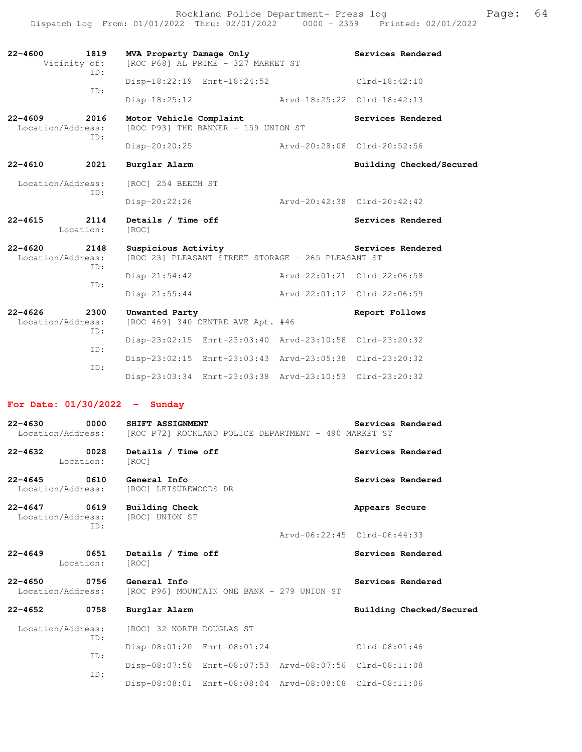Rockland Police Department- Press log entitled and Page: 64 Dispatch Log From: 01/01/2022 Thru: 02/01/2022 0000 - 2359 Printed: 02/01/2022

| $22 - 4600$<br>Vicinity of:              | 1819<br>TD: | MVA Property Damage Only<br>Services Rendered<br>[ROC P68] AL PRIME - 327 MARKET ST |                             |                          |  |  |
|------------------------------------------|-------------|-------------------------------------------------------------------------------------|-----------------------------|--------------------------|--|--|
|                                          | ID:         | Disp-18:22:19 Enrt-18:24:52                                                         | $Clrd-18:42:10$             |                          |  |  |
|                                          |             | Disp-18:25:12                                                                       | Arvd-18:25:22 Clrd-18:42:13 |                          |  |  |
| $22 - 4609$<br>2016<br>Location/Address: |             | Motor Vehicle Complaint<br>[ROC P93] THE BANNER - 159 UNION ST                      | Services Rendered           |                          |  |  |
|                                          | ID:         | Disp-20:20:25                                                                       | Arvd-20:28:08 Clrd-20:52:56 |                          |  |  |
| $22 - 4610$                              | 2021        | Burglar Alarm                                                                       |                             | Building Checked/Secured |  |  |
| Location/Address:<br>TD:                 |             | [ROC] 254 BEECH ST                                                                  |                             |                          |  |  |
|                                          |             | $Disp-20:22:26$                                                                     | Arvd-20:42:38 Clrd-20:42:42 |                          |  |  |
|                                          |             |                                                                                     |                             |                          |  |  |
| $22 - 4615$<br>Location:                 | 2114        | Details / Time off<br>[ROC]                                                         |                             | Services Rendered        |  |  |
| $22 - 4620$<br>2148<br>Location/Address: |             | Suspicious Activity<br>[ROC 23] PLEASANT STREET STORAGE - 265 PLEASANT ST           |                             | Services Rendered        |  |  |
|                                          | ID:         | $Disp-21:54:42$                                                                     | Arvd-22:01:21 Clrd-22:06:58 |                          |  |  |
|                                          | ID:         | $Disp-21:55:44$                                                                     | Arvd-22:01:12 Clrd-22:06:59 |                          |  |  |
| $22 - 4626$<br>Location/Address:         | 2300        | Unwanted Party<br>[ROC 469] 340 CENTRE AVE Apt. #46                                 |                             | Report Follows           |  |  |
|                                          | ID:         | Disp-23:02:15 Enrt-23:03:40 Arvd-23:10:58 Clrd-23:20:32                             |                             |                          |  |  |
|                                          | ID:<br>ID:  | Disp-23:02:15 Enrt-23:03:43 Arvd-23:05:38 Clrd-23:20:32                             |                             |                          |  |  |

## **For Date: 01/30/2022 - Sunday**

| 0000<br>$22 - 4630$                            | SHIFT ASSIGNMENT<br>Location/Address: [ROC P72] ROCKLAND POLICE DEPARTMENT - 490 MARKET ST | Services Rendered           |
|------------------------------------------------|--------------------------------------------------------------------------------------------|-----------------------------|
| 0028<br>22-4632<br>Location:                   | Details / Time off<br>[ROC]                                                                | Services Rendered           |
| 22-4645 0610<br>Location/Address:              | General Info<br>[ROC] LEISUREWOODS DR                                                      | Services Rendered           |
| 22-4647 0619<br>Location/Address:<br>ID:       | <b>Building Check</b><br>[ROC] UNION ST                                                    | Appears Secure              |
|                                                |                                                                                            | Arvd-06:22:45 Clrd-06:44:33 |
| 0651<br>$22 - 4649$<br>Location:               | Details / Time off<br>[ROC]                                                                | Services Rendered           |
| 22-4650 0756 General Info<br>Location/Address: | [ROC P96] MOUNTAIN ONE BANK - 279 UNION ST                                                 | Services Rendered           |
| 0758<br>$22 - 4652$                            | Burglar Alarm                                                                              | Building Checked/Secured    |
| Location/Address:                              | [ROC] 32 NORTH DOUGLAS ST                                                                  |                             |
| ID:                                            | Disp-08:01:20 Enrt-08:01:24                                                                | $Clrd-08:01:46$             |
| ID:                                            | Disp-08:07:50 Enrt-08:07:53 Arvd-08:07:56 Clrd-08:11:08                                    |                             |
| ID:                                            | Disp-08:08:01 Enrt-08:08:04 Arvd-08:08:08 Clrd-08:11:06                                    |                             |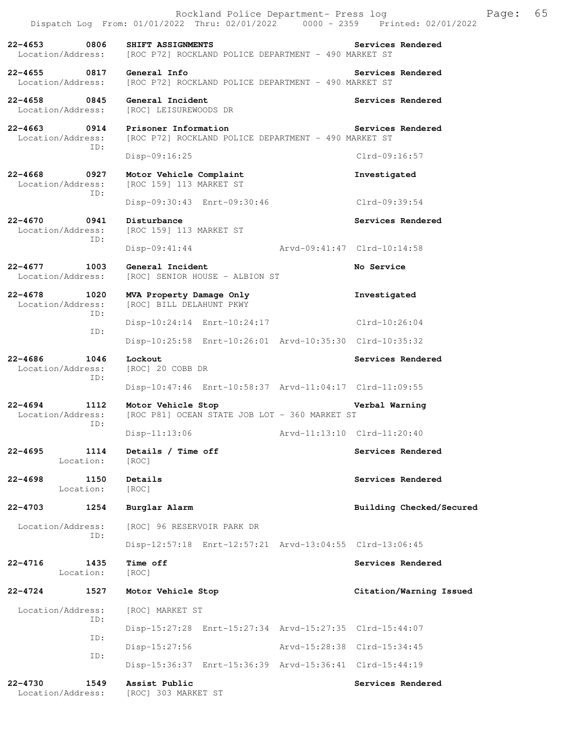|                                          |             | Rockland Police Department- Press log<br>Dispatch Log From: 01/01/2022 Thru: 02/01/2022 0000 - 2359 Printed: 02/01/2022 |                             | Page: | 65 |
|------------------------------------------|-------------|-------------------------------------------------------------------------------------------------------------------------|-----------------------------|-------|----|
| $22 - 4653$<br>Location/Address:         | 0806        | SHIFT ASSIGNMENTS<br>[ROC P72] ROCKLAND POLICE DEPARTMENT - 490 MARKET ST                                               | Services Rendered           |       |    |
| $22 - 4655$<br>0817<br>Location/Address: |             | General Info<br>[ROC P72] ROCKLAND POLICE DEPARTMENT - 490 MARKET ST                                                    | Services Rendered           |       |    |
| 22-4658 0845<br>Location/Address:        |             | General Incident<br>[ROC] LEISUREWOODS DR                                                                               | Services Rendered           |       |    |
| $22 - 4663$<br>Location/Address:         | 0914<br>ID: | Prisoner Information<br>[ROC P72] ROCKLAND POLICE DEPARTMENT - 490 MARKET ST                                            | Services Rendered           |       |    |
|                                          |             | Disp-09:16:25                                                                                                           | $Clrd-09:16:57$             |       |    |
| $22 - 4668$<br>Location/Address:         | 0927<br>ID: | Motor Vehicle Complaint<br>[ROC 159] 113 MARKET ST                                                                      | Investigated                |       |    |
|                                          |             | Disp-09:30:43 Enrt-09:30:46                                                                                             | Clrd-09:39:54               |       |    |
| $22 - 4670$<br>Location/Address:         | 0941<br>ID: | Disturbance<br>[ROC 159] 113 MARKET ST                                                                                  | Services Rendered           |       |    |
|                                          |             | $Disp-09:41:44$                                                                                                         | Arvd-09:41:47 Clrd-10:14:58 |       |    |
| $22 - 4677$<br>Location/Address:         | 1003        | General Incident<br>[ROC] SENIOR HOUSE - ALBION ST                                                                      | No Service                  |       |    |
| $22 - 4678$<br>1020<br>Location/Address: | ID:         | MVA Property Damage Only<br>[ROC] BILL DELAHUNT PKWY                                                                    | Investigated                |       |    |
|                                          | ID:         | Disp-10:24:14 Enrt-10:24:17                                                                                             | Clrd-10:26:04               |       |    |
|                                          |             | Disp-10:25:58 Enrt-10:26:01 Arvd-10:35:30 Clrd-10:35:32                                                                 |                             |       |    |
| $22 - 4686$<br>Location/Address:         | 1046<br>ID: | Lockout<br>[ROC] 20 COBB DR                                                                                             | Services Rendered           |       |    |
|                                          |             | Disp-10:47:46 Enrt-10:58:37 Arvd-11:04:17 Clrd-11:09:55                                                                 |                             |       |    |
| 22-4694<br>Location/Address:             | 1112<br>ID: | Motor Vehicle Stop<br>[ROC P81] OCEAN STATE JOB LOT - 360 MARKET ST                                                     | Verbal Warning              |       |    |
|                                          |             | Disp-11:13:06                                                                                                           | Arvd-11:13:10 Clrd-11:20:40 |       |    |
| 22-4695<br>Location:                     | 1114        | Details / Time off<br>[ROC]                                                                                             | Services Rendered           |       |    |
| $22 - 4698$<br>Location:                 | 1150        | Details<br>[ROC]                                                                                                        | Services Rendered           |       |    |
| 22-4703                                  | 1254        | Burglar Alarm                                                                                                           | Building Checked/Secured    |       |    |
| Location/Address:                        | ID:         | [ROC] 96 RESERVOIR PARK DR                                                                                              |                             |       |    |
|                                          |             | Disp-12:57:18 Enrt-12:57:21 Arvd-13:04:55 Clrd-13:06:45                                                                 |                             |       |    |
| 22-4716<br>Location:                     | 1435        | Time off<br>[ROC]                                                                                                       | Services Rendered           |       |    |
| 22-4724                                  | 1527        | Motor Vehicle Stop                                                                                                      | Citation/Warning Issued     |       |    |
| Location/Address:                        | ID:         | [ROC] MARKET ST                                                                                                         |                             |       |    |
|                                          | ID:         | Disp-15:27:28 Enrt-15:27:34 Arvd-15:27:35 Clrd-15:44:07                                                                 |                             |       |    |
|                                          | ID:         | $Disp-15:27:56$                                                                                                         | Arvd-15:28:38 Clrd-15:34:45 |       |    |
|                                          |             | Disp-15:36:37 Enrt-15:36:39 Arvd-15:36:41 Clrd-15:44:19                                                                 |                             |       |    |
| $22 - 4730$<br>Location/Address:         | 1549        | Assist Public<br>[ROC] 303 MARKET ST                                                                                    | Services Rendered           |       |    |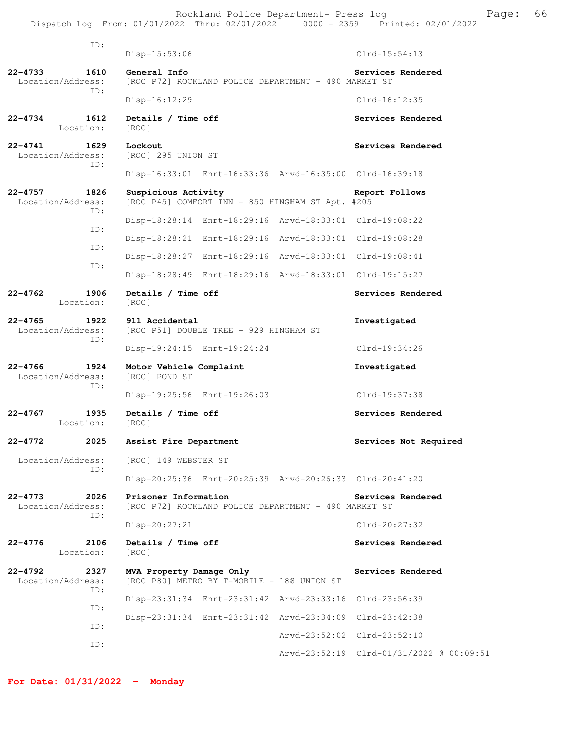Rockland Police Department- Press log entitled and Page: 66 Dispatch Log From: 01/01/2022 Thru: 02/01/2022 0000 - 2359 Printed: 02/01/2022

| ID:                                             |                                                                              |                                          |
|-------------------------------------------------|------------------------------------------------------------------------------|------------------------------------------|
|                                                 | Disp-15:53:06                                                                | $Clrd-15:54:13$                          |
| 22-4733<br>1610<br>Location/Address:<br>ID:     | General Info<br>[ROC P72] ROCKLAND POLICE DEPARTMENT - 490 MARKET ST         | Services Rendered                        |
|                                                 | $Disp-16:12:29$                                                              | $Clrd-16:12:35$                          |
| 1612<br>$22 - 4734$<br>Location:                | Details / Time off<br>[ROC]                                                  | Services Rendered                        |
| $22 - 4741$<br>1629<br>Location/Address:<br>TD: | Lockout<br>[ROC] 295 UNION ST                                                | Services Rendered                        |
|                                                 | Disp-16:33:01 Enrt-16:33:36 Arvd-16:35:00 Clrd-16:39:18                      |                                          |
| $22 - 4757$<br>1826<br>Location/Address:        | Suspicious Activity<br>[ROC P45] COMFORT INN - 850 HINGHAM ST Apt. #205      | Report Follows                           |
| ID:                                             | Disp-18:28:14 Enrt-18:29:16 Arvd-18:33:01 Clrd-19:08:22                      |                                          |
| ID:                                             | Disp-18:28:21 Enrt-18:29:16 Arvd-18:33:01 Clrd-19:08:28                      |                                          |
| ID:<br>ID:                                      | Disp-18:28:27 Enrt-18:29:16 Arvd-18:33:01 Clrd-19:08:41                      |                                          |
|                                                 | Disp-18:28:49 Enrt-18:29:16 Arvd-18:33:01 Clrd-19:15:27                      |                                          |
| $22 - 4762$<br>1906<br>Location:                | Details / Time off<br>[ROC]                                                  | Services Rendered                        |
| $22 - 4765$<br>1922<br>Location/Address:<br>ID: | 911 Accidental<br>[ROC P51] DOUBLE TREE - 929 HINGHAM ST                     | Investigated                             |
|                                                 | Disp-19:24:15 Enrt-19:24:24                                                  | Clrd-19:34:26                            |
| $22 - 4766$<br>1924<br>Location/Address:        | Motor Vehicle Complaint<br>[ROC] POND ST                                     | Investigated                             |
| ID:                                             | Disp-19:25:56 Enrt-19:26:03                                                  | Clrd-19:37:38                            |
| $22 - 4767$<br>1935<br>Location:                | Details / Time off<br>[ROC]                                                  | Services Rendered                        |
| $22 - 4772$<br>2025                             | Assist Fire Department                                                       | Services Not Required                    |
| Location/Address:                               | [ROC] 149 WEBSTER ST                                                         |                                          |
| ID:                                             | Disp-20:25:36 Enrt-20:25:39 Arvd-20:26:33 Clrd-20:41:20                      |                                          |
| $22 - 4773$<br>2026<br>Location/Address:        | Prisoner Information<br>[ROC P72] ROCKLAND POLICE DEPARTMENT - 490 MARKET ST | Services Rendered                        |
| ID:                                             | $Disp-20:27:21$                                                              | $Clrd-20:27:32$                          |
| $22 - 4776$<br>2106<br>Location:                | Details / Time off<br>[ROC]                                                  | Services Rendered                        |
| $22 - 4792$<br>2327<br>Location/Address:<br>TD: | MVA Property Damage Only<br>[ROC P80] METRO BY T-MOBILE - 188 UNION ST       | Services Rendered                        |
| ID:                                             | Disp-23:31:34 Enrt-23:31:42 Arvd-23:33:16                                    | Clrd-23:56:39                            |
| ID:                                             | Disp-23:31:34 Enrt-23:31:42 Arvd-23:34:09 Clrd-23:42:38                      |                                          |
| ID:                                             |                                                                              | Arvd-23:52:02 Clrd-23:52:10              |
|                                                 |                                                                              | Arvd-23:52:19 Clrd-01/31/2022 @ 00:09:51 |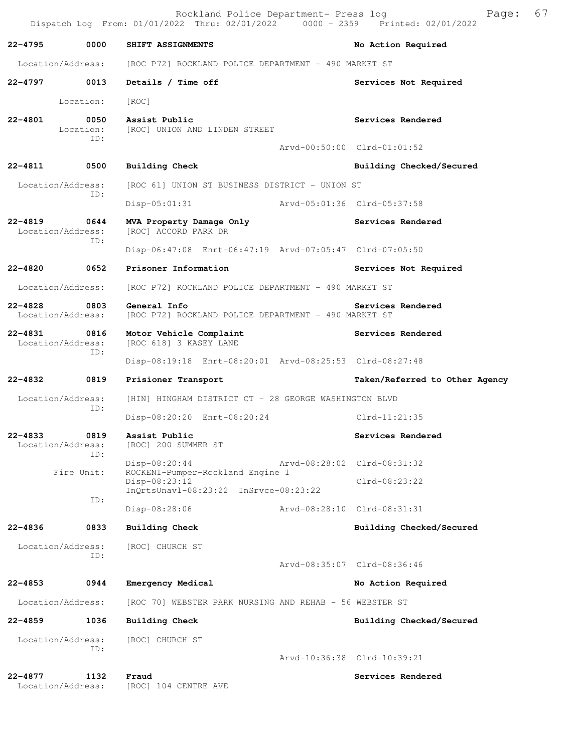|                                                 |                          | Rockland Police Department- Press log<br>Dispatch Log From: 01/01/2022 Thru: 02/01/2022 0000 - 2359 Printed: 02/01/2022 | Page:                          | 67 |
|-------------------------------------------------|--------------------------|-------------------------------------------------------------------------------------------------------------------------|--------------------------------|----|
| 22-4795                                         | 0000                     | SHIFT ASSIGNMENTS                                                                                                       | No Action Required             |    |
|                                                 | Location/Address:        | [ROC P72] ROCKLAND POLICE DEPARTMENT - 490 MARKET ST                                                                    |                                |    |
| 22-4797 0013                                    |                          | Details / Time off                                                                                                      | Services Not Required          |    |
|                                                 | Location:                | [ROC]                                                                                                                   |                                |    |
| $22 - 4801$                                     | 0050<br>Location:<br>ID: | Assist Public<br>[ROC] UNION AND LINDEN STREET                                                                          | Services Rendered              |    |
|                                                 |                          |                                                                                                                         | Arvd-00:50:00 Clrd-01:01:52    |    |
| 22-4811 0500                                    |                          | Building Check                                                                                                          | Building Checked/Secured       |    |
| Location/Address:                               | ID:                      | [ROC 61] UNION ST BUSINESS DISTRICT - UNION ST                                                                          |                                |    |
|                                                 |                          | Disp-05:01:31 Arvd-05:01:36 Clrd-05:37:58                                                                               |                                |    |
| $22 - 4819$<br>Location/Address:                | 0644<br>ID:              | MVA Property Damage Only<br>[ROC] ACCORD PARK DR                                                                        | Services Rendered              |    |
|                                                 |                          | Disp-06:47:08 Enrt-06:47:19 Arvd-07:05:47 Clrd-07:05:50                                                                 |                                |    |
| 22-4820 0652                                    |                          | Prisoner Information                                                                                                    | Services Not Required          |    |
| Location/Address:                               |                          | [ROC P72] ROCKLAND POLICE DEPARTMENT - 490 MARKET ST                                                                    |                                |    |
| 22-4828 0803<br>Location/Address:               |                          | General Info<br>[ROC P72] ROCKLAND POLICE DEPARTMENT - 490 MARKET ST                                                    | Services Rendered              |    |
| $22 - 4831$<br>0816<br>Location/Address:<br>ID: |                          | Motor Vehicle Complaint<br>[ROC 618] 3 KASEY LANE                                                                       | Services Rendered              |    |
|                                                 |                          | Disp-08:19:18 Enrt-08:20:01 Arvd-08:25:53 Clrd-08:27:48                                                                 |                                |    |
| 22-4832 0819                                    |                          | Prisioner Transport                                                                                                     | Taken/Referred to Other Agency |    |
| Location/Address:                               | ID:                      | [HIN] HINGHAM DISTRICT CT - 28 GEORGE WASHINGTON BLVD                                                                   |                                |    |
|                                                 |                          | Disp-08:20:20 Enrt-08:20:24                                                                                             | Clrd-11:21:35                  |    |
| 22-4833<br>Location/Address:                    | 0819<br>ID:              | Assist Public<br>[ROC] 200 SUMMER ST                                                                                    | Services Rendered              |    |
|                                                 | Fire Unit:               | Disp-08:20:44<br>ROCKEN1-Pumper-Rockland Engine 1                                                                       | Arvd-08:28:02 Clrd-08:31:32    |    |
|                                                 | ID:                      | Disp-08:23:12<br>$InQrtsUnav1-08:23:22$ $InSrvce-08:23:22$                                                              | $Clrd-08:23:22$                |    |
|                                                 |                          | Disp-08:28:06                                                                                                           | Arvd-08:28:10 Clrd-08:31:31    |    |
| 22-4836                                         | 0833                     | Building Check                                                                                                          | Building Checked/Secured       |    |
| Location/Address:                               | ID:                      | [ROC] CHURCH ST                                                                                                         | Arvd-08:35:07 Clrd-08:36:46    |    |
| 22-4853                                         | 0944                     | Emergency Medical                                                                                                       | No Action Required             |    |
|                                                 |                          |                                                                                                                         |                                |    |
| Location/Address:                               |                          | [ROC 70] WEBSTER PARK NURSING AND REHAB - 56 WEBSTER ST                                                                 |                                |    |
| 22-4859                                         | 1036                     | <b>Building Check</b>                                                                                                   | Building Checked/Secured       |    |
| Location/Address:                               | ID:                      | [ROC] CHURCH ST                                                                                                         |                                |    |
|                                                 |                          |                                                                                                                         | Arvd-10:36:38 Clrd-10:39:21    |    |
| $22 - 4877$<br>Location/Address:                | 1132                     | Fraud<br>[ROC] 104 CENTRE AVE                                                                                           | Services Rendered              |    |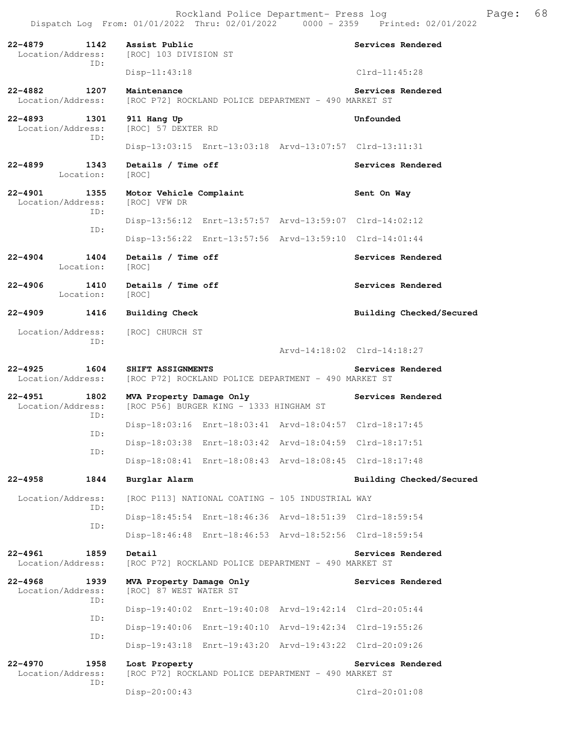Rockland Police Department- Press log Fage: 68<br>22 Thru: 02/01/2022 0000 - 2359 Printed: 02/01/2022 Dispatch Log From: 01/01/2022 Thru: 02/01/2022 **22-4879 1142 Assist Public Services Rendered**  Location/Address: [ROC] 103 DIVISION ST ID: Disp-11:43:18 Clrd-11:45:28 **22-4882 1207 Maintenance Services Rendered**<br>Location/Address: [ROC P72] ROCKLAND POLICE DEPARTMENT - 490 MARKET ST [ROC P72] ROCKLAND POLICE DEPARTMENT - 490 MARKET ST **22-4893 1301 911 Hang Up Unfounded**  Location/Address: [ROC] 57 DEXTER RD ID: Disp-13:03:15 Enrt-13:03:18 Arvd-13:07:57 Clrd-13:11:31 22-4899 1343 Details / Time off **Services Rendered**  Location: [ROC] **22-4901 1355 Motor Vehicle Complaint Sent On Way**  Location/Address: [ROC] VFW DR ID: Disp-13:56:12 Enrt-13:57:57 Arvd-13:59:07 Clrd-14:02:12 ID: Disp-13:56:22 Enrt-13:57:56 Arvd-13:59:10 Clrd-14:01:44 **22-4904 1404 Details / Time off Services Rendered**  Location: [ROC] 22-4906 1410 Details / Time off **Services Rendered** Location: [ROC] **22-4909 1416 Building Check Building Checked/Secured**  Location/Address: [ROC] CHURCH ST ID: Arvd-14:18:02 Clrd-14:18:27 **22-4925 1604 SHIFT ASSIGNMENTS Services Rendered**  Location/Address: [ROC P72] ROCKLAND POLICE DEPARTMENT - 490 MARKET ST **22-4951 1802 MVA Property Damage Only Services Rendered** Location/Address: [ROC P56] BURGER KING - 1333 HINGHAM ST [ROC P56] BURGER KING - 1333 HINGHAM ST ID: Disp-18:03:16 Enrt-18:03:41 Arvd-18:04:57 Clrd-18:17:45 ID: Disp-18:03:38 Enrt-18:03:42 Arvd-18:04:59 Clrd-18:17:51 ID: Disp-18:08:41 Enrt-18:08:43 Arvd-18:08:45 Clrd-18:17:48 **22-4958 1844 Burglar Alarm Building Checked/Secured**  Location/Address: [ROC P113] NATIONAL COATING - 105 INDUSTRIAL WAY ID: Disp-18:45:54 Enrt-18:46:36 Arvd-18:51:39 Clrd-18:59:54 ID: Disp-18:46:48 Enrt-18:46:53 Arvd-18:52:56 Clrd-18:59:54 **22-4961** 1859 Detail Services Rendered Location/Address: [ROC P72] ROCKLAND POLICE DEPARTMENT - 490 MARKET ST [ROC P72] ROCKLAND POLICE DEPARTMENT - 490 MARKET ST 22-4968 1939 MVA Property Damage Only **Services Rendered** Location/Address: [ROC] 87 WEST WATER ST ID: Disp-19:40:02 Enrt-19:40:08 Arvd-19:42:14 Clrd-20:05:44 ID: Disp-19:40:06 Enrt-19:40:10 Arvd-19:42:34 Clrd-19:55:26 ID: Disp-19:43:18 Enrt-19:43:20 Arvd-19:43:22 Clrd-20:09:26 **22-4970 1958 Lost Property Services Rendered**  [ROC P72] ROCKLAND POLICE DEPARTMENT - 490 MARKET ST

ID:

Disp-20:00:43 Clrd-20:01:08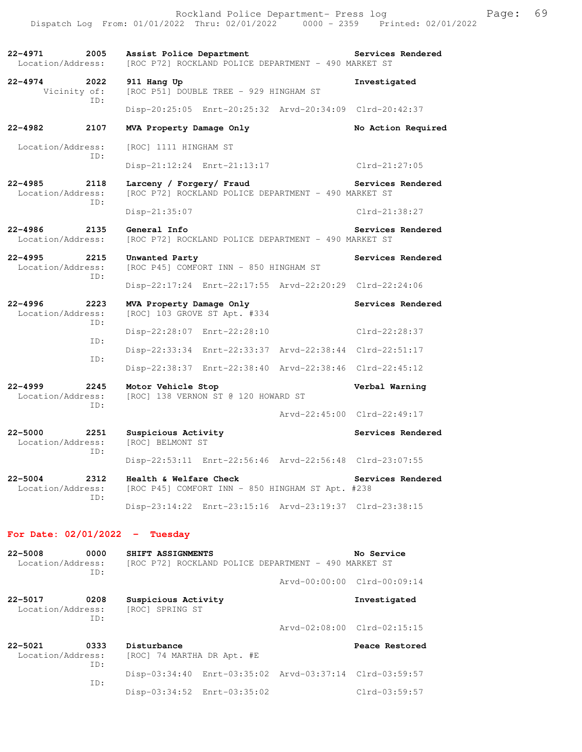**22-4971 2005 Assist Police Department Services Rendered**  Location/Address: [ROC P72] ROCKLAND POLICE DEPARTMENT - 490 MARKET ST **22-4974 2022 911 Hang Up Investigated**  Vicinity of: [ROC P51] DOUBLE TREE - 929 HINGHAM ST ID: Disp-20:25:05 Enrt-20:25:32 Arvd-20:34:09 Clrd-20:42:37 **22-4982 2107 MVA Property Damage Only No Action Required**  Location/Address: [ROC] 1111 HINGHAM ST ID: Disp-21:12:24 Enrt-21:13:17 Clrd-21:27:05 **22-4985 2118 Larceny / Forgery/ Fraud Services Rendered**  [ROC P72] ROCKLAND POLICE DEPARTMENT - 490 MARKET ST ID: Disp-21:35:07 Clrd-21:38:27 **22-4986 2135 General Info Services Rendered**  [ROC P72] ROCKLAND POLICE DEPARTMENT - 490 MARKET ST **22-4995 2215 Unwanted Party Services Rendered**  Location/Address: [ROC P45] COMFORT INN - 850 HINGHAM ST ID: Disp-22:17:24 Enrt-22:17:55 Arvd-22:20:29 Clrd-22:24:06 **22-4996 2223 MVA Property Damage Only Services Rendered**  Location/Address: [ROC] 103 GROVE ST Apt. #334 ID: Disp-22:28:07 Enrt-22:28:10 Clrd-22:28:37 ID: Disp-22:33:34 Enrt-22:33:37 Arvd-22:38:44 Clrd-22:51:17 ID: Disp-22:38:37 Enrt-22:38:40 Arvd-22:38:46 Clrd-22:45:12 **22-4999 2245 Motor Vehicle Stop Verbal Warning**<br>Location/Address: [ROC] 138 VERNON ST @ 120 HOWARD ST [ROC] 138 VERNON ST @ 120 HOWARD ST ID: Arvd-22:45:00 Clrd-22:49:17 **22-5000 2251 Suspicious Activity Services Rendered Location/Address:** [ROC] BELMONT ST [ROC] BELMONT ST ID: Disp-22:53:11 Enrt-22:56:46 Arvd-22:56:48 Clrd-23:07:55 **22-5004 2312 Health & Welfare Check Services Rendered**  Location/Address: [ROC P45] COMFORT INN - 850 HINGHAM ST Apt. #238 ID: Disp-23:14:22 Enrt-23:15:16 Arvd-23:19:37 Clrd-23:38:15

## **For Date: 02/01/2022 - Tuesday**

| $22 - 5008$<br>Location/Address: | 0000<br>ID: | SHIFT ASSIGNMENTS<br>[ROC P72] ROCKLAND POLICE DEPARTMENT - 490 MARKET ST |                                                         |  | No Service                  |  |
|----------------------------------|-------------|---------------------------------------------------------------------------|---------------------------------------------------------|--|-----------------------------|--|
|                                  |             |                                                                           |                                                         |  | Arvd-00:00:00 Clrd-00:09:14 |  |
| $22 - 5017$<br>Location/Address: | 0208<br>ID: | Suspicious Activity<br>[ROC] SPRING ST                                    |                                                         |  | Investigated                |  |
|                                  |             |                                                                           |                                                         |  | Arvd-02:08:00 Clrd-02:15:15 |  |
| $22 - 5021$<br>Location/Address: | 0333<br>ID: | Disturbance<br>[ROC] 74 MARTHA DR Apt. #E                                 |                                                         |  | Peace Restored              |  |
|                                  | TD:         |                                                                           | Disp-03:34:40 Enrt-03:35:02 Arvd-03:37:14 Clrd-03:59:57 |  |                             |  |
|                                  |             |                                                                           | Disp-03:34:52 Enrt-03:35:02                             |  | $Clrd-03:59:57$             |  |